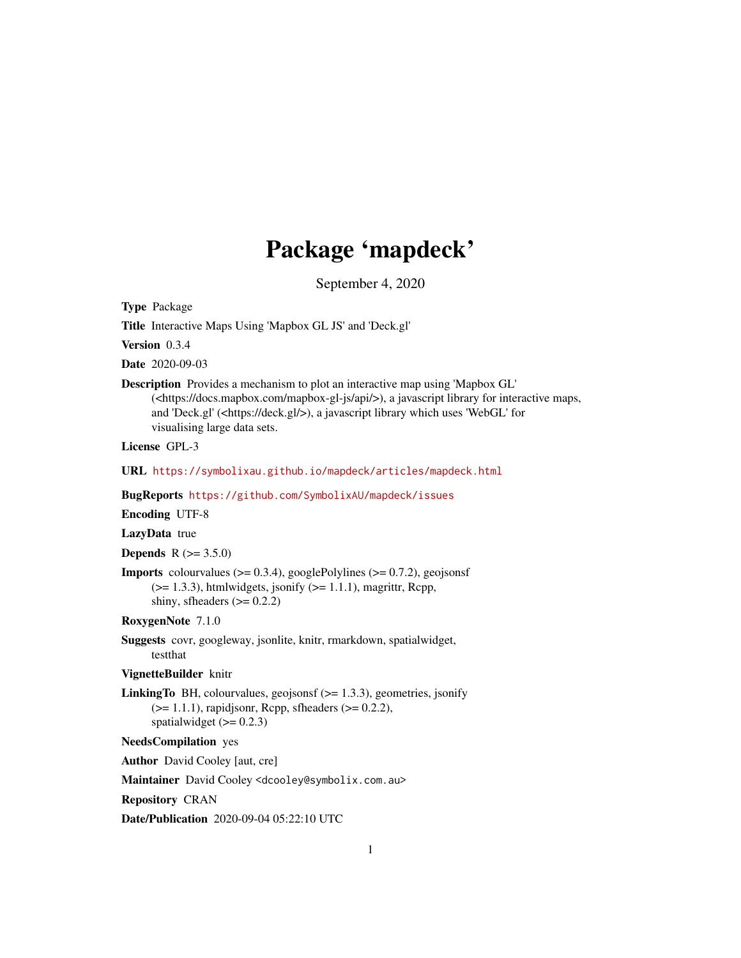# Package 'mapdeck'

September 4, 2020

Type Package

Title Interactive Maps Using 'Mapbox GL JS' and 'Deck.gl'

Version 0.3.4

Date 2020-09-03

Description Provides a mechanism to plot an interactive map using 'Mapbox GL' (<https://docs.mapbox.com/mapbox-gl-js/api/>), a javascript library for interactive maps, and 'Deck.gl' (<https://deck.gl/>), a javascript library which uses 'WebGL' for visualising large data sets.

License GPL-3

URL <https://symbolixau.github.io/mapdeck/articles/mapdeck.html>

BugReports <https://github.com/SymbolixAU/mapdeck/issues>

Encoding UTF-8

LazyData true

**Depends** R  $(>= 3.5.0)$ 

**Imports** colourvalues  $(>= 0.3.4)$ , googlePolylines  $(>= 0.7.2)$ , geojsonsf  $(>= 1.3.3)$ , htmlwidgets, jsonify  $(>= 1.1.1)$ , magrittr, Rcpp, shiny, sfheaders  $(>= 0.2.2)$ 

RoxygenNote 7.1.0

Suggests covr, googleway, jsonlite, knitr, rmarkdown, spatialwidget, testthat

VignetteBuilder knitr

**LinkingTo** BH, colourvalues, geojsonsf  $(>= 1.3.3)$ , geometries, jsonify  $(>= 1.1.1)$ , rapidjsonr, Rcpp, sfheaders  $(>= 0.2.2)$ , spatialwidget  $(>= 0.2.3)$ 

NeedsCompilation yes

Author David Cooley [aut, cre]

Maintainer David Cooley <dcooley@symbolix.com.au>

Repository CRAN

Date/Publication 2020-09-04 05:22:10 UTC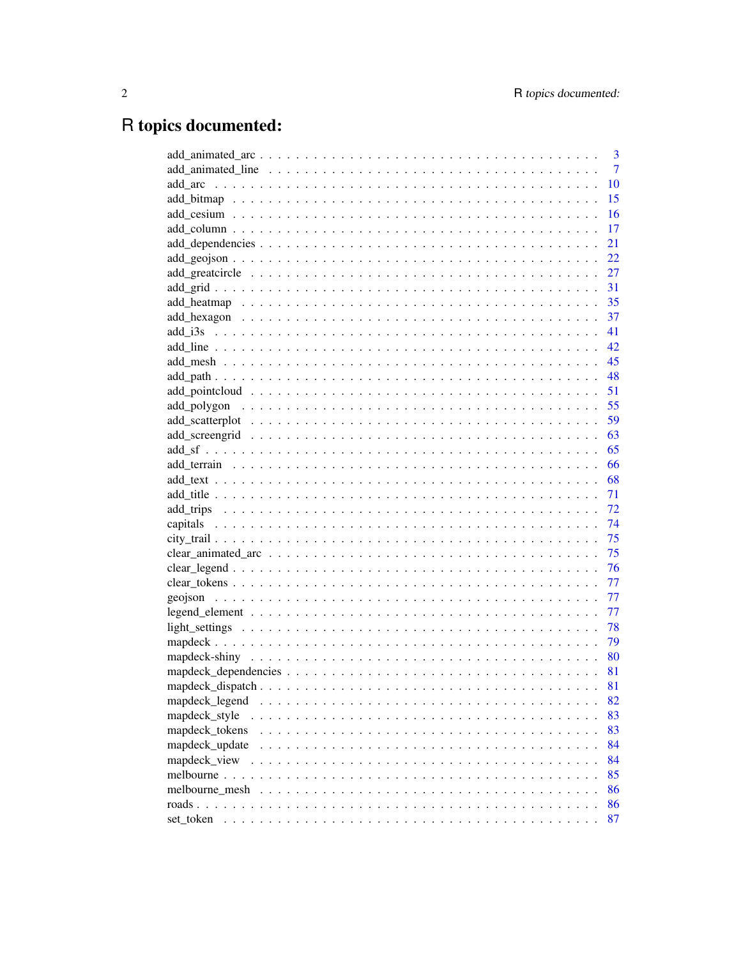# R topics documented:

|                           | 3              |
|---------------------------|----------------|
|                           | $\overline{7}$ |
|                           | 10             |
|                           | 15             |
|                           | 16             |
|                           | 17             |
|                           | 21             |
|                           | 22             |
|                           | 27             |
|                           | 31             |
|                           | 35             |
|                           |                |
|                           |                |
|                           |                |
|                           |                |
|                           |                |
|                           |                |
|                           |                |
|                           |                |
|                           |                |
|                           |                |
|                           |                |
|                           |                |
|                           |                |
|                           | 72             |
|                           | - 74           |
|                           |                |
|                           |                |
|                           |                |
|                           | 77             |
|                           | 77             |
|                           | 77             |
|                           | 78             |
|                           | - 79           |
|                           |                |
|                           | 81             |
|                           | 81             |
|                           |                |
| mapdeck_legend            | 82             |
| mapdeck_style<br>$\cdots$ | 83             |
| mapdeck tokens            | 83             |
| mapdeck_update            | 84             |
| mapdeck_view              | 84             |
| melbourne                 | 85             |
| melbourne mesh            | 86             |
|                           | 86             |
| set token                 | 87             |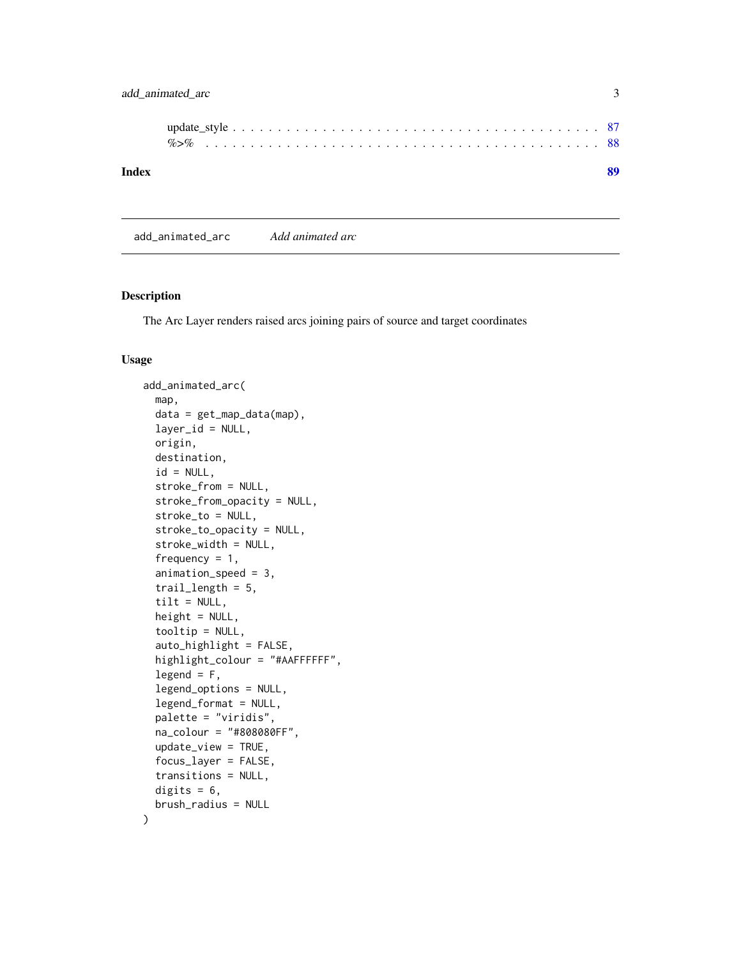# <span id="page-2-0"></span>add\_animated\_arc 3

| Index |  |  |  |  |  |  |  |  |  |  |  |  |  |  |  |  |  |  |  |  |
|-------|--|--|--|--|--|--|--|--|--|--|--|--|--|--|--|--|--|--|--|--|

add\_animated\_arc *Add animated arc*

## Description

The Arc Layer renders raised arcs joining pairs of source and target coordinates

#### Usage

```
add_animated_arc(
 map,
 data = get_map_data(map),
 layer_id = NULL,origin,
 destination,
  id = NULL,stroke_from = NULL,
  stroke_from_opacity = NULL,
  stroke_to = NULL,
  stroke_to_opacity = NULL,
  stroke_width = NULL,
  frequency = 1,
  animation_speed = 3,
  trail_length = 5,
  tilt = NULL,height = NULL,tooltip = NULL,
  auto_highlight = FALSE,
  highlight_colour = "#AAFFFFFF",
  legend = F,
  legend_options = NULL,
  legend_format = NULL,
 palette = "viridis",
  na_colour = "#808080FF",
  update_view = TRUE,
  focus_layer = FALSE,
  transitions = NULL,
  digits = 6,
 brush_radius = NULL
)
```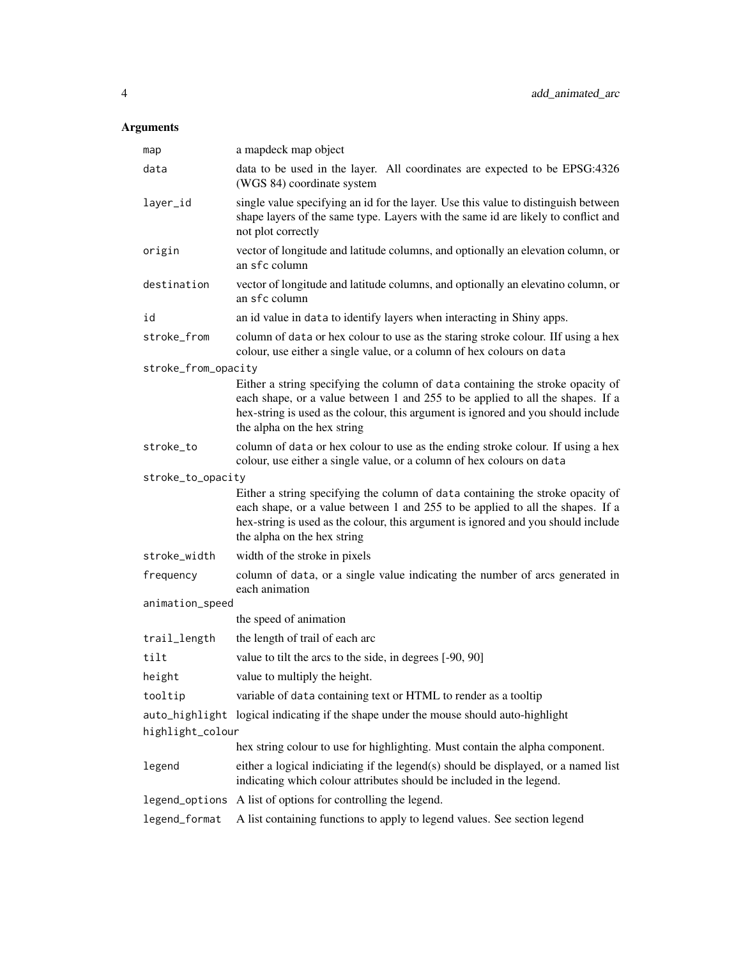| map                 | a mapdeck map object                                                                                                                                                                                                                                                                 |
|---------------------|--------------------------------------------------------------------------------------------------------------------------------------------------------------------------------------------------------------------------------------------------------------------------------------|
| data                | data to be used in the layer. All coordinates are expected to be EPSG:4326<br>(WGS 84) coordinate system                                                                                                                                                                             |
| layer_id            | single value specifying an id for the layer. Use this value to distinguish between<br>shape layers of the same type. Layers with the same id are likely to conflict and<br>not plot correctly                                                                                        |
| origin              | vector of longitude and latitude columns, and optionally an elevation column, or<br>an sfc column                                                                                                                                                                                    |
| destination         | vector of longitude and latitude columns, and optionally an elevatino column, or<br>an sfc column                                                                                                                                                                                    |
| id                  | an id value in data to identify layers when interacting in Shiny apps.                                                                                                                                                                                                               |
| stroke_from         | column of data or hex colour to use as the staring stroke colour. If using a hex<br>colour, use either a single value, or a column of hex colours on data                                                                                                                            |
| stroke_from_opacity |                                                                                                                                                                                                                                                                                      |
|                     | Either a string specifying the column of data containing the stroke opacity of<br>each shape, or a value between 1 and 255 to be applied to all the shapes. If a<br>hex-string is used as the colour, this argument is ignored and you should include<br>the alpha on the hex string |
| stroke_to           | column of data or hex colour to use as the ending stroke colour. If using a hex<br>colour, use either a single value, or a column of hex colours on data                                                                                                                             |
| stroke_to_opacity   |                                                                                                                                                                                                                                                                                      |
|                     | Either a string specifying the column of data containing the stroke opacity of<br>each shape, or a value between 1 and 255 to be applied to all the shapes. If a<br>hex-string is used as the colour, this argument is ignored and you should include<br>the alpha on the hex string |
| stroke_width        | width of the stroke in pixels                                                                                                                                                                                                                                                        |
| frequency           | column of data, or a single value indicating the number of arcs generated in<br>each animation                                                                                                                                                                                       |
| animation_speed     |                                                                                                                                                                                                                                                                                      |
|                     | the speed of animation                                                                                                                                                                                                                                                               |
| trail_length        | the length of trail of each arc                                                                                                                                                                                                                                                      |
| tilt                | value to tilt the arcs to the side, in degrees [-90, 90]                                                                                                                                                                                                                             |
| height              | value to multiply the height.                                                                                                                                                                                                                                                        |
| tooltip             | variable of data containing text or HTML to render as a tooltip                                                                                                                                                                                                                      |
| highlight_colour    | auto_highlight logical indicating if the shape under the mouse should auto-highlight                                                                                                                                                                                                 |
|                     | hex string colour to use for highlighting. Must contain the alpha component.                                                                                                                                                                                                         |
| legend              | either a logical indiciating if the legend(s) should be displayed, or a named list<br>indicating which colour attributes should be included in the legend.                                                                                                                           |
| legend_options      | A list of options for controlling the legend.                                                                                                                                                                                                                                        |
| legend_format       | A list containing functions to apply to legend values. See section legend                                                                                                                                                                                                            |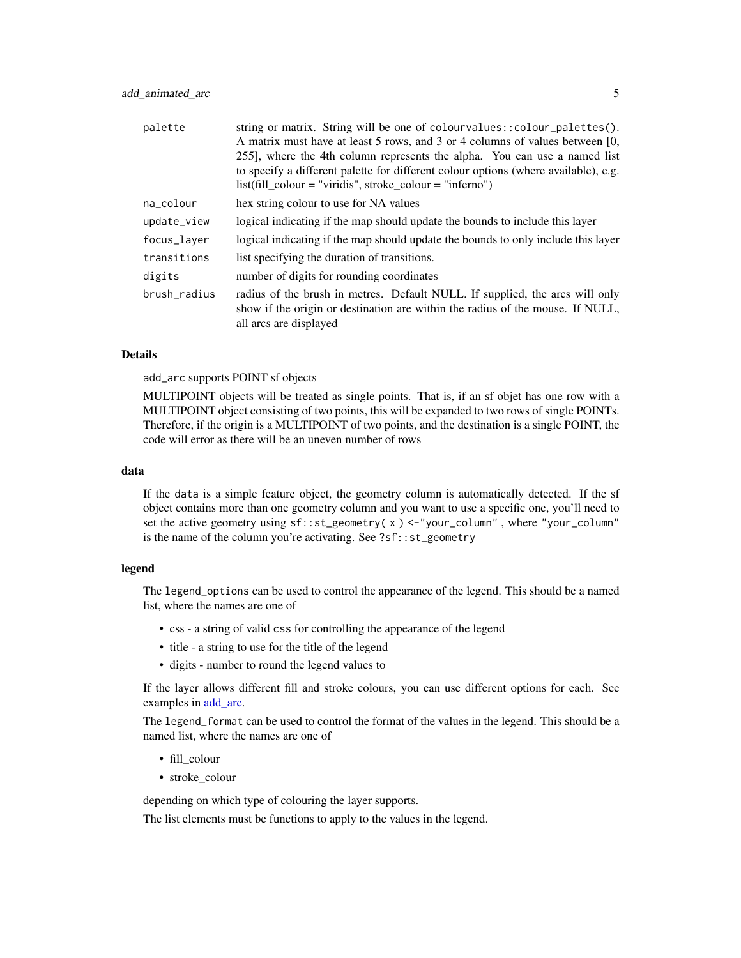| palette      | string or matrix. String will be one of colourvalues:: colour_palettes().<br>A matrix must have at least 5 rows, and 3 or 4 columns of values between [0,<br>255], where the 4th column represents the alpha. You can use a named list<br>to specify a different palette for different colour options (where available), e.g.<br>$list (fill\_colour = "viridis", stroke\_colour = "inferno")$ |
|--------------|------------------------------------------------------------------------------------------------------------------------------------------------------------------------------------------------------------------------------------------------------------------------------------------------------------------------------------------------------------------------------------------------|
| na_colour    | hex string colour to use for NA values                                                                                                                                                                                                                                                                                                                                                         |
| update_view  | logical indicating if the map should update the bounds to include this layer                                                                                                                                                                                                                                                                                                                   |
| focus_layer  | logical indicating if the map should update the bounds to only include this layer                                                                                                                                                                                                                                                                                                              |
| transitions  | list specifying the duration of transitions.                                                                                                                                                                                                                                                                                                                                                   |
| digits       | number of digits for rounding coordinates                                                                                                                                                                                                                                                                                                                                                      |
| brush radius | radius of the brush in metres. Default NULL. If supplied, the arcs will only<br>show if the origin or destination are within the radius of the mouse. If NULL,<br>all arcs are displayed                                                                                                                                                                                                       |

#### Details

add\_arc supports POINT sf objects

MULTIPOINT objects will be treated as single points. That is, if an sf objet has one row with a MULTIPOINT object consisting of two points, this will be expanded to two rows of single POINTs. Therefore, if the origin is a MULTIPOINT of two points, and the destination is a single POINT, the code will error as there will be an uneven number of rows

#### data

If the data is a simple feature object, the geometry column is automatically detected. If the sf object contains more than one geometry column and you want to use a specific one, you'll need to set the active geometry using  $sf:st\_geometry(x) < -$ "your\_column", where "your\_column" is the name of the column you're activating. See ?sf::st\_geometry

#### legend

The legend\_options can be used to control the appearance of the legend. This should be a named list, where the names are one of

- css a string of valid css for controlling the appearance of the legend
- title a string to use for the title of the legend
- digits number to round the legend values to

If the layer allows different fill and stroke colours, you can use different options for each. See examples in [add\\_arc.](#page-9-1)

The legend\_format can be used to control the format of the values in the legend. This should be a named list, where the names are one of

- fill\_colour
- stroke\_colour

depending on which type of colouring the layer supports.

The list elements must be functions to apply to the values in the legend.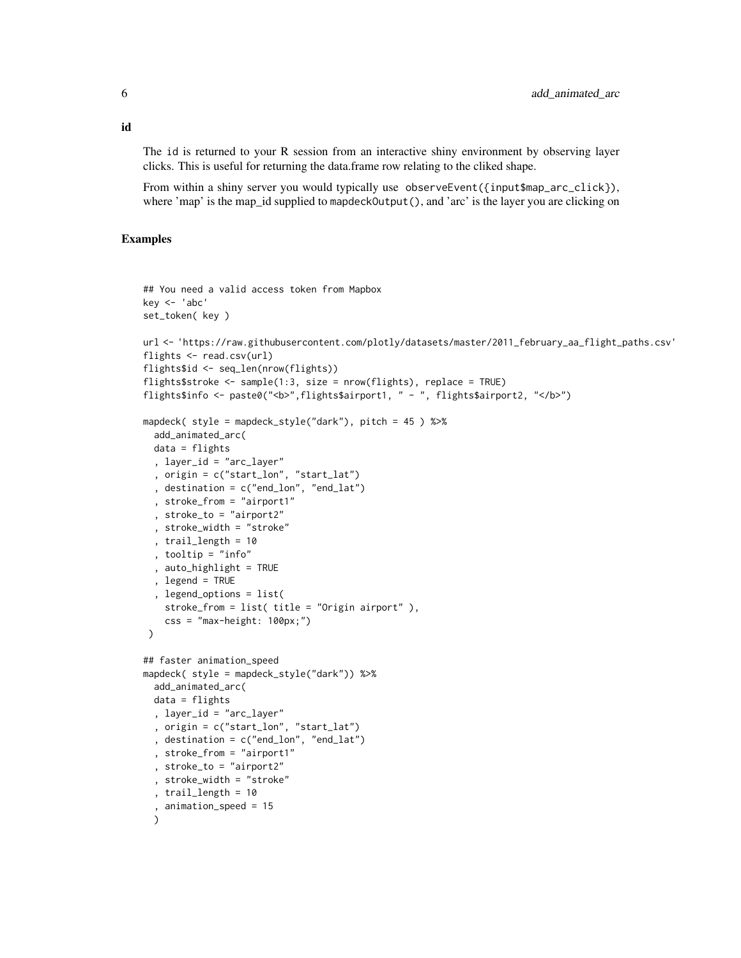The id is returned to your R session from an interactive shiny environment by observing layer clicks. This is useful for returning the data.frame row relating to the cliked shape.

From within a shiny server you would typically use observeEvent({input\$map\_arc\_click}), where 'map' is the map\_id supplied to mapdeckOutput(), and 'arc' is the layer you are clicking on

# Examples

```
## You need a valid access token from Mapbox
key < - 'abc'set_token( key )
url <- 'https://raw.githubusercontent.com/plotly/datasets/master/2011_february_aa_flight_paths.csv'
flights <- read.csv(url)
flights$id <- seq_len(nrow(flights))
flights$stroke <- sample(1:3, size = nrow(flights), replace = TRUE)
flights$info <- paste0("<b>",flights$airport1, " - ", flights$airport2, "</b>")
mapdeck( style = mapdeck_style("dark"), pitch = 45 ) %>%
  add_animated_arc(
  data = flights
  , layer_id = "arc_layer"
  , origin = c("start_lon", "start_lat")
  , destination = c("end_lon", "end_lat")
  , stroke_from = "airport1"
  , stroke_to = "airport2"
  , stroke_width = "stroke"
  , trail_length = 10
  , tooltip = "info"
  , auto_highlight = TRUE
  , legend = TRUE
  , legend_options = list(
   stroke_from = list( title = "Origin airport" ),
   \text{css} = \text{"max-height}: 100px; \text{"}\lambda## faster animation_speed
mapdeck( style = mapdeck_style("dark")) %>%
  add_animated_arc(
 data = flights
  , layer_id = "arc_layer"
  , origin = c("start_lon", "start_lat")
  , destination = c("end_lon", "end_lat")
  , stroke_from = "airport1"
  , stroke_to = "airport2"
  , stroke_width = "stroke"
  , trail_length = 10
  , animation_speed = 15
  )
```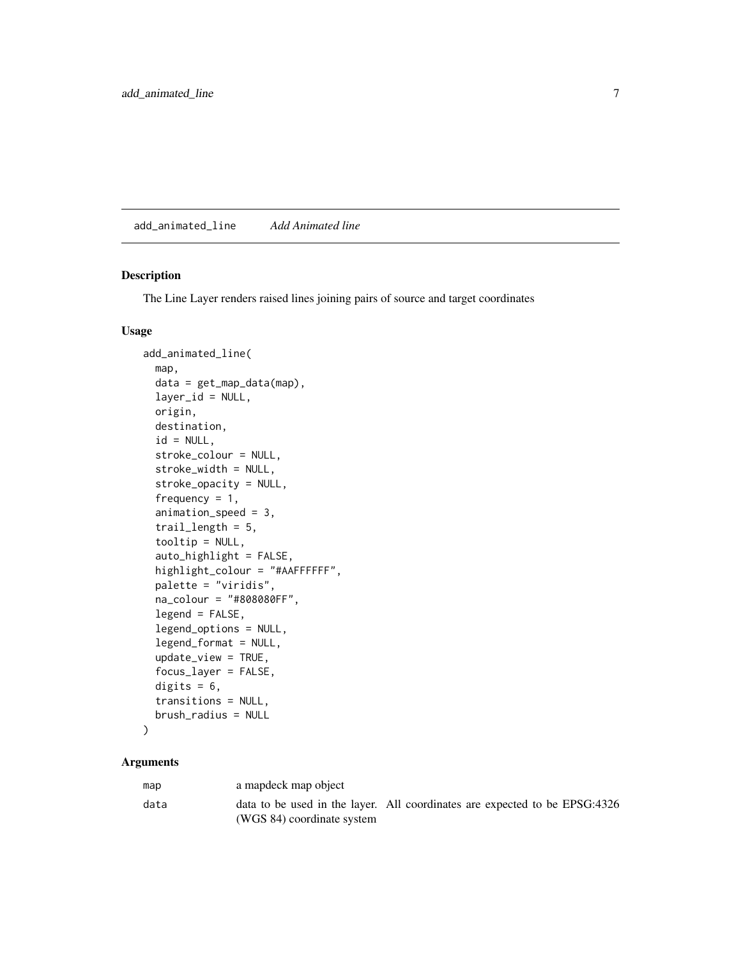<span id="page-6-0"></span>add\_animated\_line *Add Animated line*

# Description

The Line Layer renders raised lines joining pairs of source and target coordinates

#### Usage

```
add_animated_line(
 map,
  data = get_map_data(map),
  layer_id = NULL,origin,
  destination,
  id = NULL,stroke_colour = NULL,
  stroke_width = NULL,
  stroke_opacity = NULL,
  frequency = 1,
  animation_speed = 3,
  trail_length = 5,
  tooltip = NULL,
  auto_highlight = FALSE,
  highlight_colour = "#AAFFFFFF",
  palette = "viridis",
  na_colour = "#808080FF",
  legend = FALSE,
  legend_options = NULL,
  legend_format = NULL,
  update_view = TRUE,
  focus_layer = FALSE,
  digits = 6,
  transitions = NULL,
  brush_radius = NULL
)
```

| map  | a mapdeck map object                                                                                     |  |  |
|------|----------------------------------------------------------------------------------------------------------|--|--|
| data | data to be used in the layer. All coordinates are expected to be EPSG:4326<br>(WGS 84) coordinate system |  |  |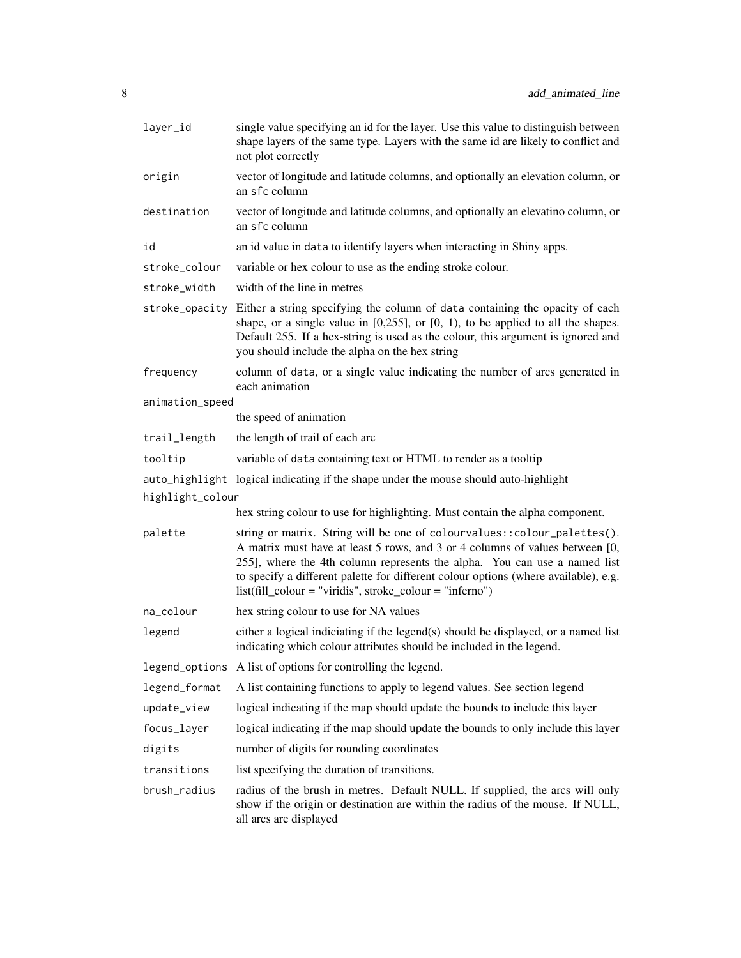| layer_id         | single value specifying an id for the layer. Use this value to distinguish between<br>shape layers of the same type. Layers with the same id are likely to conflict and<br>not plot correctly                                                                                                                                                                                                  |
|------------------|------------------------------------------------------------------------------------------------------------------------------------------------------------------------------------------------------------------------------------------------------------------------------------------------------------------------------------------------------------------------------------------------|
| origin           | vector of longitude and latitude columns, and optionally an elevation column, or<br>an sfc column                                                                                                                                                                                                                                                                                              |
| destination      | vector of longitude and latitude columns, and optionally an elevatino column, or<br>an sfc column                                                                                                                                                                                                                                                                                              |
| id               | an id value in data to identify layers when interacting in Shiny apps.                                                                                                                                                                                                                                                                                                                         |
| stroke_colour    | variable or hex colour to use as the ending stroke colour.                                                                                                                                                                                                                                                                                                                                     |
| stroke_width     | width of the line in metres                                                                                                                                                                                                                                                                                                                                                                    |
|                  | stroke_opacity Either a string specifying the column of data containing the opacity of each<br>shape, or a single value in $[0,255]$ , or $[0, 1)$ , to be applied to all the shapes.<br>Default 255. If a hex-string is used as the colour, this argument is ignored and<br>you should include the alpha on the hex string                                                                    |
| frequency        | column of data, or a single value indicating the number of arcs generated in<br>each animation                                                                                                                                                                                                                                                                                                 |
| animation_speed  |                                                                                                                                                                                                                                                                                                                                                                                                |
|                  | the speed of animation                                                                                                                                                                                                                                                                                                                                                                         |
| trail_length     | the length of trail of each arc                                                                                                                                                                                                                                                                                                                                                                |
| tooltip          | variable of data containing text or HTML to render as a tooltip                                                                                                                                                                                                                                                                                                                                |
|                  | auto_highlight logical indicating if the shape under the mouse should auto-highlight                                                                                                                                                                                                                                                                                                           |
| highlight_colour |                                                                                                                                                                                                                                                                                                                                                                                                |
|                  | hex string colour to use for highlighting. Must contain the alpha component.                                                                                                                                                                                                                                                                                                                   |
| palette          | string or matrix. String will be one of colourvalues:: colour_palettes().<br>A matrix must have at least 5 rows, and 3 or 4 columns of values between [0,<br>255], where the 4th column represents the alpha. You can use a named list<br>to specify a different palette for different colour options (where available), e.g.<br>$list (fill\_colour = "viridis", stroke\_colour = "inferno")$ |
| na_colour        | hex string colour to use for NA values                                                                                                                                                                                                                                                                                                                                                         |
| legend           | either a logical indiciating if the legend(s) should be displayed, or a named list<br>indicating which colour attributes should be included in the legend.                                                                                                                                                                                                                                     |
|                  | legend_options A list of options for controlling the legend.                                                                                                                                                                                                                                                                                                                                   |
| legend_format    | A list containing functions to apply to legend values. See section legend                                                                                                                                                                                                                                                                                                                      |
| update_view      | logical indicating if the map should update the bounds to include this layer                                                                                                                                                                                                                                                                                                                   |
| focus_layer      | logical indicating if the map should update the bounds to only include this layer                                                                                                                                                                                                                                                                                                              |
| digits           | number of digits for rounding coordinates                                                                                                                                                                                                                                                                                                                                                      |
| transitions      | list specifying the duration of transitions.                                                                                                                                                                                                                                                                                                                                                   |
| brush_radius     | radius of the brush in metres. Default NULL. If supplied, the arcs will only<br>show if the origin or destination are within the radius of the mouse. If NULL,<br>all arcs are displayed                                                                                                                                                                                                       |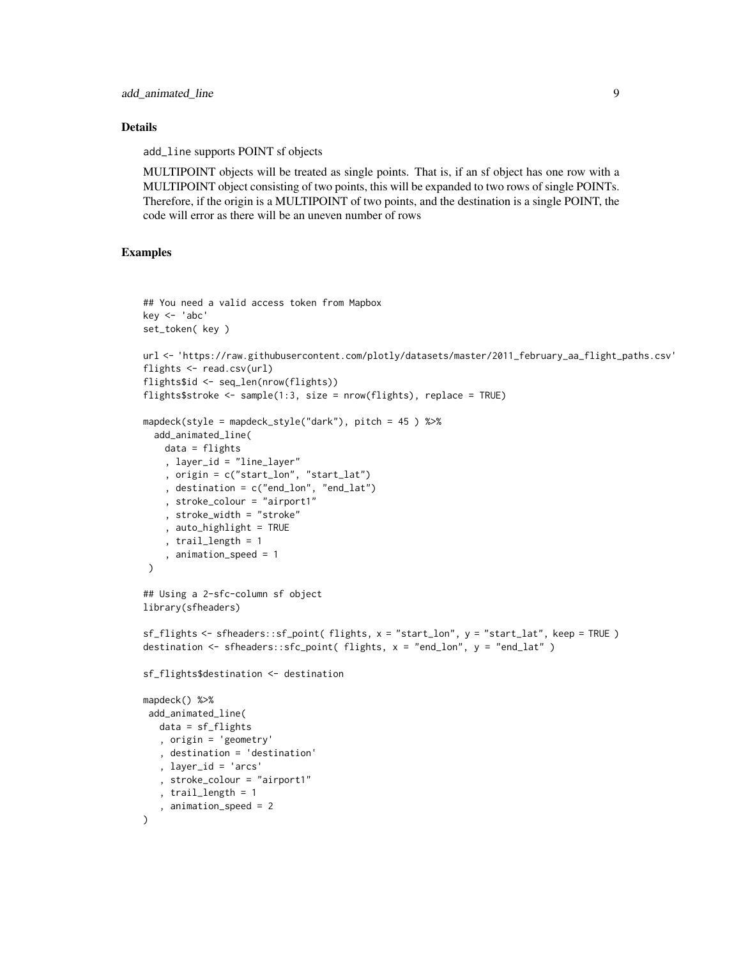#### Details

add\_line supports POINT sf objects

MULTIPOINT objects will be treated as single points. That is, if an sf object has one row with a MULTIPOINT object consisting of two points, this will be expanded to two rows of single POINTs. Therefore, if the origin is a MULTIPOINT of two points, and the destination is a single POINT, the code will error as there will be an uneven number of rows

# Examples

```
## You need a valid access token from Mapbox
key <- 'abc'
set_token( key )
url <- 'https://raw.githubusercontent.com/plotly/datasets/master/2011_february_aa_flight_paths.csv'
flights <- read.csv(url)
flights$id <- seq_len(nrow(flights))
flights$stroke <- sample(1:3, size = nrow(flights), replace = TRUE)
mapdeck(style = mapdeck_style("dark"), pitch = 45 ) %>%
  add_animated_line(
   data = flights
    , layer_id = "line_layer"
    , origin = c("start_lon", "start_lat")
    , destination = c("end_lon", "end_lat")
    , stroke_colour = "airport1"
    , stroke_width = "stroke"
    , auto_highlight = TRUE
    , trail_length = 1
    , animation_speed = 1
 \lambda## Using a 2-sfc-column sf object
library(sfheaders)
sf_flights <- sfheaders::sf_point( flights, x = "start_lon", y = "start_lat", keep = TRUE )
destination <- sfheaders::sfc_point( flights, x = "end_lon", y = "end_lat" )
sf_flights$destination <- destination
mapdeck() %>%
 add_animated_line(
  data = sf_flights
   , origin = 'geometry'
   , destination = 'destination'
   , layer_id = 'arcs'
   , stroke_colour = "airport1"
   , trail_length = 1
   , animation_speed = 2
)
```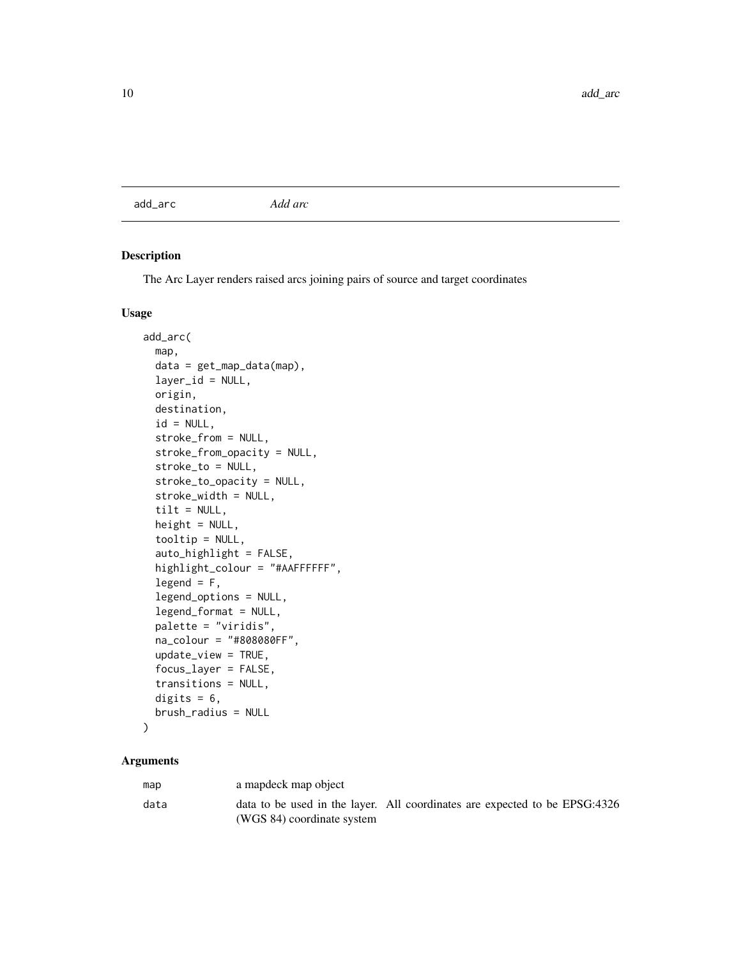<span id="page-9-1"></span><span id="page-9-0"></span>add\_arc *Add arc*

# Description

The Arc Layer renders raised arcs joining pairs of source and target coordinates

# Usage

```
add_arc(
  map,
  data = get_map_data(map),
  layer_id = NULL,origin,
  destination,
  id = NULL,stroke_from = NULL,
  stroke_from_opacity = NULL,
  stroke_to = NULL,
  stroke_to_opacity = NULL,
  stroke_width = NULL,
  tilt = NULL,
  height = NULL,
  tooltip = NULL,
  auto_highlight = FALSE,
  highlight_colour = "#AAFFFFFF",
  legend = F,
  legend_options = NULL,
  legend_format = NULL,
  palette = "viridis",
  na_colour = "#808080FF",
  update_view = TRUE,
  focus_layer = FALSE,
  transitions = NULL,
  digits = 6,
 brush_radius = NULL
)
```

| map  | a mapdeck map object                                                                                     |  |  |
|------|----------------------------------------------------------------------------------------------------------|--|--|
| data | data to be used in the layer. All coordinates are expected to be EPSG:4326<br>(WGS 84) coordinate system |  |  |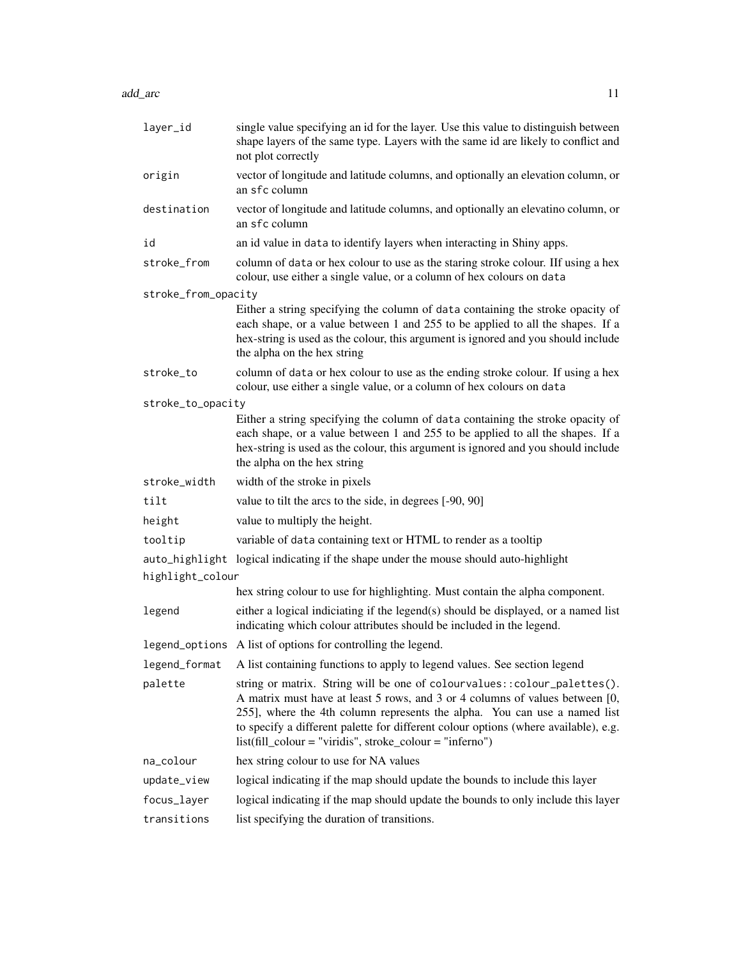add\_arc 11

| layer_id            | single value specifying an id for the layer. Use this value to distinguish between<br>shape layers of the same type. Layers with the same id are likely to conflict and<br>not plot correctly                                                                                                                                                                                                  |
|---------------------|------------------------------------------------------------------------------------------------------------------------------------------------------------------------------------------------------------------------------------------------------------------------------------------------------------------------------------------------------------------------------------------------|
| origin              | vector of longitude and latitude columns, and optionally an elevation column, or<br>an sfc column                                                                                                                                                                                                                                                                                              |
| destination         | vector of longitude and latitude columns, and optionally an elevatino column, or<br>an sfc column                                                                                                                                                                                                                                                                                              |
| id                  | an id value in data to identify layers when interacting in Shiny apps.                                                                                                                                                                                                                                                                                                                         |
| stroke_from         | column of data or hex colour to use as the staring stroke colour. If using a hex<br>colour, use either a single value, or a column of hex colours on data                                                                                                                                                                                                                                      |
| stroke_from_opacity |                                                                                                                                                                                                                                                                                                                                                                                                |
|                     | Either a string specifying the column of data containing the stroke opacity of<br>each shape, or a value between 1 and 255 to be applied to all the shapes. If a<br>hex-string is used as the colour, this argument is ignored and you should include<br>the alpha on the hex string                                                                                                           |
| stroke_to           | column of data or hex colour to use as the ending stroke colour. If using a hex<br>colour, use either a single value, or a column of hex colours on data                                                                                                                                                                                                                                       |
| stroke_to_opacity   |                                                                                                                                                                                                                                                                                                                                                                                                |
|                     | Either a string specifying the column of data containing the stroke opacity of<br>each shape, or a value between 1 and 255 to be applied to all the shapes. If a<br>hex-string is used as the colour, this argument is ignored and you should include<br>the alpha on the hex string                                                                                                           |
| stroke_width        | width of the stroke in pixels                                                                                                                                                                                                                                                                                                                                                                  |
| tilt                | value to tilt the arcs to the side, in degrees [-90, 90]                                                                                                                                                                                                                                                                                                                                       |
| height              | value to multiply the height.                                                                                                                                                                                                                                                                                                                                                                  |
| tooltip             | variable of data containing text or HTML to render as a tooltip                                                                                                                                                                                                                                                                                                                                |
| highlight_colour    | auto_highlight logical indicating if the shape under the mouse should auto-highlight                                                                                                                                                                                                                                                                                                           |
|                     | hex string colour to use for highlighting. Must contain the alpha component.                                                                                                                                                                                                                                                                                                                   |
| legend              | either a logical indiciating if the legend(s) should be displayed, or a named list<br>indicating which colour attributes should be included in the legend.                                                                                                                                                                                                                                     |
|                     | legend_options A list of options for controlling the legend.                                                                                                                                                                                                                                                                                                                                   |
| legend_format       | A list containing functions to apply to legend values. See section legend                                                                                                                                                                                                                                                                                                                      |
| palette             | string or matrix. String will be one of colourvalues:: colour_palettes().<br>A matrix must have at least 5 rows, and 3 or 4 columns of values between [0,<br>255], where the 4th column represents the alpha. You can use a named list<br>to specify a different palette for different colour options (where available), e.g.<br>$list (fill\_colour = "viridis", stroke\_colour = "inferno")$ |
| na_colour           | hex string colour to use for NA values                                                                                                                                                                                                                                                                                                                                                         |
| update_view         | logical indicating if the map should update the bounds to include this layer                                                                                                                                                                                                                                                                                                                   |
| focus_layer         | logical indicating if the map should update the bounds to only include this layer                                                                                                                                                                                                                                                                                                              |
| transitions         | list specifying the duration of transitions.                                                                                                                                                                                                                                                                                                                                                   |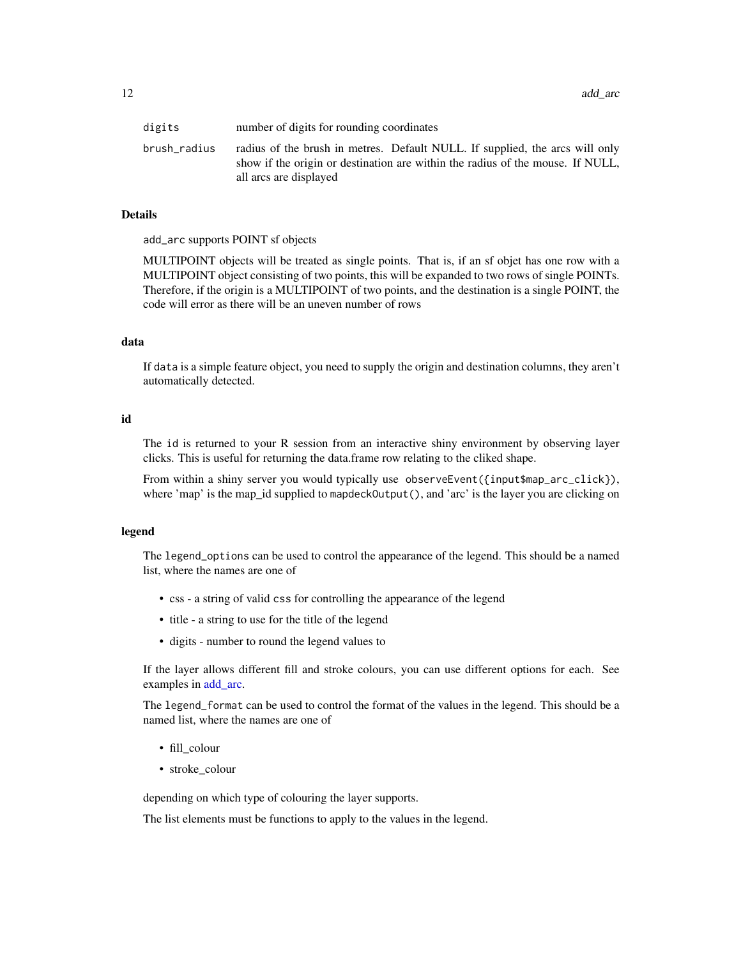| digits       | number of digits for rounding coordinates                                                                                                                                                |
|--------------|------------------------------------------------------------------------------------------------------------------------------------------------------------------------------------------|
| brush_radius | radius of the brush in metres. Default NULL. If supplied, the arcs will only<br>show if the origin or destination are within the radius of the mouse. If NULL,<br>all arcs are displayed |

# Details

add\_arc supports POINT sf objects

MULTIPOINT objects will be treated as single points. That is, if an sf objet has one row with a MULTIPOINT object consisting of two points, this will be expanded to two rows of single POINTs. Therefore, if the origin is a MULTIPOINT of two points, and the destination is a single POINT, the code will error as there will be an uneven number of rows

#### data

If data is a simple feature object, you need to supply the origin and destination columns, they aren't automatically detected.

# id

The id is returned to your R session from an interactive shiny environment by observing layer clicks. This is useful for returning the data.frame row relating to the cliked shape.

From within a shiny server you would typically use observeEvent({input\$map\_arc\_click}), where 'map' is the map\_id supplied to mapdeckOutput(), and 'arc' is the layer you are clicking on

#### legend

The legend\_options can be used to control the appearance of the legend. This should be a named list, where the names are one of

- css a string of valid css for controlling the appearance of the legend
- title a string to use for the title of the legend
- digits number to round the legend values to

If the layer allows different fill and stroke colours, you can use different options for each. See examples in [add\\_arc.](#page-9-1)

The legend\_format can be used to control the format of the values in the legend. This should be a named list, where the names are one of

- fill\_colour
- stroke colour

depending on which type of colouring the layer supports.

The list elements must be functions to apply to the values in the legend.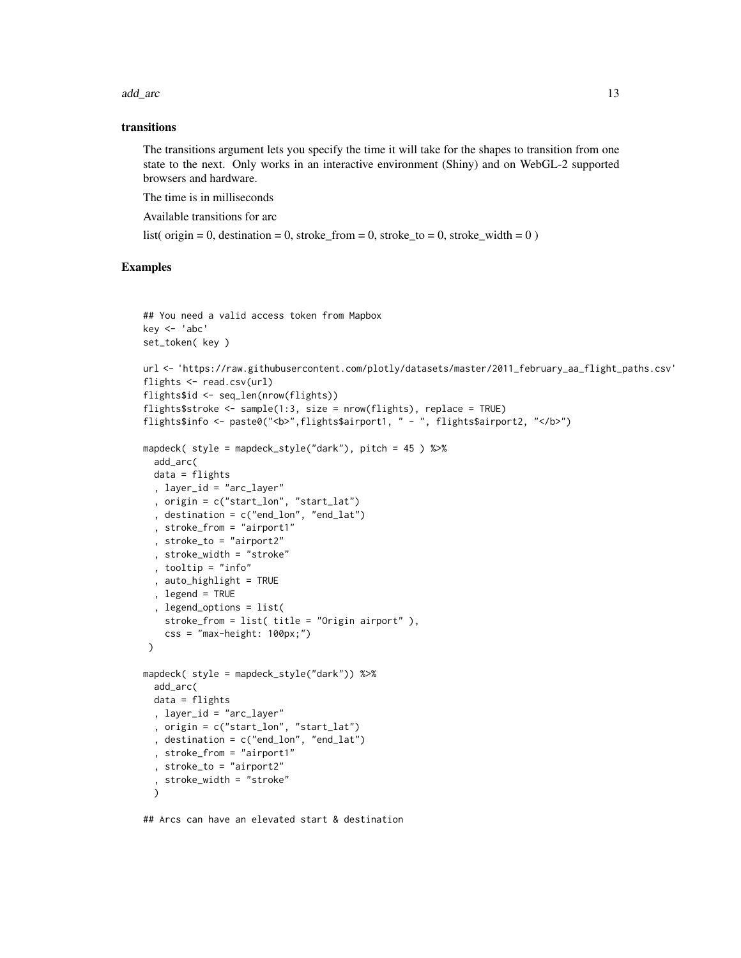add\_arc 13

#### transitions

The transitions argument lets you specify the time it will take for the shapes to transition from one state to the next. Only works in an interactive environment (Shiny) and on WebGL-2 supported browsers and hardware.

The time is in milliseconds

Available transitions for arc

list( origin = 0, destination = 0, stroke from = 0, stroke to = 0, stroke width = 0 )

# Examples

```
## You need a valid access token from Mapbox
key <- 'abc'
set_token( key )
url <- 'https://raw.githubusercontent.com/plotly/datasets/master/2011_february_aa_flight_paths.csv'
flights \leq read.csv(url)
flights$id <- seq_len(nrow(flights))
flights$stroke <- sample(1:3, size = nrow(flights), replace = TRUE)
flights$info <- paste0("<br/>b>",flights$airport1, " - ", flights$airport2, "</b>")
mapdeck( style = mapdeck_style("dark"), pitch = 45 ) %>%
  add_arc(
  data = flights
  , layer_id = "arc_layer"
  , origin = c("start_lon", "start_lat")
  , destination = c("end_lon", "end_lat")
  , stroke_from = "airport1"
  , stroke_to = "airport2"
  , stroke_width = "stroke"
  , tooltip = "info"
  , auto_highlight = TRUE
  , legend = TRUE
  , legend_options = list(
   stroke_from = list( title = "Origin airport" ),
    css = "max-height: 100px;")
 \lambdamapdeck( style = mapdeck_style("dark")) %>%
  add_arc(
  data = flights
  , layer_id = "arc_layer"
  , origin = c("start_lon", "start_lat")
  , destination = c("end_lon", "end_lat")
  , stroke_from = "airport1"
  , stroke_to = "airport2"
  , stroke_width = "stroke"
  )
```
## Arcs can have an elevated start & destination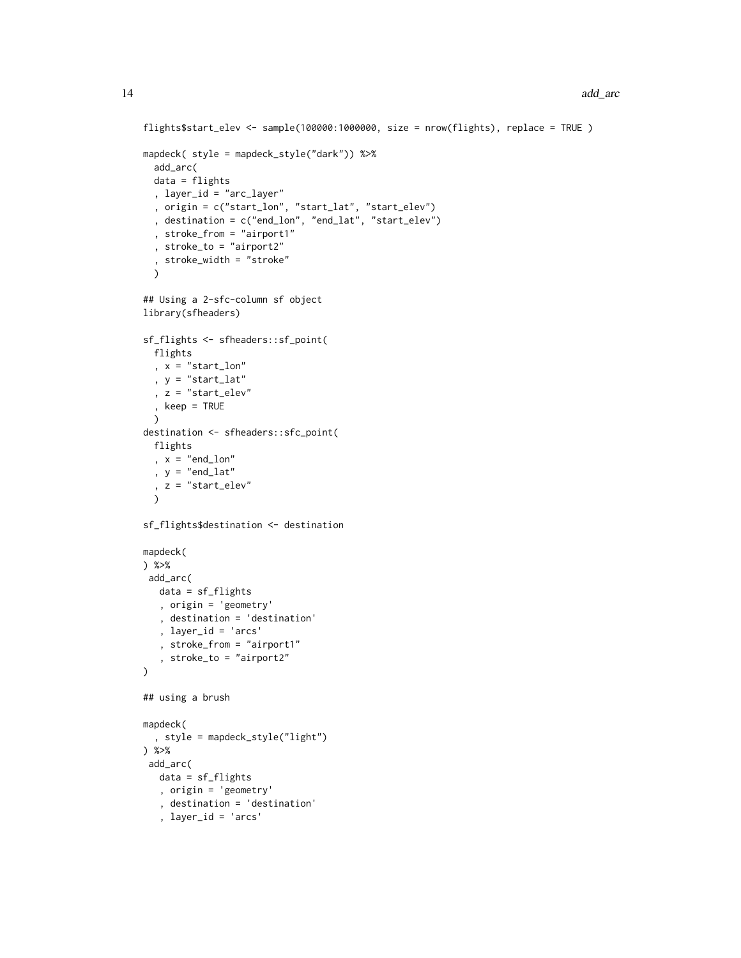```
flights$start_elev <- sample(100000:1000000, size = nrow(flights), replace = TRUE )
mapdeck( style = mapdeck_style("dark")) %>%
  add_arc(
 data = flights
  , layer_id = "arc_layer"
  , origin = c("start_lon", "start_lat", "start_elev")
  , destination = c("end_lon", "end_lat", "start_elev")
  , stroke_from = "airport1"
  , stroke_to = "airport2"
  , stroke_width = "stroke"
  \lambda## Using a 2-sfc-column sf object
library(sfheaders)
sf_flights <- sfheaders::sf_point(
 flights
  , x = "start\_lon", y = "start_lat"
  , z = "start_elev"
  , keep = TRUE
 \lambdadestination <- sfheaders::sfc_point(
 flights
  , x = "end\_lon", y = "end_lat", z = "start_elev"
  \lambdasf_flights$destination <- destination
mapdeck(
) %>%
add_arc(
  data = sf_flights
   , origin = 'geometry'
   , destination = 'destination'
   , layer_id = 'arcs'
   , stroke_from = "airport1"
   , stroke_to = "airport2"
)
## using a brush
mapdeck(
  , style = mapdeck_style("light")
) %>%
add_arc(
  data = sf_flights
  , origin = 'geometry'
   , destination = 'destination'
   , layer_id = 'arcs'
```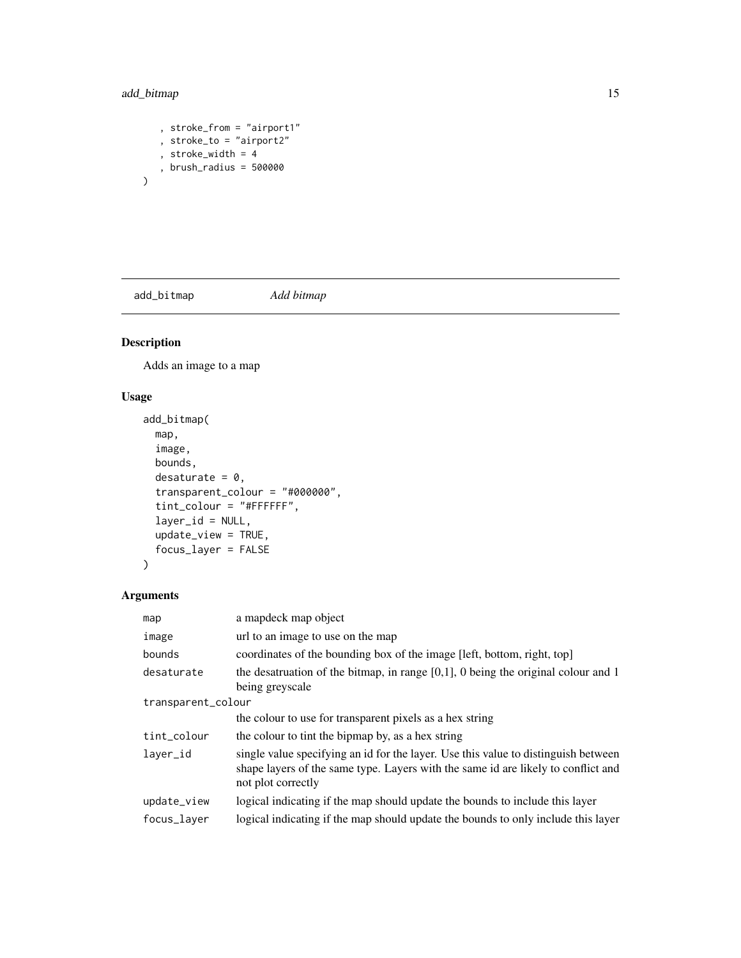# <span id="page-14-0"></span>add\_bitmap 15

 $\overline{\phantom{a}}$ 

```
, stroke_from = "airport1"
, stroke_to = "airport2"
, stroke_width = 4
, brush_radius = 500000
```
add\_bitmap *Add bitmap*

# Description

Adds an image to a map

# Usage

```
add_bitmap(
 map,
  image,
 bounds,
 desaturate = 0,
  transparent_colour = "#000000",
  tint_colour = "#FFFFFF",
  layer_id = NULL,
  update_view = TRUE,
  focus_layer = FALSE
)
```

| map                | a mapdeck map object                                                                                                                                                                          |  |  |  |  |  |
|--------------------|-----------------------------------------------------------------------------------------------------------------------------------------------------------------------------------------------|--|--|--|--|--|
| image              | url to an image to use on the map                                                                                                                                                             |  |  |  |  |  |
| bounds             | coordinates of the bounding box of the image [left, bottom, right, top]                                                                                                                       |  |  |  |  |  |
| desaturate         | the desatruation of the bitmap, in range $[0,1]$ , 0 being the original colour and 1<br>being greyscale                                                                                       |  |  |  |  |  |
| transparent_colour |                                                                                                                                                                                               |  |  |  |  |  |
|                    | the colour to use for transparent pixels as a hex string                                                                                                                                      |  |  |  |  |  |
| tint_colour        | the colour to tint the bipmap by, as a hex string                                                                                                                                             |  |  |  |  |  |
| layer_id           | single value specifying an id for the layer. Use this value to distinguish between<br>shape layers of the same type. Layers with the same id are likely to conflict and<br>not plot correctly |  |  |  |  |  |
| update_view        | logical indicating if the map should update the bounds to include this layer                                                                                                                  |  |  |  |  |  |
| focus_laver        | logical indicating if the map should update the bounds to only include this layer                                                                                                             |  |  |  |  |  |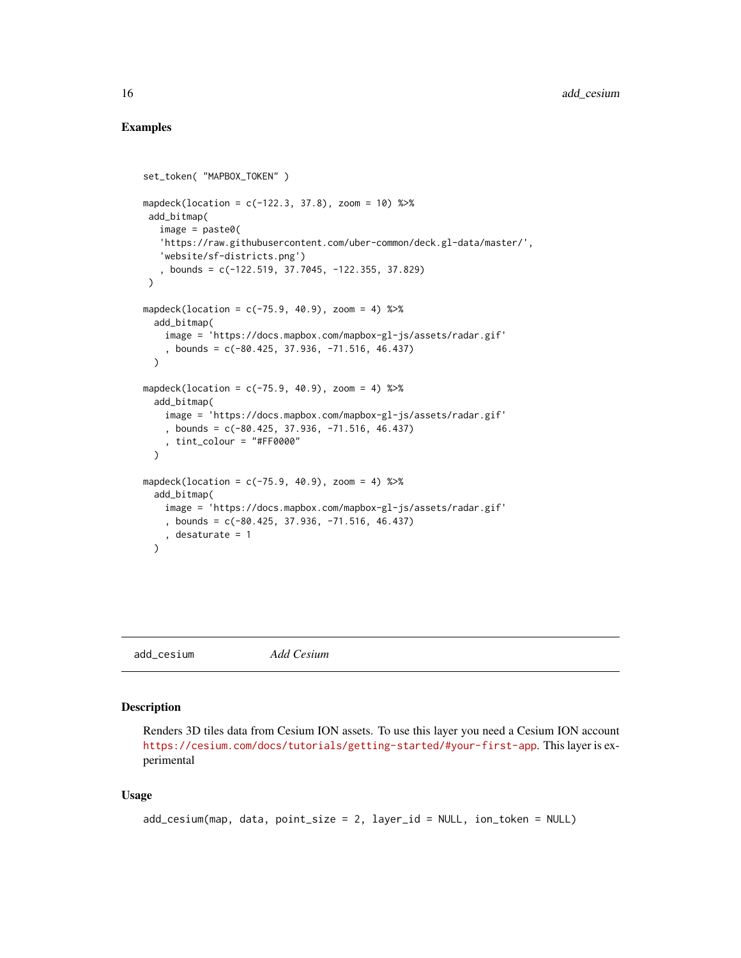# Examples

```
set_token( "MAPBOX_TOKEN" )
mapdeck(location = c(-122.3, 37.8), zoom = 10) %>%
add_bitmap(
   image = paste0('https://raw.githubusercontent.com/uber-common/deck.gl-data/master/',
   'website/sf-districts.png')
   , bounds = c(-122.519, 37.7045, -122.355, 37.829)
\lambdamapdeck(location = c(-75.9, 40.9), zoom = 4) %>%
 add_bitmap(
    image = 'https://docs.mapbox.com/mapbox-gl-js/assets/radar.gif'
    , bounds = c(-80.425, 37.936, -71.516, 46.437)
 \lambdamapdeck(location = c(-75.9, 40.9), zoom = 4) %>%
 add_bitmap(
    image = 'https://docs.mapbox.com/mapbox-gl-js/assets/radar.gif'
    , bounds = c(-80.425, 37.936, -71.516, 46.437)
    , tint_colour = "#FF0000"
 \lambdamapdeck(location = c(-75.9, 40.9), zoom = 4) %>%
 add_bitmap(
    image = 'https://docs.mapbox.com/mapbox-gl-js/assets/radar.gif'
    , bounds = c(-80.425, 37.936, -71.516, 46.437)
    , desaturate = 1
 )
```
add\_cesium *Add Cesium*

#### Description

Renders 3D tiles data from Cesium ION assets. To use this layer you need a Cesium ION account <https://cesium.com/docs/tutorials/getting-started/#your-first-app>. This layer is experimental

# Usage

```
add_cesium(map, data, point_size = 2, layer_id = NULL, ion_token = NULL)
```
<span id="page-15-0"></span>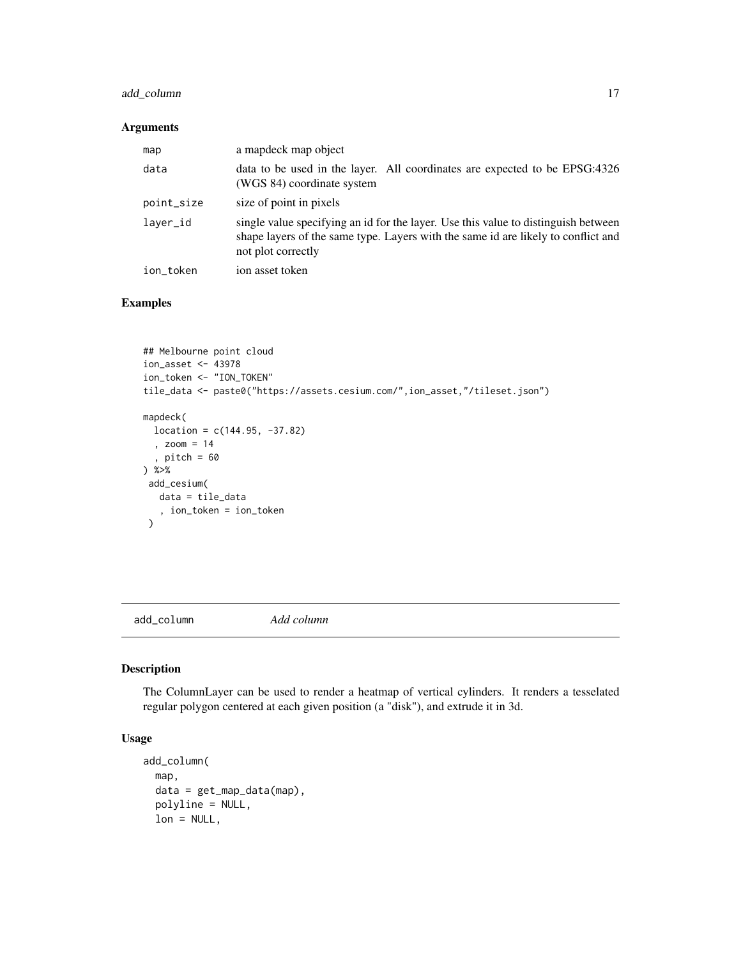# <span id="page-16-0"></span>add\_column 17

# Arguments

| map        | a map object                                                                                                                                                                                  |
|------------|-----------------------------------------------------------------------------------------------------------------------------------------------------------------------------------------------|
| data       | data to be used in the layer. All coordinates are expected to be EPSG:4326<br>(WGS 84) coordinate system                                                                                      |
| point_size | size of point in pixels                                                                                                                                                                       |
| laver_id   | single value specifying an id for the layer. Use this value to distinguish between<br>shape layers of the same type. Layers with the same id are likely to conflict and<br>not plot correctly |
| ion_token  | ion asset token                                                                                                                                                                               |

# Examples

```
## Melbourne point cloud
ion_asset <- 43978
ion_token <- "ION_TOKEN"
tile_data <- paste0("https://assets.cesium.com/",ion_asset,"/tileset.json")
mapdeck(
 location = c(144.95, -37.82), zoom = 14
  , pitch = 60) %>%
 add_cesium(
  data = tile_data
   , ion_token = ion_token
 )
```
add\_column *Add column*

# Description

The ColumnLayer can be used to render a heatmap of vertical cylinders. It renders a tesselated regular polygon centered at each given position (a "disk"), and extrude it in 3d.

# Usage

```
add_column(
  map,
  data = get_map_data(map),
  polyline = NULL,
  lon = NULL,
```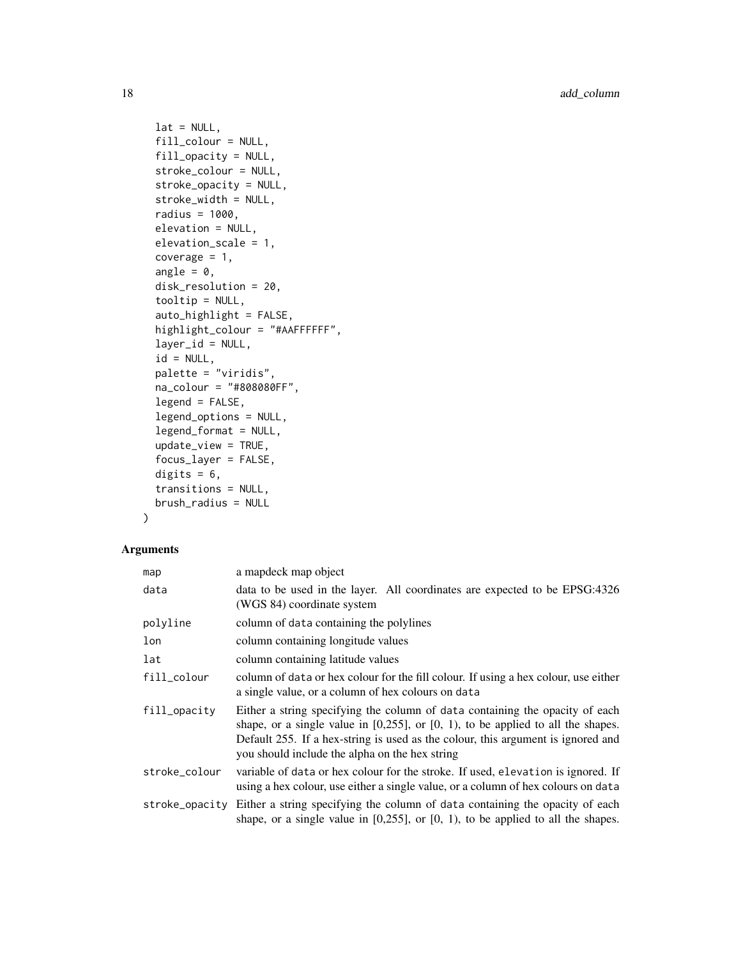```
lat = NULL,fill_colour = NULL,
fill_opacity = NULL,
stroke_colour = NULL,
stroke_opacity = NULL,
stroke_width = NULL,
radius = 1000,
elevation = NULL,
elevation_scale = 1,
coverage = 1,
angle = 0,
disk_resolution = 20,
tooltip = NULL,
auto_highlight = FALSE,
highlight_colour = "#AAFFFFFF",
layer_id = NULL,id = NULL,palette = "viridis",
na_colour = "#808080FF",
legend = FALSE,legend_options = NULL,
legend_format = NULL,
update_view = TRUE,
focus_layer = FALSE,
digits = 6,
transitions = NULL,
brush_radius = NULL
```
# Arguments

)

| map            | a mapdeck map object                                                                                                                                                                                                                                                                                         |
|----------------|--------------------------------------------------------------------------------------------------------------------------------------------------------------------------------------------------------------------------------------------------------------------------------------------------------------|
| data           | data to be used in the layer. All coordinates are expected to be EPSG:4326<br>(WGS 84) coordinate system                                                                                                                                                                                                     |
| polyline       | column of data containing the polylines                                                                                                                                                                                                                                                                      |
| lon            | column containing longitude values                                                                                                                                                                                                                                                                           |
| lat            | column containing latitude values                                                                                                                                                                                                                                                                            |
| fill_colour    | column of data or hex colour for the fill colour. If using a hex colour, use either<br>a single value, or a column of hex colours on data                                                                                                                                                                    |
| fill_opacity   | Either a string specifying the column of data containing the opacity of each<br>shape, or a single value in $[0,255]$ , or $[0, 1)$ , to be applied to all the shapes.<br>Default 255. If a hex-string is used as the colour, this argument is ignored and<br>you should include the alpha on the hex string |
| stroke_colour  | variable of data or hex colour for the stroke. If used, elevation is ignored. If<br>using a hex colour, use either a single value, or a column of hex colours on data                                                                                                                                        |
| stroke_opacity | Either a string specifying the column of data containing the opacity of each<br>shape, or a single value in $[0,255]$ , or $[0, 1)$ , to be applied to all the shapes.                                                                                                                                       |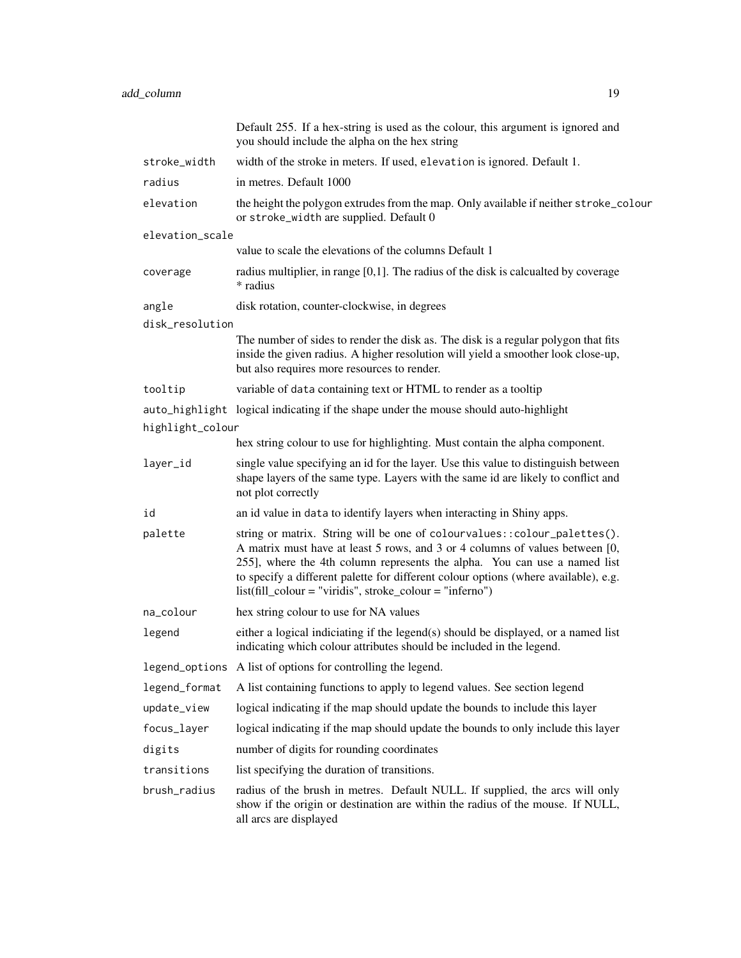|                  | Default 255. If a hex-string is used as the colour, this argument is ignored and<br>you should include the alpha on the hex string                                                                                                                                                                                                                                                             |
|------------------|------------------------------------------------------------------------------------------------------------------------------------------------------------------------------------------------------------------------------------------------------------------------------------------------------------------------------------------------------------------------------------------------|
| stroke_width     | width of the stroke in meters. If used, elevation is ignored. Default 1.                                                                                                                                                                                                                                                                                                                       |
| radius           | in metres. Default 1000                                                                                                                                                                                                                                                                                                                                                                        |
| elevation        | the height the polygon extrudes from the map. Only available if neither stroke_colour<br>or stroke_width are supplied. Default 0                                                                                                                                                                                                                                                               |
| elevation_scale  |                                                                                                                                                                                                                                                                                                                                                                                                |
|                  | value to scale the elevations of the columns Default 1                                                                                                                                                                                                                                                                                                                                         |
| coverage         | radius multiplier, in range $[0,1]$ . The radius of the disk is calcualted by coverage<br>* radius                                                                                                                                                                                                                                                                                             |
| angle            | disk rotation, counter-clockwise, in degrees                                                                                                                                                                                                                                                                                                                                                   |
| disk_resolution  |                                                                                                                                                                                                                                                                                                                                                                                                |
|                  | The number of sides to render the disk as. The disk is a regular polygon that fits<br>inside the given radius. A higher resolution will yield a smoother look close-up,<br>but also requires more resources to render.                                                                                                                                                                         |
| tooltip          | variable of data containing text or HTML to render as a tooltip                                                                                                                                                                                                                                                                                                                                |
|                  | auto_highlight logical indicating if the shape under the mouse should auto-highlight                                                                                                                                                                                                                                                                                                           |
| highlight_colour |                                                                                                                                                                                                                                                                                                                                                                                                |
|                  | hex string colour to use for highlighting. Must contain the alpha component.                                                                                                                                                                                                                                                                                                                   |
| layer_id         | single value specifying an id for the layer. Use this value to distinguish between<br>shape layers of the same type. Layers with the same id are likely to conflict and<br>not plot correctly                                                                                                                                                                                                  |
| id               | an id value in data to identify layers when interacting in Shiny apps.                                                                                                                                                                                                                                                                                                                         |
| palette          | string or matrix. String will be one of colourvalues:: colour_palettes().<br>A matrix must have at least 5 rows, and 3 or 4 columns of values between [0,<br>255], where the 4th column represents the alpha. You can use a named list<br>to specify a different palette for different colour options (where available), e.g.<br>$list (fill\_colour = "viridis", stroke\_colour = "inferno")$ |
| na_colour        | hex string colour to use for NA values                                                                                                                                                                                                                                                                                                                                                         |
| legend           | either a logical indiciating if the legend(s) should be displayed, or a named list<br>indicating which colour attributes should be included in the legend.                                                                                                                                                                                                                                     |
|                  | legend_options A list of options for controlling the legend.                                                                                                                                                                                                                                                                                                                                   |
| legend_format    | A list containing functions to apply to legend values. See section legend                                                                                                                                                                                                                                                                                                                      |
| update_view      | logical indicating if the map should update the bounds to include this layer                                                                                                                                                                                                                                                                                                                   |
| focus_layer      | logical indicating if the map should update the bounds to only include this layer                                                                                                                                                                                                                                                                                                              |
| digits           | number of digits for rounding coordinates                                                                                                                                                                                                                                                                                                                                                      |
| transitions      | list specifying the duration of transitions.                                                                                                                                                                                                                                                                                                                                                   |
| brush_radius     | radius of the brush in metres. Default NULL. If supplied, the arcs will only<br>show if the origin or destination are within the radius of the mouse. If NULL,<br>all arcs are displayed                                                                                                                                                                                                       |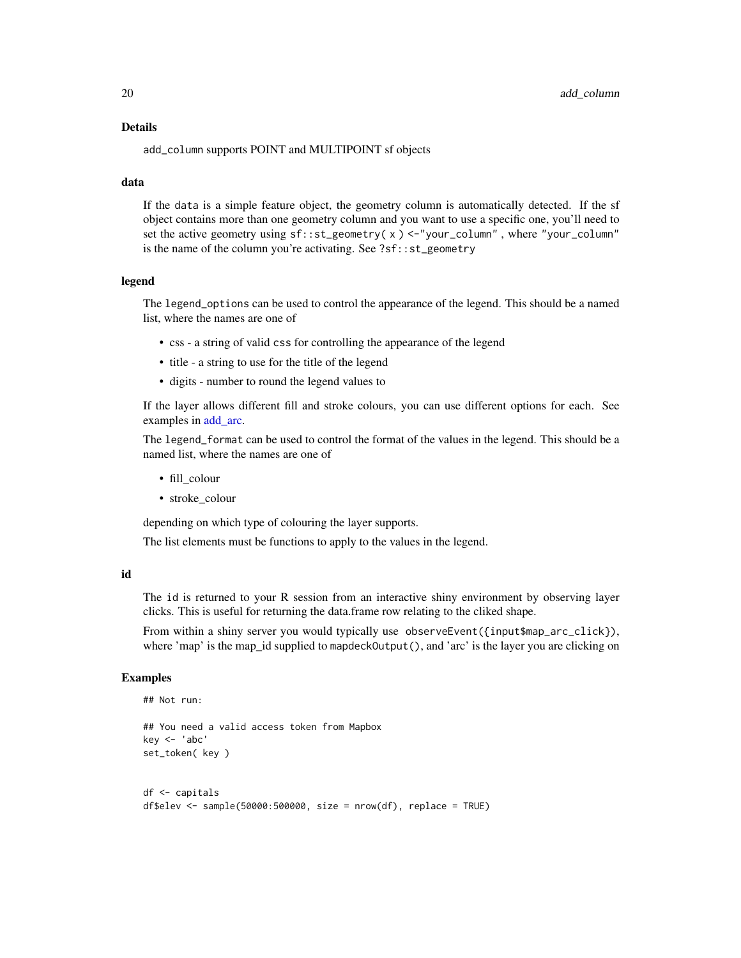#### Details

add\_column supports POINT and MULTIPOINT sf objects

#### data

If the data is a simple feature object, the geometry column is automatically detected. If the sf object contains more than one geometry column and you want to use a specific one, you'll need to set the active geometry using  $sf:st\_geometry(x) < -$ "your\_column", where "your\_column" is the name of the column you're activating. See ?sf::st\_geometry

#### legend

The legend\_options can be used to control the appearance of the legend. This should be a named list, where the names are one of

- css a string of valid css for controlling the appearance of the legend
- title a string to use for the title of the legend
- digits number to round the legend values to

If the layer allows different fill and stroke colours, you can use different options for each. See examples in [add\\_arc.](#page-9-1)

The legend\_format can be used to control the format of the values in the legend. This should be a named list, where the names are one of

- fill\_colour
- stroke\_colour

depending on which type of colouring the layer supports.

The list elements must be functions to apply to the values in the legend.

#### id

The id is returned to your R session from an interactive shiny environment by observing layer clicks. This is useful for returning the data.frame row relating to the cliked shape.

From within a shiny server you would typically use observeEvent({input\$map\_arc\_click}), where 'map' is the map\_id supplied to mapdeckOutput(), and 'arc' is the layer you are clicking on

#### Examples

```
## Not run:
## You need a valid access token from Mapbox
key <- 'abc'
set_token( key )
df <- capitals
df$elev <- sample(50000:500000, size = nrow(df), replace = TRUE)
```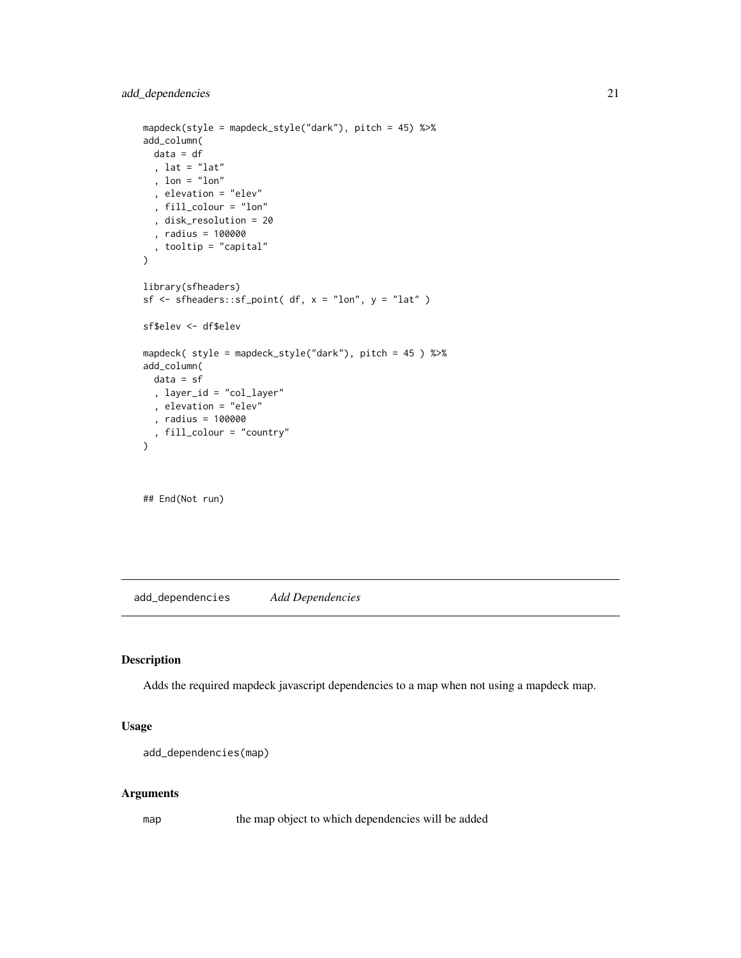```
mapdeck(style = mapdeck_style("dark"), pitch = 45) %>%
add_column(
 data = df
 , lat = "lat"
  , lon = "lon"
  , elevation = "elev"
  , fill_colour = "lon"
  , disk_resolution = 20
  , radius = 100000
  , tooltip = "capital"
)
library(sfheaders)
sf \leq sfheaders::sf_point( df, x = "lon", y = "lat" )
sf$elev <- df$elev
mapdeck( style = mapdeck_style("dark"), pitch = 45 ) %>%
add_column(
 data = sf
  , layer_id = "col_layer"
  , elevation = "elev"
  , radius = 100000
  , fill_colour = "country"
\overline{\phantom{a}}
```
## End(Not run)

add\_dependencies *Add Dependencies*

# Description

Adds the required mapdeck javascript dependencies to a map when not using a mapdeck map.

# Usage

```
add_dependencies(map)
```
#### Arguments

map the map object to which dependencies will be added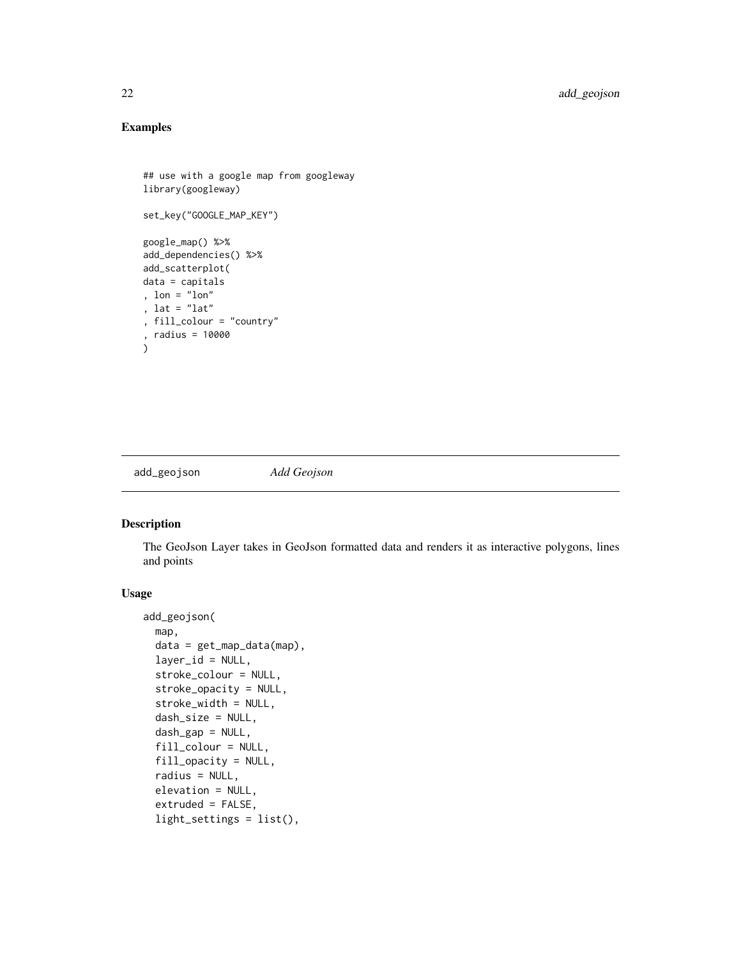# Examples

```
## use with a google map from googleway
library(googleway)
set_key("GOOGLE_MAP_KEY")
google_map() %>%
add_dependencies() %>%
add_scatterplot(
data = capitals
, lon = "lon"
, lat = "lat"
, fill_colour = "country"
, radius = 10000
\lambda
```
add\_geojson *Add Geojson*

#### Description

The GeoJson Layer takes in GeoJson formatted data and renders it as interactive polygons, lines and points

## Usage

```
add_geojson(
  map,
 data = get_map_data(map),
  layer_id = NULL,stroke_colour = NULL,
  stroke_opacity = NULL,
  stroke_width = NULL,
  dash_size = NULL,
  dash_gap = NULL,
  fill_colour = NULL,
  fill_opacity = NULL,
  radius = NULL,
  elevation = NULL,
  extruded = FALSE,light_settings = list(),
```
<span id="page-21-0"></span>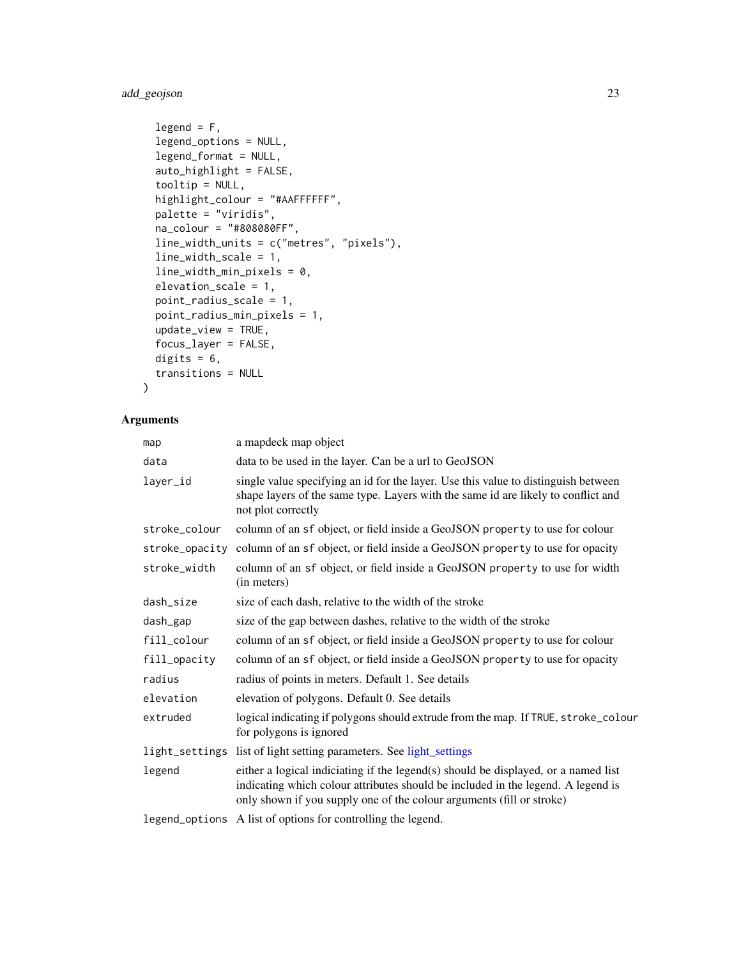# add\_geojson 23

```
legend = F,
  legend_options = NULL,
  legend_format = NULL,
  auto_highlight = FALSE,
  tooltip = NULL,
  highlight_colour = "#AAFFFFFF",
 palette = "viridis",
 na_colour = "#808080FF",
 line_width_units = c("metres", "pixels"),
  line_width_scale = 1,
  line_width_min_pixels = 0,
  elevation_scale = 1,
 point_radius_scale = 1,
 point_radius_min_pixels = 1,
  update_view = TRUE,
  focus_layer = FALSE,
  digits = 6,
  transitions = NULL
\mathcal{L}
```

| map            | a mapdeck map object                                                                                                                                                                                                                            |
|----------------|-------------------------------------------------------------------------------------------------------------------------------------------------------------------------------------------------------------------------------------------------|
| data           | data to be used in the layer. Can be a url to GeoJSON                                                                                                                                                                                           |
| layer_id       | single value specifying an id for the layer. Use this value to distinguish between<br>shape layers of the same type. Layers with the same id are likely to conflict and<br>not plot correctly                                                   |
| stroke_colour  | column of an sf object, or field inside a GeoJSON property to use for colour                                                                                                                                                                    |
| stroke_opacity | column of an sf object, or field inside a GeoJSON property to use for opacity                                                                                                                                                                   |
| stroke_width   | column of an sf object, or field inside a GeoJSON property to use for width<br>(in meters)                                                                                                                                                      |
| dash_size      | size of each dash, relative to the width of the stroke                                                                                                                                                                                          |
| dash_gap       | size of the gap between dashes, relative to the width of the stroke                                                                                                                                                                             |
| fill_colour    | column of an sf object, or field inside a GeoJSON property to use for colour                                                                                                                                                                    |
| fill_opacity   | column of an sf object, or field inside a GeoJSON property to use for opacity                                                                                                                                                                   |
| radius         | radius of points in meters. Default 1. See details                                                                                                                                                                                              |
| elevation      | elevation of polygons. Default 0. See details                                                                                                                                                                                                   |
| extruded       | logical indicating if polygons should extrude from the map. If TRUE, stroke_colour<br>for polygons is ignored                                                                                                                                   |
|                | light_settings list of light setting parameters. See light_settings                                                                                                                                                                             |
| legend         | either a logical indiciating if the legend(s) should be displayed, or a named list<br>indicating which colour attributes should be included in the legend. A legend is<br>only shown if you supply one of the colour arguments (fill or stroke) |
|                | legend_options A list of options for controlling the legend.                                                                                                                                                                                    |
|                |                                                                                                                                                                                                                                                 |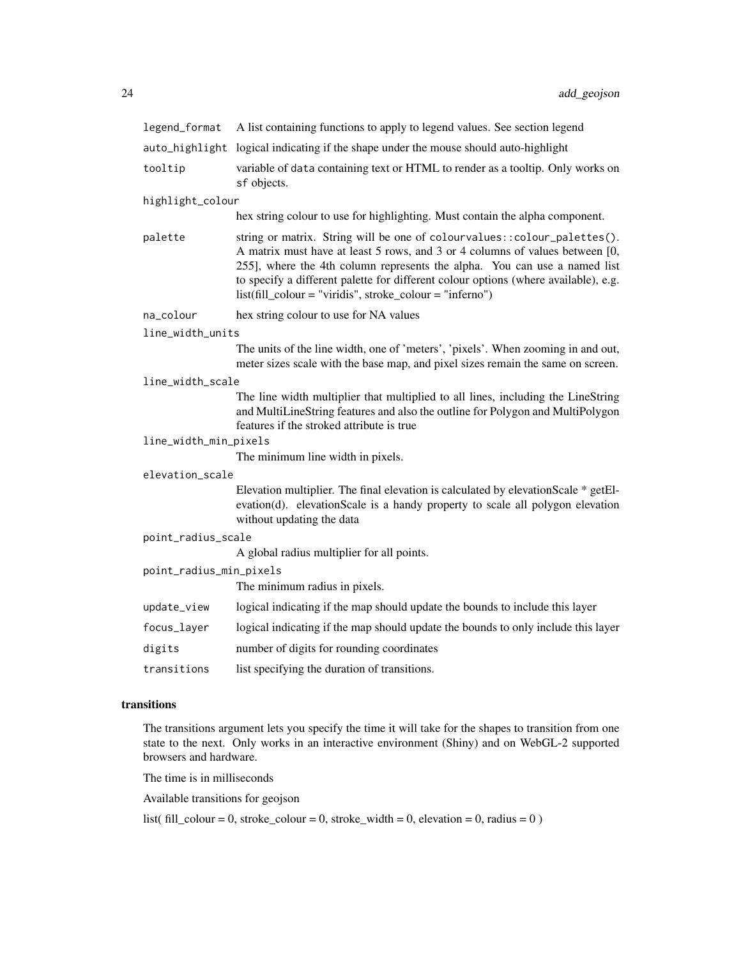| legend_format                                            | A list containing functions to apply to legend values. See section legend                                                                                                                                                                                                                                                                                                                      |
|----------------------------------------------------------|------------------------------------------------------------------------------------------------------------------------------------------------------------------------------------------------------------------------------------------------------------------------------------------------------------------------------------------------------------------------------------------------|
|                                                          | auto_highlight logical indicating if the shape under the mouse should auto-highlight                                                                                                                                                                                                                                                                                                           |
| tooltip                                                  | variable of data containing text or HTML to render as a tooltip. Only works on<br>sf objects.                                                                                                                                                                                                                                                                                                  |
| highlight_colour                                         |                                                                                                                                                                                                                                                                                                                                                                                                |
|                                                          | hex string colour to use for highlighting. Must contain the alpha component.                                                                                                                                                                                                                                                                                                                   |
| palette                                                  | string or matrix. String will be one of colourvalues:: colour_palettes().<br>A matrix must have at least 5 rows, and 3 or 4 columns of values between [0,<br>255], where the 4th column represents the alpha. You can use a named list<br>to specify a different palette for different colour options (where available), e.g.<br>$list (fill\_colour = "viridis", stroke\_colour = "inferno")$ |
| na_colour                                                | hex string colour to use for NA values                                                                                                                                                                                                                                                                                                                                                         |
| line_width_units                                         |                                                                                                                                                                                                                                                                                                                                                                                                |
|                                                          | The units of the line width, one of 'meters', 'pixels'. When zooming in and out,<br>meter sizes scale with the base map, and pixel sizes remain the same on screen.                                                                                                                                                                                                                            |
| line_width_scale                                         |                                                                                                                                                                                                                                                                                                                                                                                                |
|                                                          | The line width multiplier that multiplied to all lines, including the LineString<br>and MultiLineString features and also the outline for Polygon and MultiPolygon<br>features if the stroked attribute is true                                                                                                                                                                                |
| line_width_min_pixels                                    |                                                                                                                                                                                                                                                                                                                                                                                                |
|                                                          | The minimum line width in pixels.                                                                                                                                                                                                                                                                                                                                                              |
| elevation_scale                                          |                                                                                                                                                                                                                                                                                                                                                                                                |
|                                                          | Elevation multiplier. The final elevation is calculated by elevationScale * getEl-<br>evation(d). elevationScale is a handy property to scale all polygon elevation<br>without updating the data                                                                                                                                                                                               |
| point_radius_scale                                       |                                                                                                                                                                                                                                                                                                                                                                                                |
|                                                          | A global radius multiplier for all points.                                                                                                                                                                                                                                                                                                                                                     |
| point_radius_min_pixels<br>The minimum radius in pixels. |                                                                                                                                                                                                                                                                                                                                                                                                |
| update_view                                              | logical indicating if the map should update the bounds to include this layer                                                                                                                                                                                                                                                                                                                   |
| focus_layer                                              | logical indicating if the map should update the bounds to only include this layer                                                                                                                                                                                                                                                                                                              |
| digits                                                   | number of digits for rounding coordinates                                                                                                                                                                                                                                                                                                                                                      |
| transitions                                              | list specifying the duration of transitions.                                                                                                                                                                                                                                                                                                                                                   |

# transitions

The transitions argument lets you specify the time it will take for the shapes to transition from one state to the next. Only works in an interactive environment (Shiny) and on WebGL-2 supported browsers and hardware.

The time is in milliseconds

Available transitions for geojson

list( fill\_colour = 0, stroke\_colour = 0, stroke\_width = 0, elevation = 0, radius = 0 )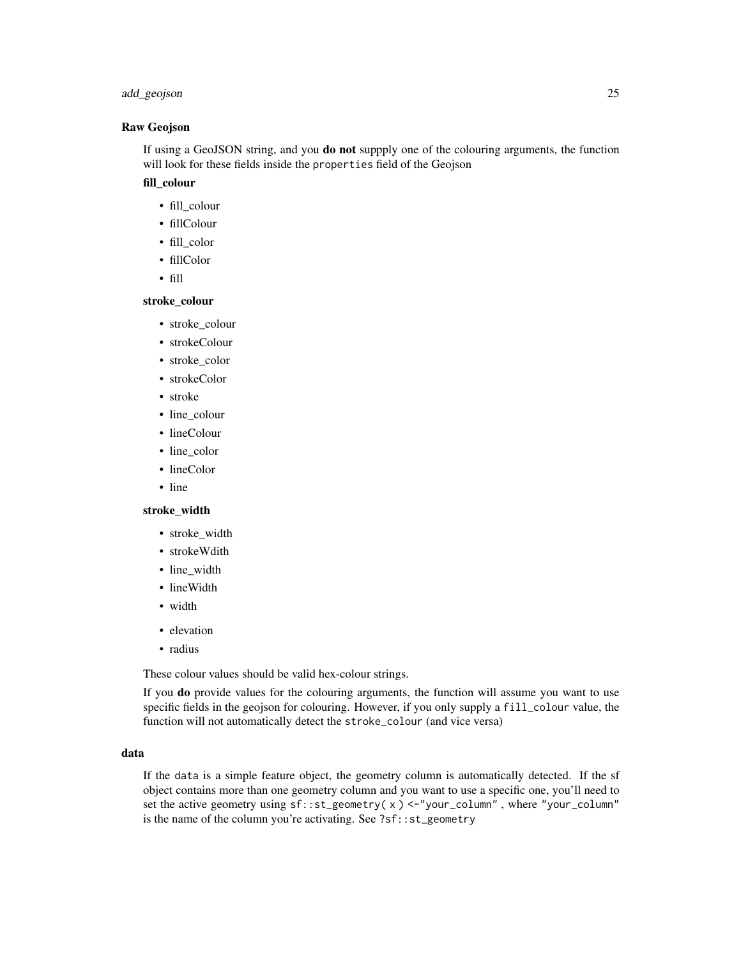# add\_geojson 25

#### Raw Geojson

If using a GeoJSON string, and you do not suppply one of the colouring arguments, the function will look for these fields inside the properties field of the Geojson

# fill\_colour

- fill\_colour
- fillColour
- fill\_color
- fillColor
- fill

#### stroke\_colour

- stroke\_colour
- strokeColour
- stroke\_color
- strokeColor
- stroke
- line\_colour
- lineColour
- line\_color
- lineColor
- line

# stroke\_width

- stroke\_width
- strokeWdith
- line\_width
- lineWidth
- width
- elevation
- radius

These colour values should be valid hex-colour strings.

If you do provide values for the colouring arguments, the function will assume you want to use specific fields in the geojson for colouring. However, if you only supply a fill\_colour value, the function will not automatically detect the stroke\_colour (and vice versa)

#### data

If the data is a simple feature object, the geometry column is automatically detected. If the sf object contains more than one geometry column and you want to use a specific one, you'll need to set the active geometry using sf::st\_geometry( x ) <-"your\_column" , where "your\_column" is the name of the column you're activating. See ?sf::st\_geometry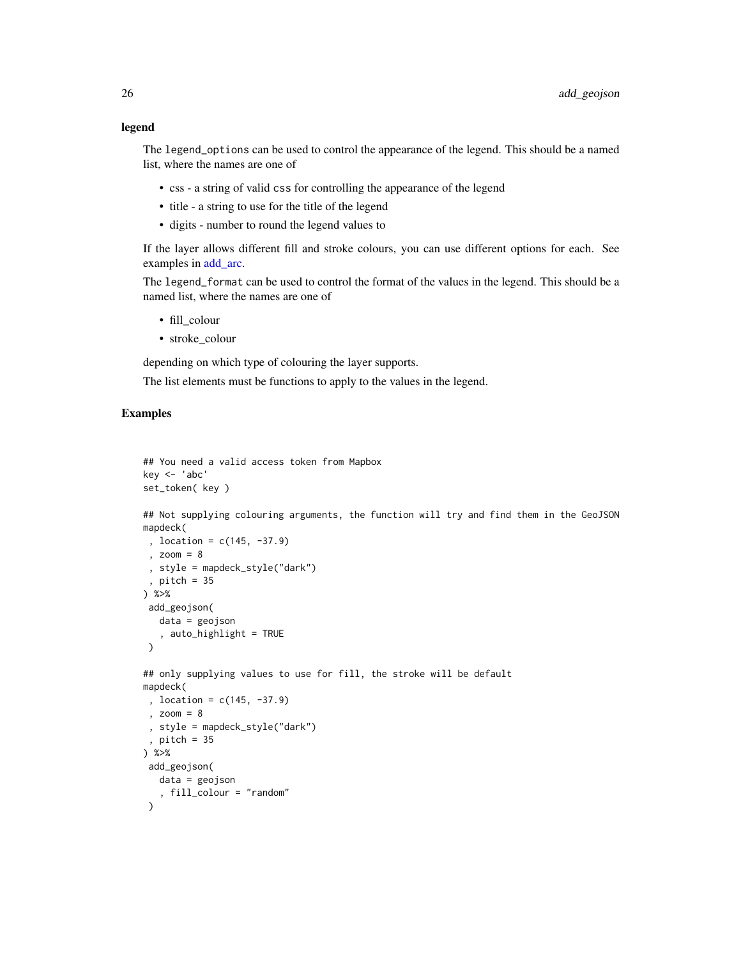#### legend

The legend\_options can be used to control the appearance of the legend. This should be a named list, where the names are one of

- css a string of valid css for controlling the appearance of the legend
- title a string to use for the title of the legend
- digits number to round the legend values to

If the layer allows different fill and stroke colours, you can use different options for each. See examples in [add\\_arc.](#page-9-1)

The legend\_format can be used to control the format of the values in the legend. This should be a named list, where the names are one of

- fill\_colour
- stroke\_colour

depending on which type of colouring the layer supports.

The list elements must be functions to apply to the values in the legend.

# Examples

```
## You need a valid access token from Mapbox
key <- 'abc'
set_token( key )
## Not supplying colouring arguments, the function will try and find them in the GeoJSON
mapdeck(
 , location = c(145, -37.9)
 , zoom = 8
 , style = mapdeck_style("dark")
 , pitch = 35
) %>%
 add_geojson(
  data = geojson
   , auto_highlight = TRUE
 )
## only supplying values to use for fill, the stroke will be default
mapdeck(
 , location = c(145, -37.9)
 , zoom = 8
 , style = mapdeck_style("dark")
 , pitch = 35
) %>%
 add_geojson(
  data = geojson
   , fill_colour = "random"
 \lambda
```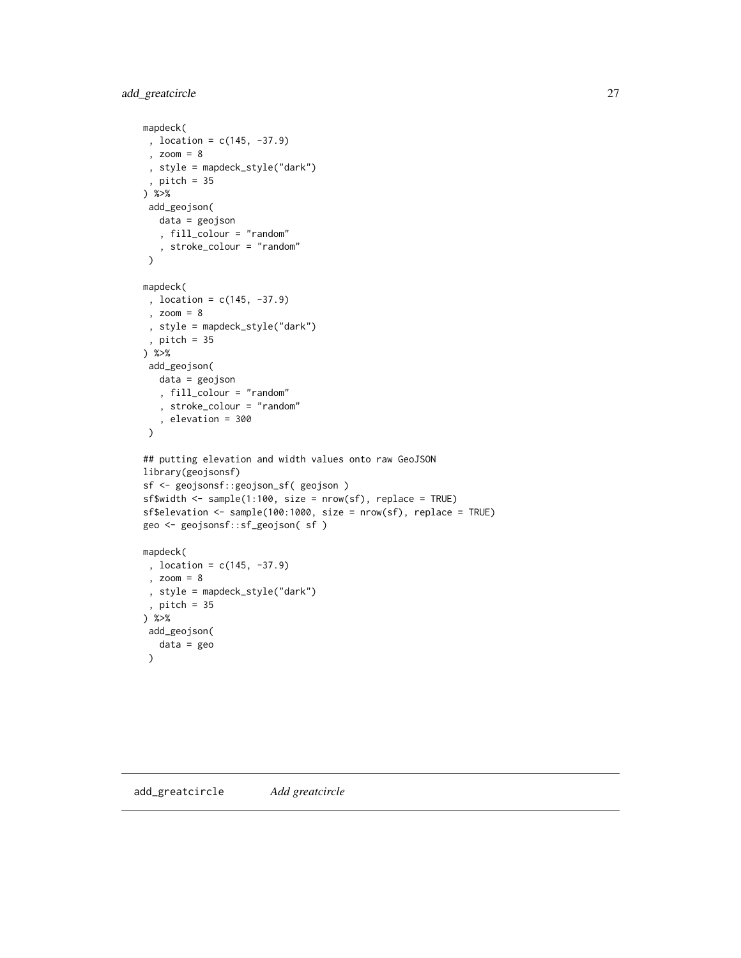# <span id="page-26-0"></span>add\_greatcircle 27

```
mapdeck(
 , location = c(145, -37.9)
 , zoom = 8
 , style = mapdeck_style("dark")
 , pitch = 35
) %>%
add_geojson(
  data = geojson
   , fill_colour = "random"
   , stroke_colour = "random"
 \mathcal{L}mapdeck(
 , location = c(145, -37.9)
 , zoom = 8
 , style = mapdeck_style("dark")
 , pitch = 35
) %>%
 add_geojson(
  data = geojson
  , fill_colour = "random"
   , stroke_colour = "random"
   , elevation = 300
 )
## putting elevation and width values onto raw GeoJSON
library(geojsonsf)
sf <- geojsonsf::geojson_sf( geojson )
sf$width <- sample(1:100, size = nrow(sf), replace = TRUE)
sf$elevation <- sample(100:1000, size = nrow(sf), replace = TRUE)
geo <- geojsonsf::sf_geojson( sf )
mapdeck(
 , location = c(145, -37.9)
 , zoom = 8
 , style = mapdeck_style("dark")
 , pitch = 35
) %>%
 add_geojson(
  data = geo
 )
```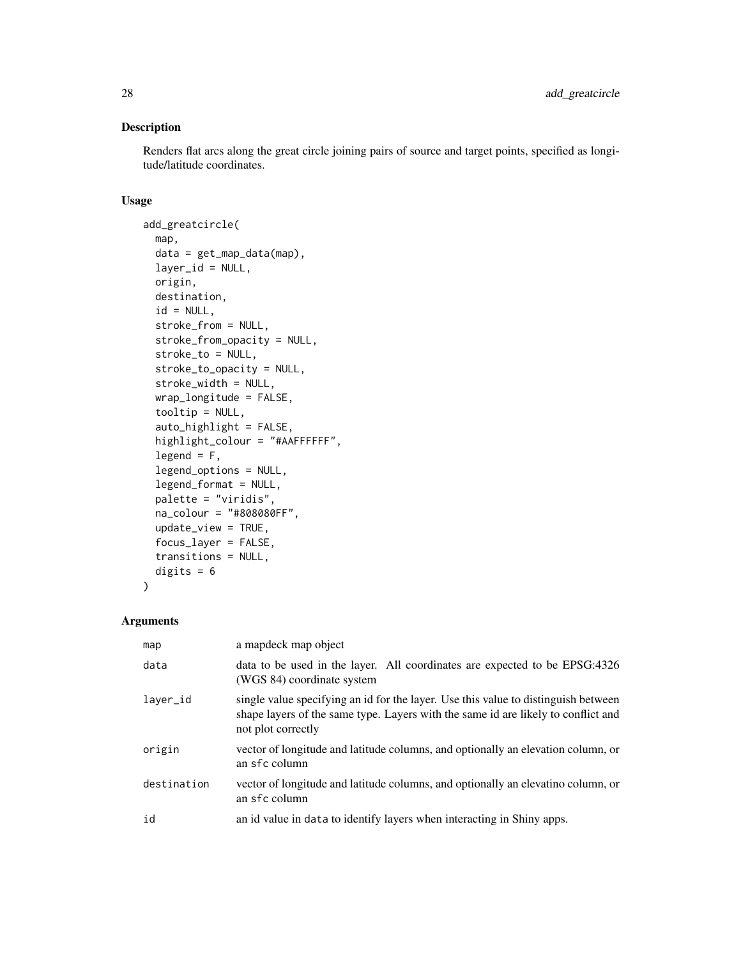# Description

Renders flat arcs along the great circle joining pairs of source and target points, specified as longitude/latitude coordinates.

# Usage

```
add_greatcircle(
 map,
 data = get_map_data(map),
  layer_id = NULL,origin,
 destination,
  id = NULL,stroke_from = NULL,
  stroke_from_opacity = NULL,
  stroke_to = NULL,
  stroke_to_opacity = NULL,
  stroke_width = NULL,
 wrap_longitude = FALSE,
  tooltip = NULL,
  auto_highlight = FALSE,
 highlight_colour = "#AAFFFFFF",
  legend = F,
  legend_options = NULL,
  legend_format = NULL,
 palette = "viridis",
 na_colour = "#808080FF",
 update_view = TRUE,
  focus_layer = FALSE,
  transitions = NULL,
 digits = 6\mathcal{L}
```

| map         | a mapdeck map object                                                                                                                                                                          |
|-------------|-----------------------------------------------------------------------------------------------------------------------------------------------------------------------------------------------|
| data        | data to be used in the layer. All coordinates are expected to be EPSG:4326<br>(WGS 84) coordinate system                                                                                      |
| laver_id    | single value specifying an id for the layer. Use this value to distinguish between<br>shape layers of the same type. Layers with the same id are likely to conflict and<br>not plot correctly |
| origin      | vector of longitude and latitude columns, and optionally an elevation column, or<br>an sfc column                                                                                             |
| destination | vector of longitude and latitude columns, and optionally an elevatino column, or<br>an sfc column                                                                                             |
| id          | an id value in data to identify layers when interacting in Shiny apps.                                                                                                                        |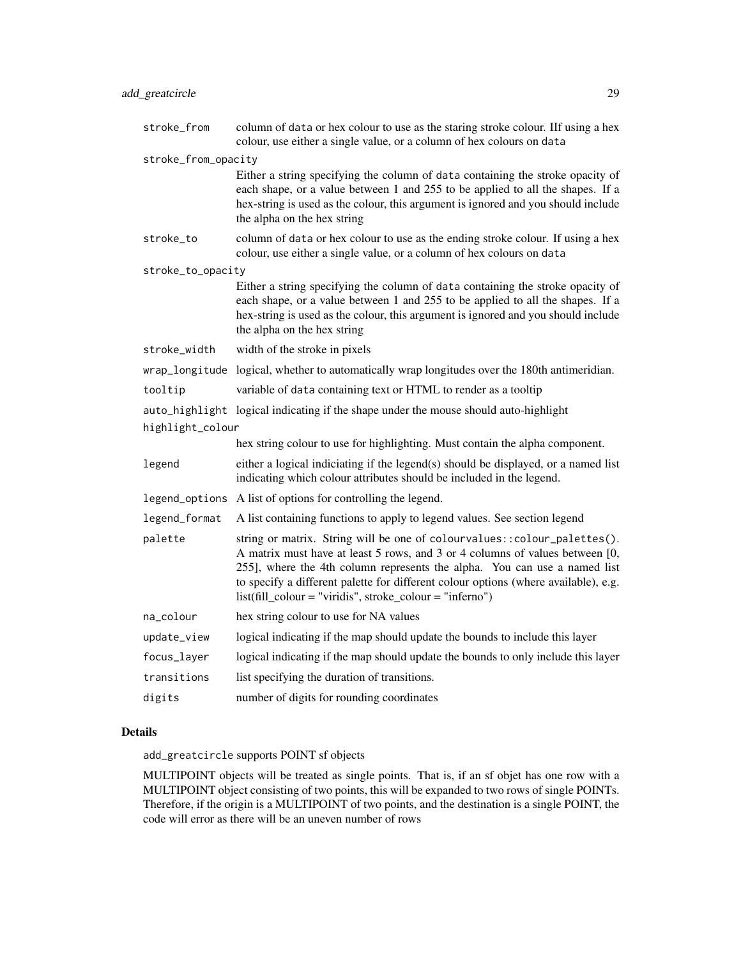| stroke_from         | column of data or hex colour to use as the staring stroke colour. If using a hex<br>colour, use either a single value, or a column of hex colours on data                                                                                                                                                                                                                                      |
|---------------------|------------------------------------------------------------------------------------------------------------------------------------------------------------------------------------------------------------------------------------------------------------------------------------------------------------------------------------------------------------------------------------------------|
| stroke_from_opacity |                                                                                                                                                                                                                                                                                                                                                                                                |
|                     | Either a string specifying the column of data containing the stroke opacity of<br>each shape, or a value between 1 and 255 to be applied to all the shapes. If a<br>hex-string is used as the colour, this argument is ignored and you should include<br>the alpha on the hex string                                                                                                           |
| stroke_to           | column of data or hex colour to use as the ending stroke colour. If using a hex<br>colour, use either a single value, or a column of hex colours on data                                                                                                                                                                                                                                       |
| stroke_to_opacity   |                                                                                                                                                                                                                                                                                                                                                                                                |
|                     | Either a string specifying the column of data containing the stroke opacity of<br>each shape, or a value between 1 and 255 to be applied to all the shapes. If a<br>hex-string is used as the colour, this argument is ignored and you should include<br>the alpha on the hex string                                                                                                           |
| stroke_width        | width of the stroke in pixels                                                                                                                                                                                                                                                                                                                                                                  |
|                     | wrap_longitude logical, whether to automatically wrap longitudes over the 180th antimeridian.                                                                                                                                                                                                                                                                                                  |
| tooltip             | variable of data containing text or HTML to render as a tooltip                                                                                                                                                                                                                                                                                                                                |
|                     | auto_highlight logical indicating if the shape under the mouse should auto-highlight                                                                                                                                                                                                                                                                                                           |
| highlight_colour    |                                                                                                                                                                                                                                                                                                                                                                                                |
|                     | hex string colour to use for highlighting. Must contain the alpha component.                                                                                                                                                                                                                                                                                                                   |
| legend              | either a logical indiciating if the legend(s) should be displayed, or a named list<br>indicating which colour attributes should be included in the legend.                                                                                                                                                                                                                                     |
|                     | legend_options A list of options for controlling the legend.                                                                                                                                                                                                                                                                                                                                   |
| legend_format       | A list containing functions to apply to legend values. See section legend                                                                                                                                                                                                                                                                                                                      |
| palette             | string or matrix. String will be one of colourvalues:: colour_palettes().<br>A matrix must have at least 5 rows, and 3 or 4 columns of values between [0,<br>255], where the 4th column represents the alpha. You can use a named list<br>to specify a different palette for different colour options (where available), e.g.<br>$list (fill\_colour = "viridis", stroke\_colour = "inferno")$ |
| na_colour           | hex string colour to use for NA values                                                                                                                                                                                                                                                                                                                                                         |
| update_view         | logical indicating if the map should update the bounds to include this layer                                                                                                                                                                                                                                                                                                                   |
| focus_layer         | logical indicating if the map should update the bounds to only include this layer                                                                                                                                                                                                                                                                                                              |
| transitions         | list specifying the duration of transitions.                                                                                                                                                                                                                                                                                                                                                   |
| digits              | number of digits for rounding coordinates                                                                                                                                                                                                                                                                                                                                                      |

# Details

add\_greatcircle supports POINT sf objects

MULTIPOINT objects will be treated as single points. That is, if an sf objet has one row with a MULTIPOINT object consisting of two points, this will be expanded to two rows of single POINTs. Therefore, if the origin is a MULTIPOINT of two points, and the destination is a single POINT, the code will error as there will be an uneven number of rows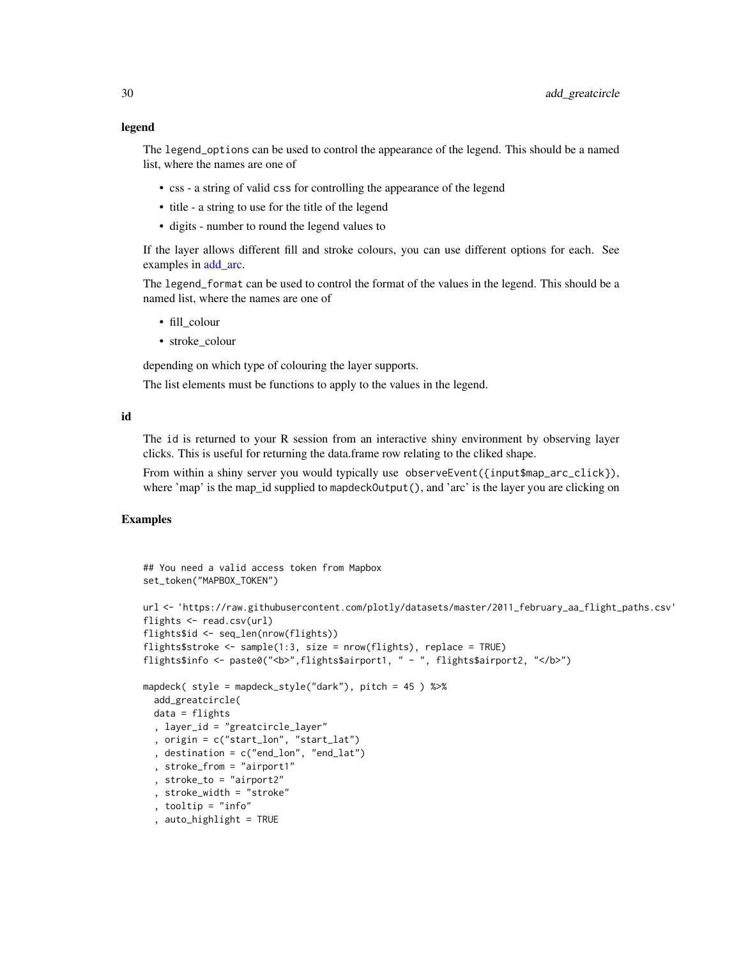#### legend

The legend\_options can be used to control the appearance of the legend. This should be a named list, where the names are one of

- css a string of valid css for controlling the appearance of the legend
- title a string to use for the title of the legend
- digits number to round the legend values to

If the layer allows different fill and stroke colours, you can use different options for each. See examples in add arc.

The legend\_format can be used to control the format of the values in the legend. This should be a named list, where the names are one of

- fill colour
- stroke\_colour

depending on which type of colouring the layer supports.

The list elements must be functions to apply to the values in the legend.

#### id

The id is returned to your R session from an interactive shiny environment by observing layer clicks. This is useful for returning the data.frame row relating to the cliked shape.

From within a shiny server you would typically use observeEvent({input\$map\_arc\_click}), where 'map' is the map\_id supplied to mapdeckOutput(), and 'arc' is the layer you are clicking on

# Examples

```
## You need a valid access token from Mapbox
set_token("MAPBOX_TOKEN")
url <- 'https://raw.githubusercontent.com/plotly/datasets/master/2011_february_aa_flight_paths.csv'
flights <- read.csv(url)
flights$id <- seq_len(nrow(flights))
flights$stroke <- sample(1:3, size = nrow(flights), replace = TRUE)
flights$info <- paste0("<b>",flights$airport1, " - ", flights$airport2, "</b>")
mapdeck( style = mapdeck_style("dark"), pitch = 45 ) %>%
 add_greatcircle(
 data = flights
  , layer_id = "greatcircle_layer"
  , origin = c("start_lon", "start_lat")
  , destination = c("end_lon", "end_lat")
  , stroke_from = "airport1"
  , stroke_to = "airport2"
  , stroke_width = "stroke"
  , tooltip = "info"
  , auto_highlight = TRUE
```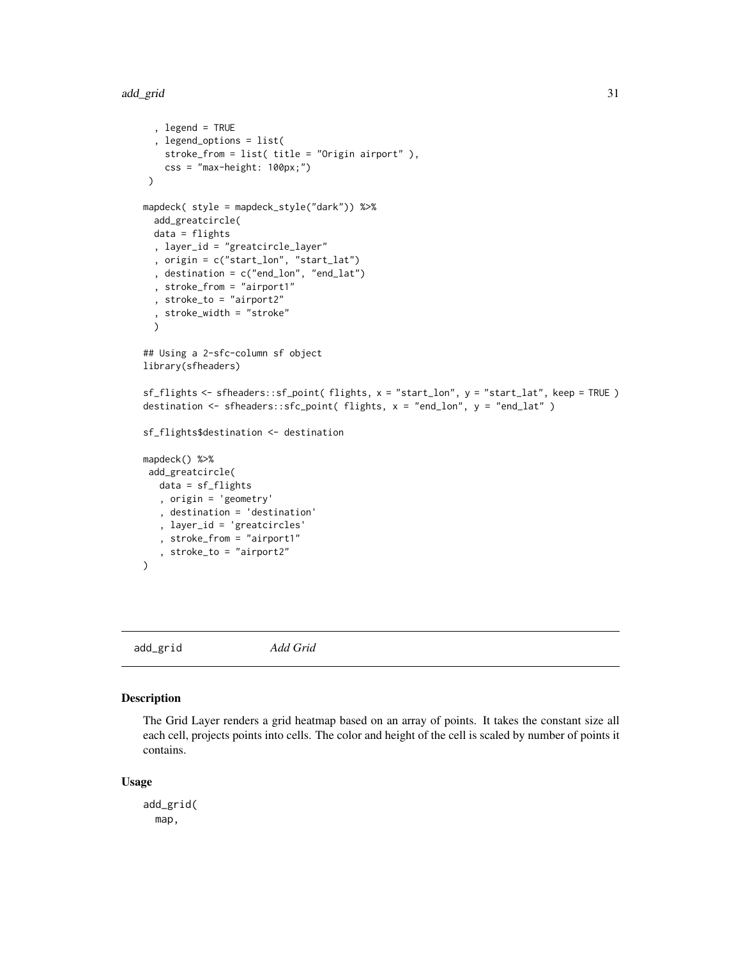#### <span id="page-30-0"></span>add\_grid 31

```
, legend = TRUE
  , legend_options = list(
   stroke_from = list( title = "Origin airport" ),
   \text{css} = \text{"max-height}: 100px; \text{"})
mapdeck( style = mapdeck_style("dark")) %>%
 add_greatcircle(
 data = flights
 , layer_id = "greatcircle_layer"
  , origin = c("start_lon", "start_lat")
  , destination = c("end_lon", "end_lat")
  , stroke_from = "airport1"
 , stroke_to = "airport2"
 , stroke_width = "stroke"
 )
## Using a 2-sfc-column sf object
library(sfheaders)
sf_flights <- sfheaders::sf_point( flights, x = "start_lon", y = "start_lat", keep = TRUE )
destination <- sfheaders::sfc_point( flights, x = "end_lon", y = "end_lat" )
sf_flights$destination <- destination
mapdeck() %>%
add_greatcircle(
  data = sf_flights
   , origin = 'geometry'
   , destination = 'destination'
   , layer_id = 'greatcircles'
   , stroke_from = "airport1"
   , stroke_to = "airport2"
)
```
add\_grid *Add Grid*

# Description

The Grid Layer renders a grid heatmap based on an array of points. It takes the constant size all each cell, projects points into cells. The color and height of the cell is scaled by number of points it contains.

#### Usage

add\_grid( map,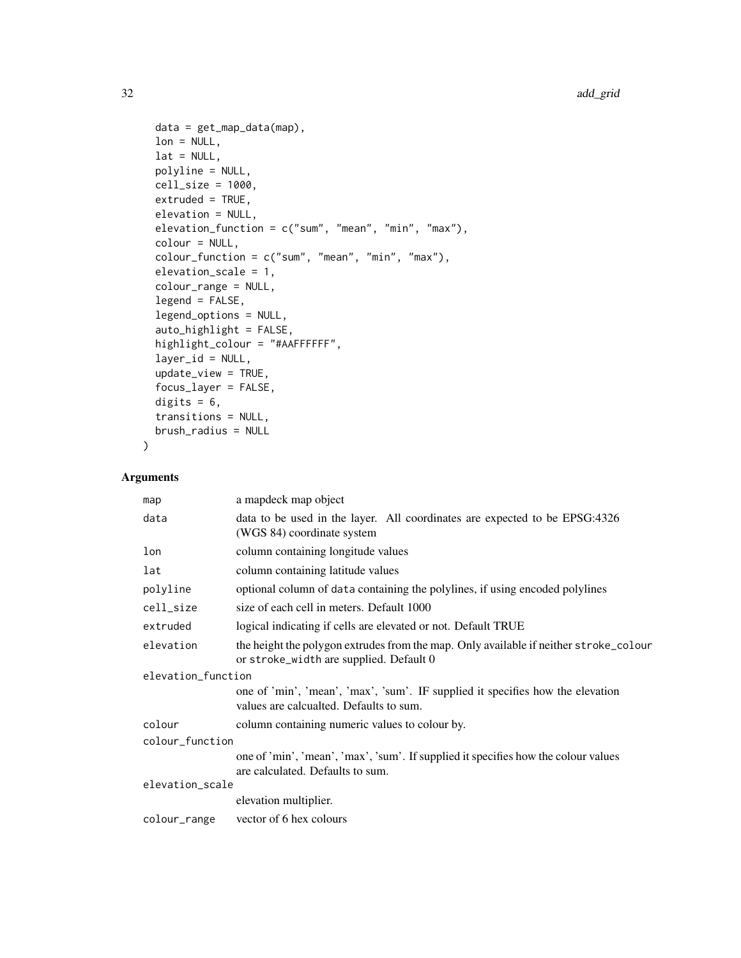```
data = get_map_data(map),
 lon = NULL,lat = NULL,polyline = NULL,
 cell_size = 1000,
 extruded = TRUE,elevation = NULL,
 elevation_function = c("sum", "mean", "min", "max"),colour = NULL,
 colour_function = c("sum", "mean", "min", "max"),
 elevation_scale = 1,
  colour_range = NULL,
 legend = FALSE,
  legend_options = NULL,
  auto_highlight = FALSE,
 highlight_colour = "#AAFFFFFF",
  layer_id = NULL,
 update_view = TRUE,
 focus_layer = FALSE,
 digits = 6,
 transitions = NULL,
 brush_radius = NULL
\mathcal{L}
```

| map                | a mapdeck map object                                                                                                             |
|--------------------|----------------------------------------------------------------------------------------------------------------------------------|
| data               | data to be used in the layer. All coordinates are expected to be EPSG:4326<br>(WGS 84) coordinate system                         |
| lon                | column containing longitude values                                                                                               |
| lat                | column containing latitude values                                                                                                |
| polyline           | optional column of data containing the polylines, if using encoded polylines                                                     |
| cell_size          | size of each cell in meters. Default 1000                                                                                        |
| extruded           | logical indicating if cells are elevated or not. Default TRUE                                                                    |
| elevation          | the height the polygon extrudes from the map. Only available if neither stroke_colour<br>or stroke_width are supplied. Default 0 |
| elevation_function |                                                                                                                                  |
|                    | one of 'min', 'mean', 'max', 'sum'. IF supplied it specifies how the elevation<br>values are calcualted. Defaults to sum.        |
| colour             | column containing numeric values to colour by.                                                                                   |
| colour_function    |                                                                                                                                  |
|                    | one of 'min', 'mean', 'max', 'sum'. If supplied it specifies how the colour values<br>are calculated. Defaults to sum.           |
| elevation_scale    |                                                                                                                                  |
|                    | elevation multiplier.                                                                                                            |
| colour_range       | vector of 6 hex colours                                                                                                          |
|                    |                                                                                                                                  |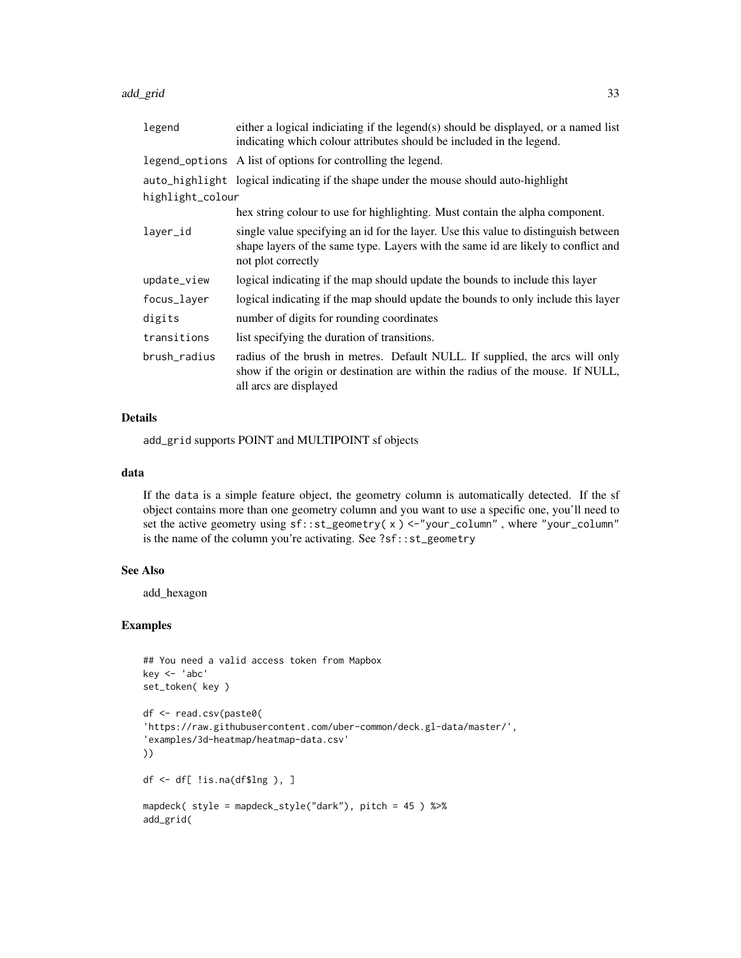add\_grid 33

| legend           | either a logical indiciating if the legend(s) should be displayed, or a named list<br>indicating which colour attributes should be included in the legend.                                    |
|------------------|-----------------------------------------------------------------------------------------------------------------------------------------------------------------------------------------------|
|                  | legend_options A list of options for controlling the legend.                                                                                                                                  |
|                  | auto_highlight logical indicating if the shape under the mouse should auto-highlight                                                                                                          |
| highlight_colour |                                                                                                                                                                                               |
|                  | hex string colour to use for highlighting. Must contain the alpha component.                                                                                                                  |
| layer_id         | single value specifying an id for the layer. Use this value to distinguish between<br>shape layers of the same type. Layers with the same id are likely to conflict and<br>not plot correctly |
| update_view      | logical indicating if the map should update the bounds to include this layer                                                                                                                  |
| focus_layer      | logical indicating if the map should update the bounds to only include this layer                                                                                                             |
| digits           | number of digits for rounding coordinates                                                                                                                                                     |
| transitions      | list specifying the duration of transitions.                                                                                                                                                  |
| brush radius     | radius of the brush in metres. Default NULL. If supplied, the arcs will only<br>show if the origin or destination are within the radius of the mouse. If NULL,<br>all arcs are displayed      |

# Details

add\_grid supports POINT and MULTIPOINT sf objects

# data

If the data is a simple feature object, the geometry column is automatically detected. If the sf object contains more than one geometry column and you want to use a specific one, you'll need to set the active geometry using sf::st\_geometry( x ) <-"your\_column" , where "your\_column" is the name of the column you're activating. See ?sf::st\_geometry

# See Also

add\_hexagon

# Examples

```
## You need a valid access token from Mapbox
key <- 'abc'
set_token( key )
df <- read.csv(paste0(
'https://raw.githubusercontent.com/uber-common/deck.gl-data/master/',
'examples/3d-heatmap/heatmap-data.csv'
))
df \leftarrow df !is.na(df$lng), ]
mapdeck( style = mapdeck_style("dark"), pitch = 45 ) %>%
add_grid(
```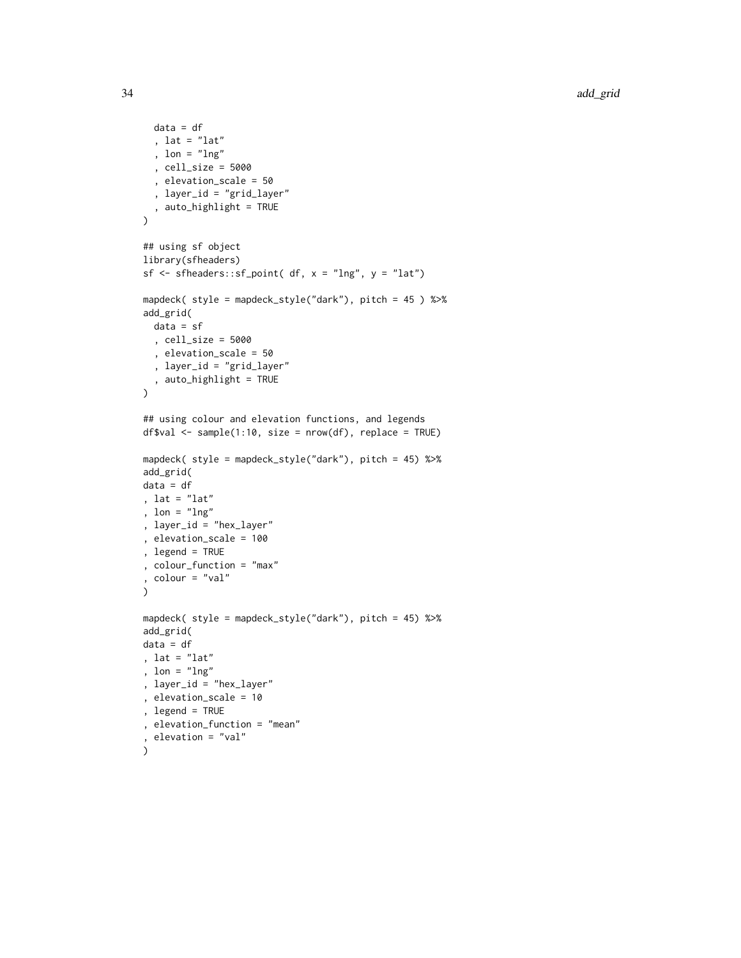```
data = df
  , lat = "lat"
  , lon = "lng"
  , cell_size = 5000
  , elevation_scale = 50
  , layer_id = "grid_layer"
  , auto_highlight = TRUE
\mathcal{L}## using sf object
library(sfheaders)
sf \leq sfheaders::sf_point( df, x = "lng", y = "lat")mapdeck( style = mapdeck_style("dark"), pitch = 45 ) %>%
add_grid(
 data = sf
  , cell_size = 5000
  , elevation_scale = 50
  , layer_id = "grid_layer"
  , auto_highlight = TRUE
\mathcal{L}## using colour and elevation functions, and legends
df$val <- sample(1:10, size = nrow(df), replace = TRUE)
mapdeck( style = mapdeck_style("dark"), pitch = 45) %>%
add_grid(
data = df
, lat = "lat"
, lon = "lng"
, layer_id = "hex_layer"
, elevation_scale = 100
, legend = TRUE
, colour_function = "max"
, colour = "val"
\lambdamapdeck( style = mapdeck_style("dark"), pitch = 45) %>%
add_grid(
data = df
, lat = "lat"
, lon = "lng"
, layer_id = "hex_layer"
, elevation_scale = 10
, legend = TRUE
, elevation_function = "mean"
, elevation = "val"
\lambda
```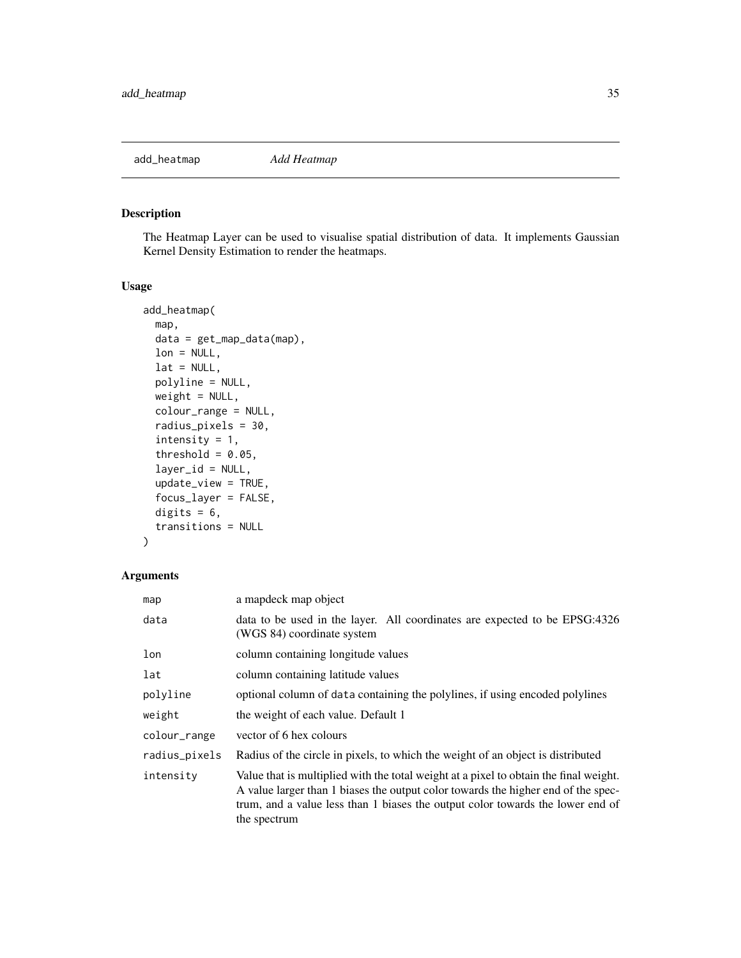<span id="page-34-0"></span>

# Description

The Heatmap Layer can be used to visualise spatial distribution of data. It implements Gaussian Kernel Density Estimation to render the heatmaps.

# Usage

```
add_heatmap(
  map,
  data = get_map_data(map),
  lon = NULL,lat = NULL,polyline = NULL,
  weight = NULL,colour_range = NULL,
  radius_pixels = 30,
  intensity = 1,
  threshold = 0.05,
  layer_id = NULL,update_view = TRUE,
  focus_layer = FALSE,
  digits = 6,
  transitions = NULL
)
```

| map           | a mapdeck map object                                                                                                                                                                                                                                                         |
|---------------|------------------------------------------------------------------------------------------------------------------------------------------------------------------------------------------------------------------------------------------------------------------------------|
| data          | data to be used in the layer. All coordinates are expected to be EPSG:4326<br>(WGS 84) coordinate system                                                                                                                                                                     |
| lon           | column containing longitude values                                                                                                                                                                                                                                           |
| lat           | column containing latitude values                                                                                                                                                                                                                                            |
| polyline      | optional column of data containing the polylines, if using encoded polylines                                                                                                                                                                                                 |
| weight        | the weight of each value. Default 1                                                                                                                                                                                                                                          |
| colour_range  | vector of 6 hex colours                                                                                                                                                                                                                                                      |
| radius_pixels | Radius of the circle in pixels, to which the weight of an object is distributed                                                                                                                                                                                              |
| intensity     | Value that is multiplied with the total weight at a pixel to obtain the final weight.<br>A value larger than 1 biases the output color towards the higher end of the spec-<br>trum, and a value less than 1 biases the output color towards the lower end of<br>the spectrum |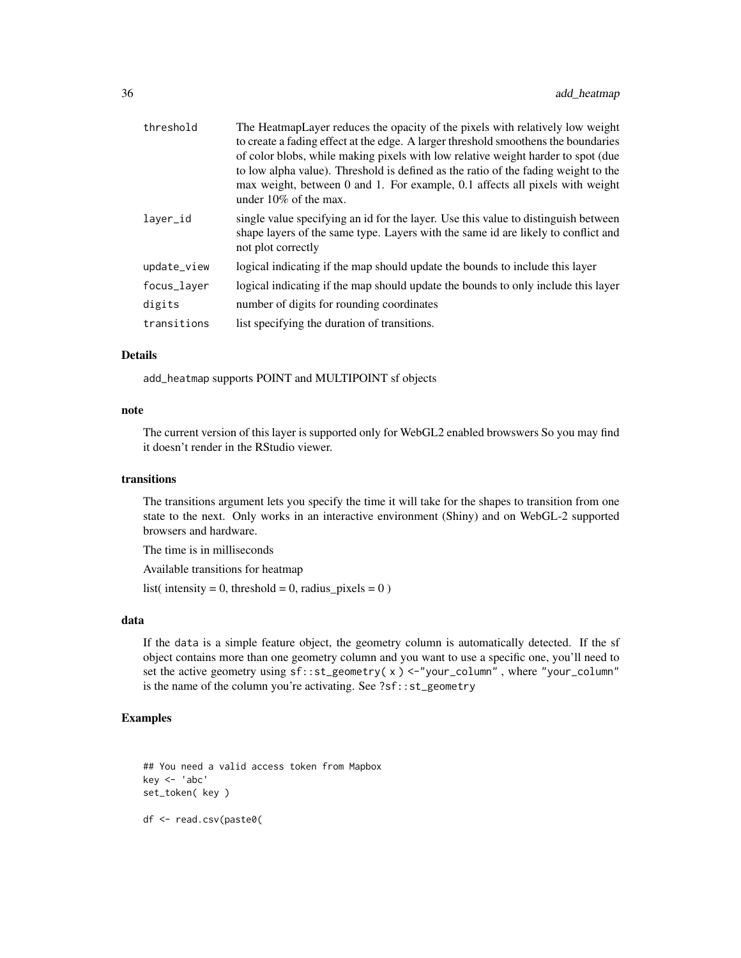| threshold   | The HeatmapLayer reduces the opacity of the pixels with relatively low weight<br>to create a fading effect at the edge. A larger threshold smoothens the boundaries<br>of color blobs, while making pixels with low relative weight harder to spot (due)<br>to low alpha value). Threshold is defined as the ratio of the fading weight to the<br>max weight, between 0 and 1. For example, 0.1 affects all pixels with weight<br>under $10\%$ of the max. |
|-------------|------------------------------------------------------------------------------------------------------------------------------------------------------------------------------------------------------------------------------------------------------------------------------------------------------------------------------------------------------------------------------------------------------------------------------------------------------------|
| laver_id    | single value specifying an id for the layer. Use this value to distinguish between<br>shape layers of the same type. Layers with the same id are likely to conflict and<br>not plot correctly                                                                                                                                                                                                                                                              |
| update_view | logical indicating if the map should update the bounds to include this layer                                                                                                                                                                                                                                                                                                                                                                               |
| focus_layer | logical indicating if the map should update the bounds to only include this layer                                                                                                                                                                                                                                                                                                                                                                          |
| digits      | number of digits for rounding coordinates                                                                                                                                                                                                                                                                                                                                                                                                                  |
| transitions | list specifying the duration of transitions.                                                                                                                                                                                                                                                                                                                                                                                                               |

# Details

add\_heatmap supports POINT and MULTIPOINT sf objects

#### note

The current version of this layer is supported only for WebGL2 enabled browswers So you may find it doesn't render in the RStudio viewer.

# transitions

The transitions argument lets you specify the time it will take for the shapes to transition from one state to the next. Only works in an interactive environment (Shiny) and on WebGL-2 supported browsers and hardware.

The time is in milliseconds

Available transitions for heatmap

list( intensity = 0, threshold = 0, radius\_pixels =  $0$ )

# data

If the data is a simple feature object, the geometry column is automatically detected. If the sf object contains more than one geometry column and you want to use a specific one, you'll need to set the active geometry using sf::st\_geometry( x ) <-"your\_column" , where "your\_column" is the name of the column you're activating. See ?sf::st\_geometry

# Examples

## You need a valid access token from Mapbox key <- 'abc' set\_token( key )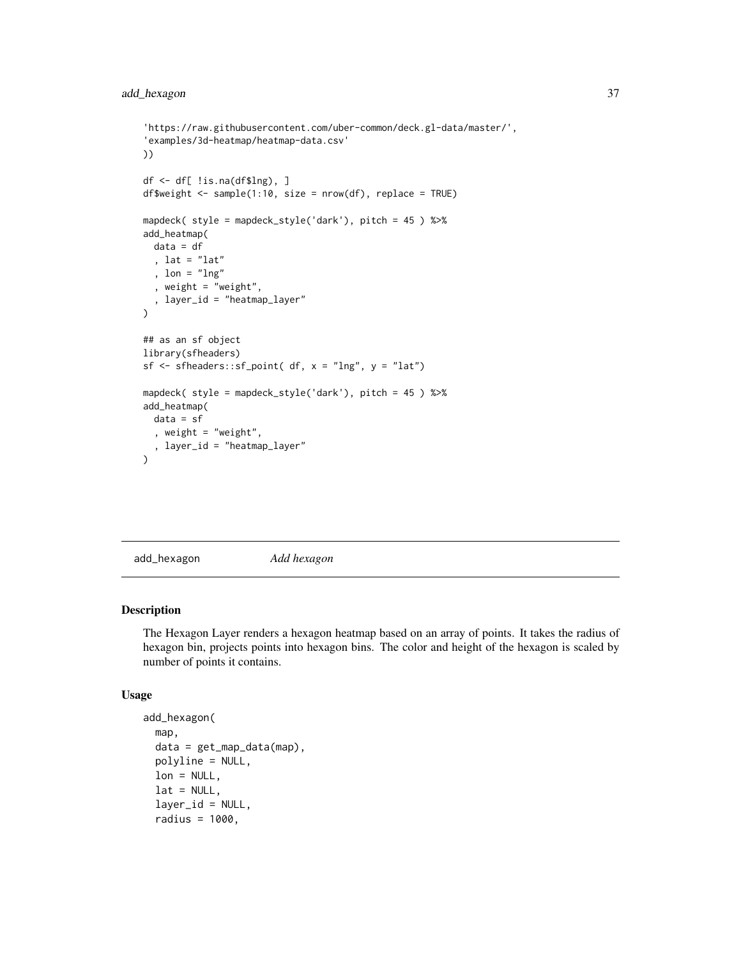```
'https://raw.githubusercontent.com/uber-common/deck.gl-data/master/',
'examples/3d-heatmap/heatmap-data.csv'
))
df <- df[ !is.na(df$lng), ]
df$weight <- sample(1:10, size = nrow(df), replace = TRUE)
mapdeck( style = mapdeck_style('dark'), pitch = 45 ) %>%
add_heatmap(
  data = df
  , lat = "lat"
  , lon = "lng"
  , weight = "weight",
  , layer_id = "heatmap_layer"
\mathcal{L}## as an sf object
library(sfheaders)
sf \leq sfheaders::sf_point( df, x = "Ing", y = "lat")mapdeck( style = mapdeck_style('dark'), pitch = 45 ) %>%
add_heatmap(
  data = sf, weight = "weight",
  , layer_id = "heatmap_layer"
)
```
add\_hexagon *Add hexagon*

#### Description

The Hexagon Layer renders a hexagon heatmap based on an array of points. It takes the radius of hexagon bin, projects points into hexagon bins. The color and height of the hexagon is scaled by number of points it contains.

#### Usage

```
add_hexagon(
  map,
  data = get_map_data(map),
 polyline = NULL,
  lon = NULL,lat = NULL,layer_id = NULL,
  radius = 1000,
```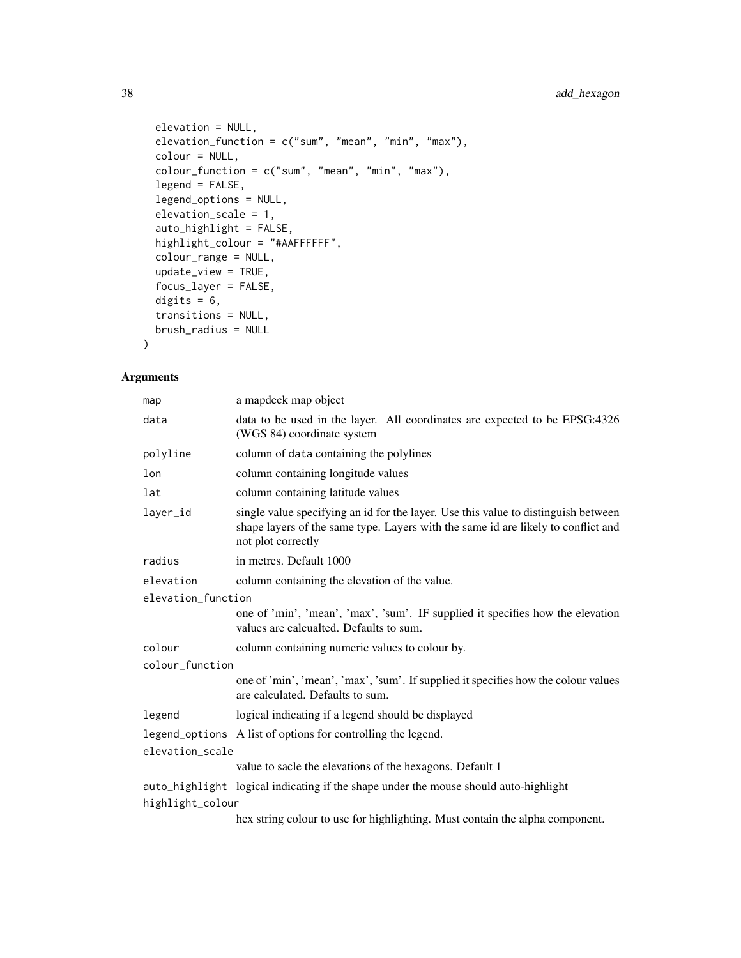```
elevation = NULL,
elevation_function = c("sum", "mean", "min", "max"),colour = NULL,
color_function = c("sum", "mean", "min", "max"),legend = FALSE,
legend_options = NULL,
elevation_scale = 1,
auto_highlight = FALSE,
highlight_colour = "#AAFFFFFF",
colour_range = NULL,
update_view = TRUE,
focus_layer = FALSE,
digits = 6,
transitions = NULL,
brush_radius = NULL
```
# Arguments

 $\mathcal{L}$ 

| map                | a mapdeck map object                                                                                                                                                                          |  |
|--------------------|-----------------------------------------------------------------------------------------------------------------------------------------------------------------------------------------------|--|
| data               | data to be used in the layer. All coordinates are expected to be EPSG:4326<br>(WGS 84) coordinate system                                                                                      |  |
| polyline           | column of data containing the polylines                                                                                                                                                       |  |
| lon                | column containing longitude values                                                                                                                                                            |  |
| lat                | column containing latitude values                                                                                                                                                             |  |
| layer_id           | single value specifying an id for the layer. Use this value to distinguish between<br>shape layers of the same type. Layers with the same id are likely to conflict and<br>not plot correctly |  |
| radius             | in metres. Default 1000                                                                                                                                                                       |  |
| elevation          | column containing the elevation of the value.                                                                                                                                                 |  |
| elevation_function |                                                                                                                                                                                               |  |
|                    | one of 'min', 'mean', 'max', 'sum'. IF supplied it specifies how the elevation<br>values are calcualted. Defaults to sum.                                                                     |  |
| colour             | column containing numeric values to colour by.                                                                                                                                                |  |
| colour_function    |                                                                                                                                                                                               |  |
|                    | one of 'min', 'mean', 'max', 'sum'. If supplied it specifies how the colour values<br>are calculated. Defaults to sum.                                                                        |  |
| legend             | logical indicating if a legend should be displayed                                                                                                                                            |  |
|                    | legend_options A list of options for controlling the legend.                                                                                                                                  |  |
| elevation_scale    |                                                                                                                                                                                               |  |
|                    | value to sacle the elevations of the hexagons. Default 1                                                                                                                                      |  |
|                    | auto_highlight logical indicating if the shape under the mouse should auto-highlight                                                                                                          |  |
| highlight_colour   |                                                                                                                                                                                               |  |
|                    | hex string colour to use for highlighting. Must contain the alpha component.                                                                                                                  |  |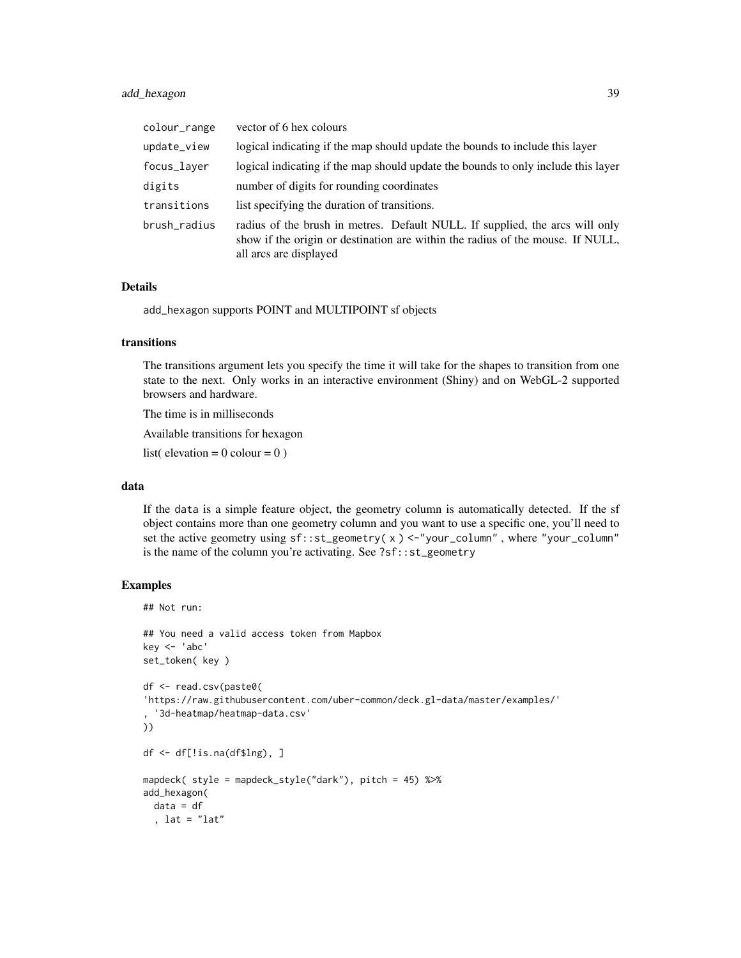# add\_hexagon 39

| colour_range | vector of 6 hex colours                                                                                                                                                                  |
|--------------|------------------------------------------------------------------------------------------------------------------------------------------------------------------------------------------|
| update_view  | logical indicating if the map should update the bounds to include this layer                                                                                                             |
| focus_layer  | logical indicating if the map should update the bounds to only include this layer                                                                                                        |
| digits       | number of digits for rounding coordinates                                                                                                                                                |
| transitions  | list specifying the duration of transitions.                                                                                                                                             |
| brush_radius | radius of the brush in metres. Default NULL. If supplied, the arcs will only<br>show if the origin or destination are within the radius of the mouse. If NULL,<br>all arcs are displayed |

### Details

add\_hexagon supports POINT and MULTIPOINT sf objects

#### transitions

The transitions argument lets you specify the time it will take for the shapes to transition from one state to the next. Only works in an interactive environment (Shiny) and on WebGL-2 supported browsers and hardware.

The time is in milliseconds

Available transitions for hexagon

list( elevation =  $0$  colour =  $0$ )

#### data

If the data is a simple feature object, the geometry column is automatically detected. If the sf object contains more than one geometry column and you want to use a specific one, you'll need to set the active geometry using sf::st\_geometry( x ) <-"your\_column" , where "your\_column" is the name of the column you're activating. See ?sf::st\_geometry

```
## Not run:
## You need a valid access token from Mapbox
key <- 'abc'
set_token( key )
df <- read.csv(paste0(
'https://raw.githubusercontent.com/uber-common/deck.gl-data/master/examples/'
, '3d-heatmap/heatmap-data.csv'
))
df <- df[!is.na(df$lng), ]
mapdeck( style = mapdeck_style("dark"), pitch = 45) %>%
add_hexagon(
 data = df, lat = "lat"
```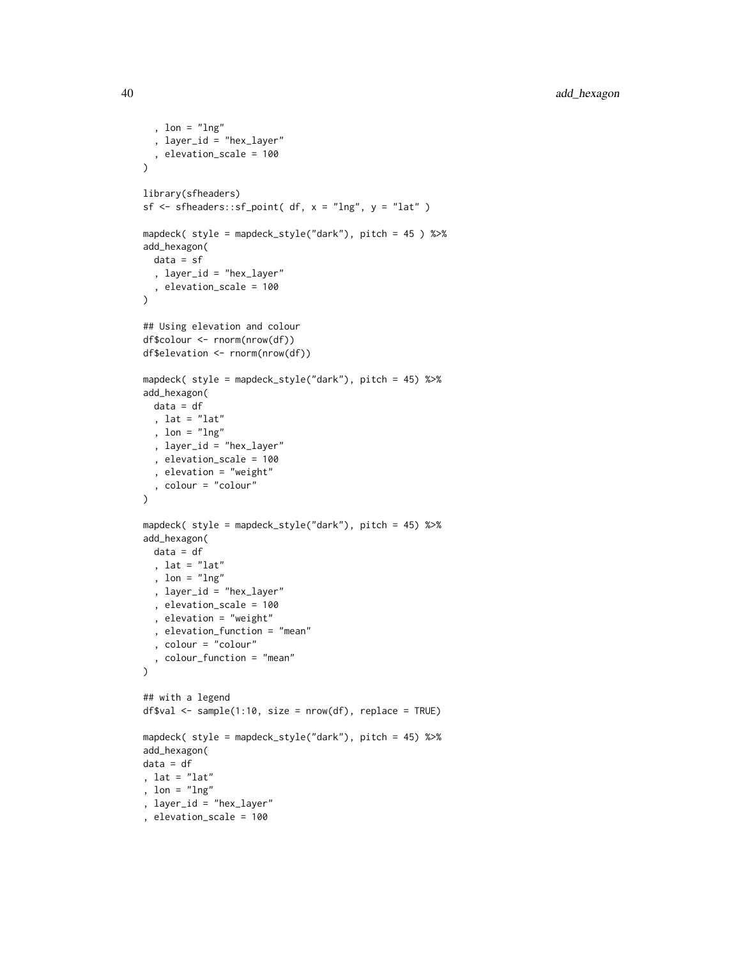```
, lon = "lng"
  , layer_id = "hex_layer"
  , elevation_scale = 100
\lambdalibrary(sfheaders)
sf \leq sfheaders::sf_point( df, x = "Ing", y = "lat")mapdeck( style = mapdeck_style("dark"), pitch = 45 ) %>%
add_hexagon(
  data = sf
  , layer_id = "hex_layer"
  , elevation_scale = 100
\mathcal{L}## Using elevation and colour
df$colour <- rnorm(nrow(df))
df$elevation <- rnorm(nrow(df))
mapdeck( style = mapdeck_style("dark"), pitch = 45) %>%
add_hexagon(
 data = df, lat = "lat"
  , lon = "lng"
  , layer_id = "hex_layer"
  , elevation_scale = 100
  , elevation = "weight"
  , colour = "colour"
\mathcal{L}mapdeck( style = mapdeck_style("dark"), pitch = 45) %>%
add_hexagon(
 data = df
  , lat = "lat"
  , lon = "lng"
  , layer_id = "hex_layer"
  , elevation_scale = 100
  , elevation = "weight"
  , elevation_function = "mean"
  , colour = "colour"
  , colour_function = "mean"
)
## with a legend
df$val <- sample(1:10, size = nrow(df), replace = TRUE)
mapdeck( style = mapdeck_style("dark"), pitch = 45) %>%
add_hexagon(
data = df
, lat = "lat", lon = "lng"
, layer_id = "hex_layer"
, elevation_scale = 100
```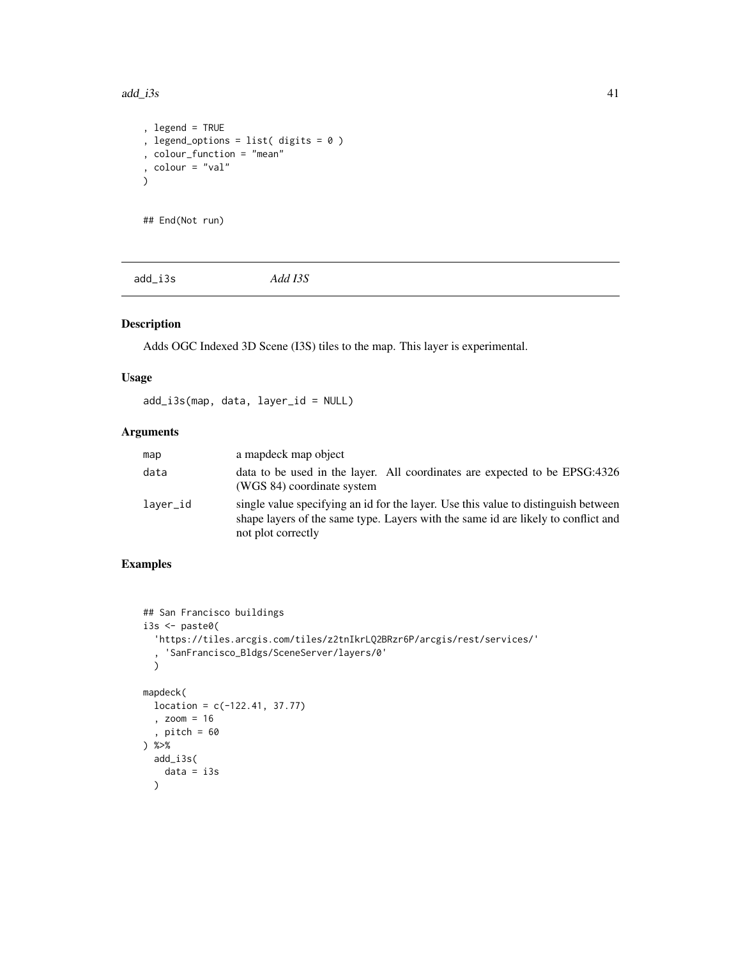```
, legend = TRUE
, legend_options = list( digits = 0 )
, colour_function = "mean"
, colour = "val"
)
```

```
## End(Not run)
```
add\_i3s *Add I3S*

# Description

Adds OGC Indexed 3D Scene (I3S) tiles to the map. This layer is experimental.

# Usage

add\_i3s(map, data, layer\_id = NULL)

# Arguments

| map      | a map object                                                                                                                                                                                  |
|----------|-----------------------------------------------------------------------------------------------------------------------------------------------------------------------------------------------|
| data     | data to be used in the layer. All coordinates are expected to be EPSG:4326<br>(WGS 84) coordinate system                                                                                      |
| laver_id | single value specifying an id for the layer. Use this value to distinguish between<br>shape layers of the same type. Layers with the same id are likely to conflict and<br>not plot correctly |

```
## San Francisco buildings
i3s <- paste0(
  'https://tiles.arcgis.com/tiles/z2tnIkrLQ2BRzr6P/arcgis/rest/services/'
  , 'SanFrancisco_Bldgs/SceneServer/layers/0'
  )
mapdeck(
 location = c(-122.41, 37.77), zoom = 16
  , pitch = 60
) %>%
  add_i3s(
    data = i3s
  \mathcal{L}
```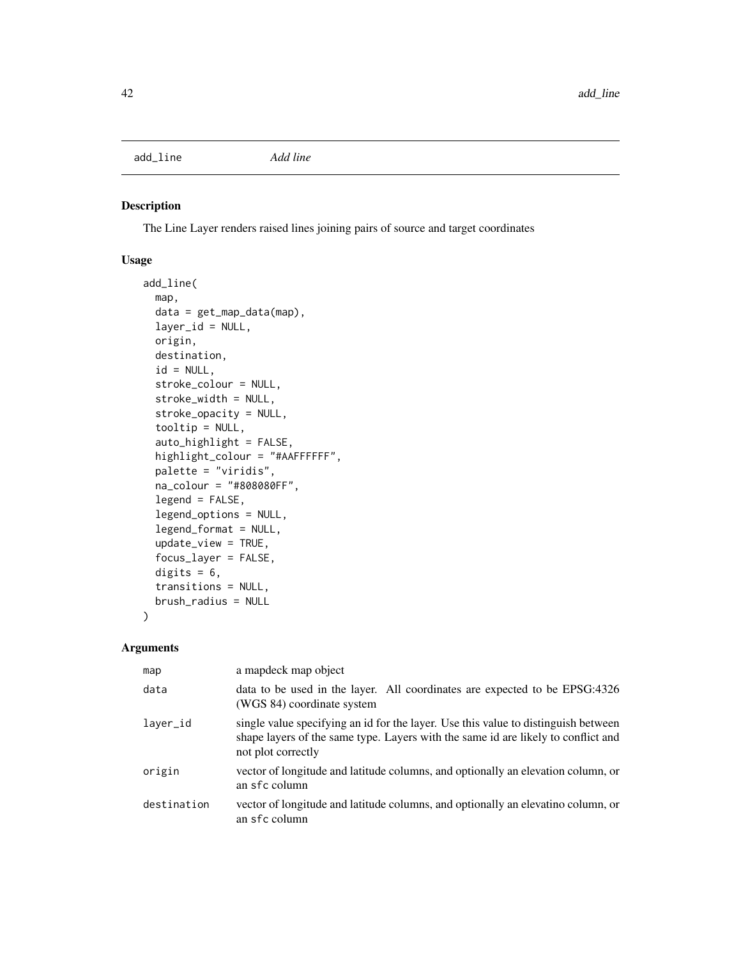add\_line *Add line*

# Description

The Line Layer renders raised lines joining pairs of source and target coordinates

# Usage

```
add_line(
  map,
  data = get_map_data(map),
  layer_id = NULL,
  origin,
  destination,
  id = NULL,stroke_colour = NULL,
  stroke_width = NULL,
  stroke_opacity = NULL,
  tooltip = NULL,
  auto_highlight = FALSE,
  highlight_colour = "#AAFFFFFF",
  palette = "viridis",
  na_colour = "#808080FF",
  legend = FALSE,legend_options = NULL,
  legend_format = NULL,
  update_view = TRUE,
  focus_layer = FALSE,
  digits = 6,
  transitions = NULL,
  brush_radius = NULL
)
```

| map         | a mapdeck map object                                                                                                                                                                          |
|-------------|-----------------------------------------------------------------------------------------------------------------------------------------------------------------------------------------------|
| data        | data to be used in the layer. All coordinates are expected to be EPSG:4326<br>(WGS 84) coordinate system                                                                                      |
| layer_id    | single value specifying an id for the layer. Use this value to distinguish between<br>shape layers of the same type. Layers with the same id are likely to conflict and<br>not plot correctly |
| origin      | vector of longitude and latitude columns, and optionally an elevation column, or<br>an sfc column                                                                                             |
| destination | vector of longitude and latitude columns, and optionally an elevatino column, or<br>an sfc column                                                                                             |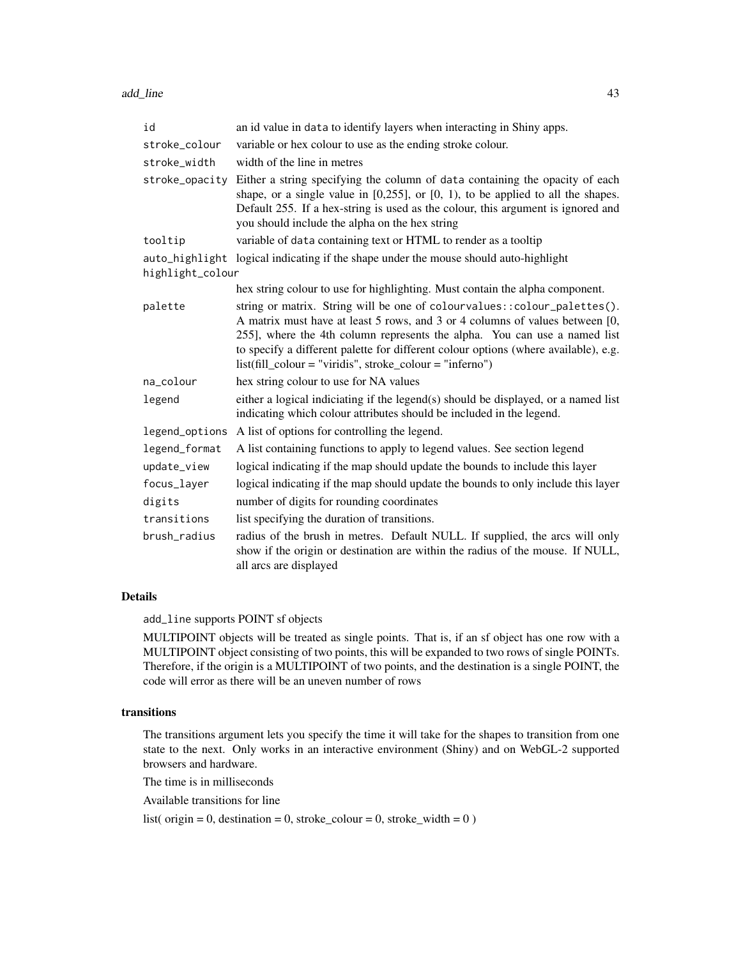| id               | an id value in data to identify layers when interacting in Shiny apps.                                                                                                                                                                                                                                                                                                                       |  |
|------------------|----------------------------------------------------------------------------------------------------------------------------------------------------------------------------------------------------------------------------------------------------------------------------------------------------------------------------------------------------------------------------------------------|--|
| stroke_colour    | variable or hex colour to use as the ending stroke colour.                                                                                                                                                                                                                                                                                                                                   |  |
| stroke width     | width of the line in metres                                                                                                                                                                                                                                                                                                                                                                  |  |
| stroke_opacity   | Either a string specifying the column of data containing the opacity of each<br>shape, or a single value in $[0,255]$ , or $[0, 1)$ , to be applied to all the shapes.<br>Default 255. If a hex-string is used as the colour, this argument is ignored and<br>you should include the alpha on the hex string                                                                                 |  |
| tooltip          | variable of data containing text or HTML to render as a tooltip                                                                                                                                                                                                                                                                                                                              |  |
|                  | auto_highlight logical indicating if the shape under the mouse should auto-highlight                                                                                                                                                                                                                                                                                                         |  |
| highlight_colour |                                                                                                                                                                                                                                                                                                                                                                                              |  |
|                  | hex string colour to use for highlighting. Must contain the alpha component.                                                                                                                                                                                                                                                                                                                 |  |
| palette          | string or matrix. String will be one of colourvalues:: colour_palettes().<br>A matrix must have at least 5 rows, and 3 or 4 columns of values between [0,<br>255], where the 4th column represents the alpha. You can use a named list<br>to specify a different palette for different colour options (where available), e.g.<br>$list (fill-colour = "viridis", stroke-colour = "inferno")$ |  |
| na_colour        | hex string colour to use for NA values                                                                                                                                                                                                                                                                                                                                                       |  |
| legend           | either a logical indiciating if the legend(s) should be displayed, or a named list<br>indicating which colour attributes should be included in the legend.                                                                                                                                                                                                                                   |  |
| legend_options   | A list of options for controlling the legend.                                                                                                                                                                                                                                                                                                                                                |  |
| legend_format    | A list containing functions to apply to legend values. See section legend                                                                                                                                                                                                                                                                                                                    |  |
| update_view      | logical indicating if the map should update the bounds to include this layer                                                                                                                                                                                                                                                                                                                 |  |
| focus_layer      | logical indicating if the map should update the bounds to only include this layer                                                                                                                                                                                                                                                                                                            |  |
| digits           | number of digits for rounding coordinates                                                                                                                                                                                                                                                                                                                                                    |  |
| transitions      | list specifying the duration of transitions.                                                                                                                                                                                                                                                                                                                                                 |  |
| brush radius     | radius of the brush in metres. Default NULL. If supplied, the arcs will only<br>show if the origin or destination are within the radius of the mouse. If NULL,<br>all arcs are displayed                                                                                                                                                                                                     |  |

add\_line supports POINT sf objects

MULTIPOINT objects will be treated as single points. That is, if an sf object has one row with a MULTIPOINT object consisting of two points, this will be expanded to two rows of single POINTs. Therefore, if the origin is a MULTIPOINT of two points, and the destination is a single POINT, the code will error as there will be an uneven number of rows

# transitions

The transitions argument lets you specify the time it will take for the shapes to transition from one state to the next. Only works in an interactive environment (Shiny) and on WebGL-2 supported browsers and hardware.

The time is in milliseconds

Available transitions for line

list( origin = 0, destination = 0, stroke\_colour = 0, stroke\_width =  $0$ )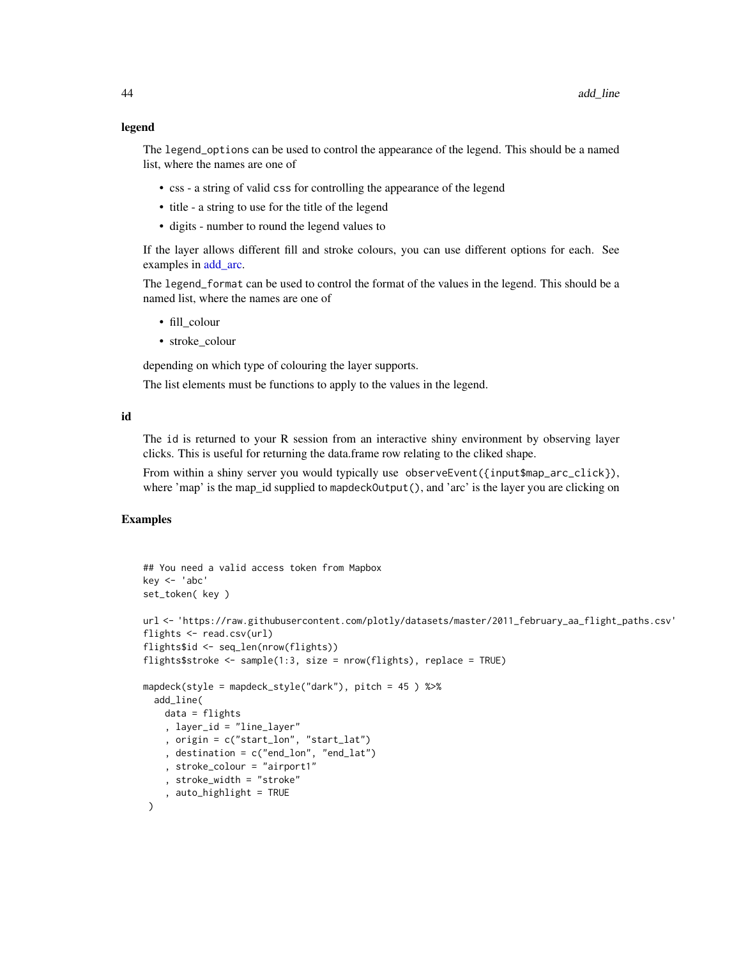#### legend

The legend\_options can be used to control the appearance of the legend. This should be a named list, where the names are one of

- css a string of valid css for controlling the appearance of the legend
- title a string to use for the title of the legend
- digits number to round the legend values to

If the layer allows different fill and stroke colours, you can use different options for each. See examples in add arc.

The legend\_format can be used to control the format of the values in the legend. This should be a named list, where the names are one of

- fill\_colour
- stroke\_colour

depending on which type of colouring the layer supports.

The list elements must be functions to apply to the values in the legend.

#### id

The id is returned to your R session from an interactive shiny environment by observing layer clicks. This is useful for returning the data.frame row relating to the cliked shape.

From within a shiny server you would typically use observeEvent({input\$map\_arc\_click}), where 'map' is the map\_id supplied to mapdeckOutput(), and 'arc' is the layer you are clicking on

```
## You need a valid access token from Mapbox
key <- 'abc'
set_token( key )
url <- 'https://raw.githubusercontent.com/plotly/datasets/master/2011_february_aa_flight_paths.csv'
flights <- read.csv(url)
flights$id <- seq_len(nrow(flights))
flights$stroke <- sample(1:3, size = nrow(flights), replace = TRUE)
mapdeck(style = mapdeck_style("dark"), pitch = 45 ) %>%
 add_line(
   data = flights
    , layer_id = "line_layer"
    , origin = c("start_lon", "start_lat")
    , destination = c("end_lon", "end_lat")
    , stroke_colour = "airport1"
    , stroke_width = "stroke"
    , auto_highlight = TRUE
 )
```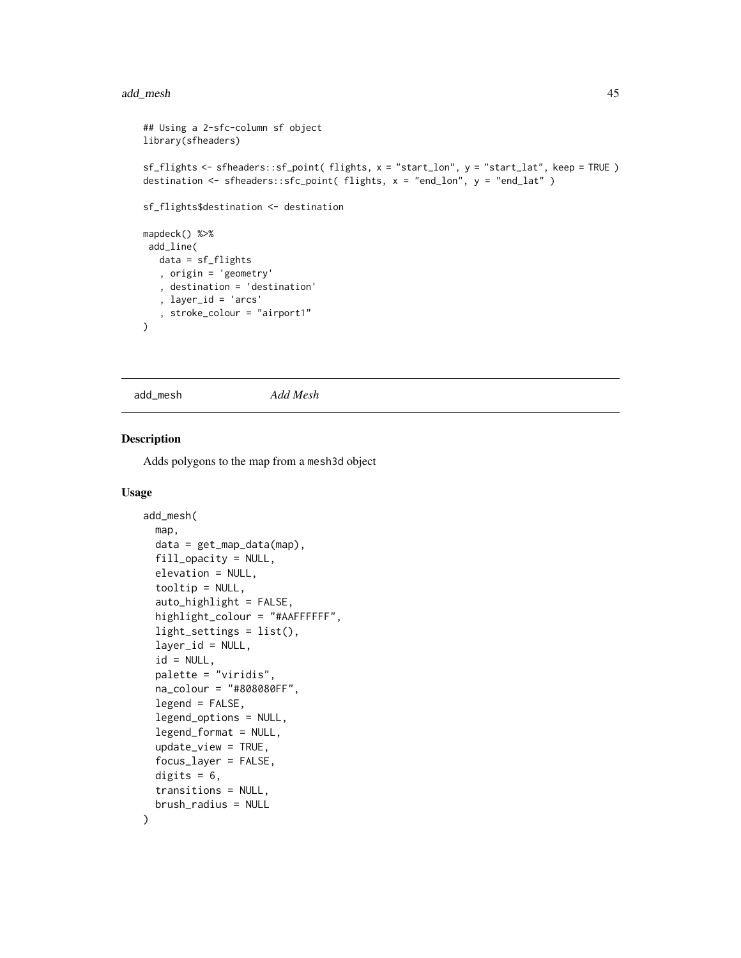#### add\_mesh 45

```
## Using a 2-sfc-column sf object
library(sfheaders)
sf_flights <- sfheaders::sf_point( flights, x = "start_lon", y = "start_lat", keep = TRUE )
destination <- sfheaders::sfc_point( flights, x = "end_lon", y = "end_lat" )
sf_flights$destination <- destination
mapdeck() %>%
 add_line(
  data = sf_flights
   , origin = 'geometry'
   , destination = 'destination'
   , layer_id = 'arcs'
   , stroke_colour = "airport1"
)
```
add\_mesh *Add Mesh*

# Description

Adds polygons to the map from a mesh3d object

#### Usage

```
add_mesh(
 map,
  data = get_map_data(map),
  fill_opacity = NULL,
  elevation = NULL,
  tooltip = NULL,
  auto_highlight = FALSE,
  highlight_colour = "#AAFFFFFF",
  light_settings = list(),
  layer_id = NULL,
  id = NULL,palette = "viridis",
  na_colour = "#808080FF",
  legend = FALSE,
  legend_options = NULL,
  legend_format = NULL,
  update_view = TRUE,
  focus_layer = FALSE,
  digits = 6,
  transitions = NULL,
  brush_radius = NULL
```

```
)
```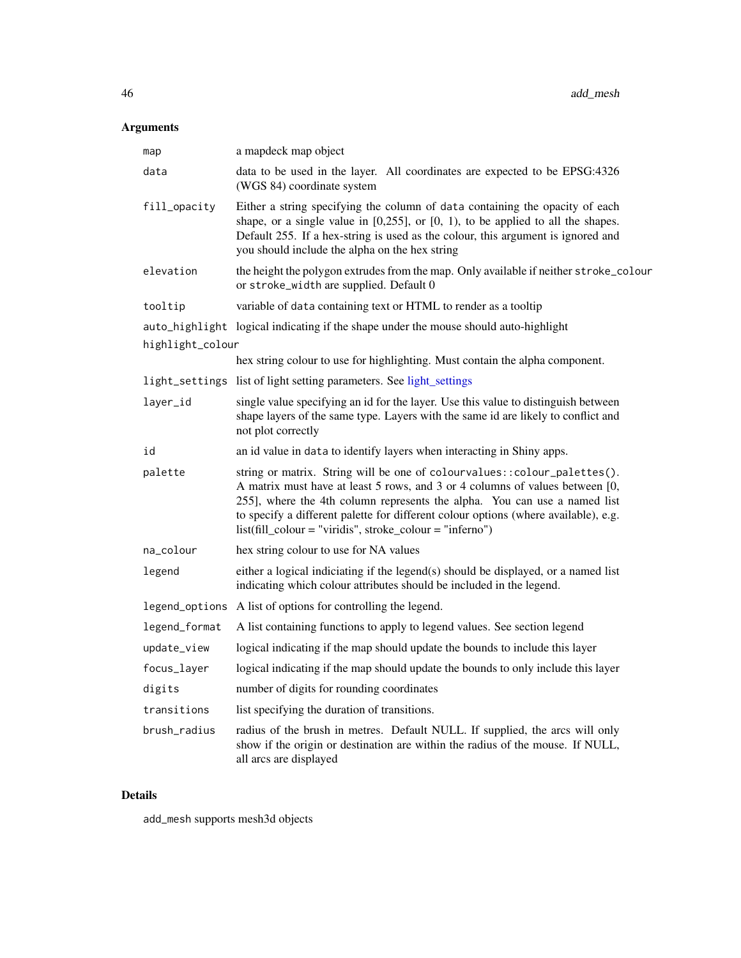# Arguments

| map              | a mapdeck map object                                                                                                                                                                                                                                                                                                                                                                         |
|------------------|----------------------------------------------------------------------------------------------------------------------------------------------------------------------------------------------------------------------------------------------------------------------------------------------------------------------------------------------------------------------------------------------|
| data             | data to be used in the layer. All coordinates are expected to be EPSG:4326<br>(WGS 84) coordinate system                                                                                                                                                                                                                                                                                     |
| fill_opacity     | Either a string specifying the column of data containing the opacity of each<br>shape, or a single value in $[0,255]$ , or $[0, 1)$ , to be applied to all the shapes.<br>Default 255. If a hex-string is used as the colour, this argument is ignored and<br>you should include the alpha on the hex string                                                                                 |
| elevation        | the height the polygon extrudes from the map. Only available if neither stroke_colour<br>or stroke_width are supplied. Default 0                                                                                                                                                                                                                                                             |
| tooltip          | variable of data containing text or HTML to render as a tooltip                                                                                                                                                                                                                                                                                                                              |
| highlight_colour | auto_highlight logical indicating if the shape under the mouse should auto-highlight                                                                                                                                                                                                                                                                                                         |
|                  | hex string colour to use for highlighting. Must contain the alpha component.                                                                                                                                                                                                                                                                                                                 |
|                  | light_settings list of light setting parameters. See light_settings                                                                                                                                                                                                                                                                                                                          |
| layer_id         | single value specifying an id for the layer. Use this value to distinguish between<br>shape layers of the same type. Layers with the same id are likely to conflict and<br>not plot correctly                                                                                                                                                                                                |
| id               | an id value in data to identify layers when interacting in Shiny apps.                                                                                                                                                                                                                                                                                                                       |
| palette          | string or matrix. String will be one of colourvalues:: colour_palettes().<br>A matrix must have at least 5 rows, and 3 or 4 columns of values between [0,<br>255], where the 4th column represents the alpha. You can use a named list<br>to specify a different palette for different colour options (where available), e.g.<br>$list (fill-colour = "viridis", stroke-colour = "inferno")$ |
| na_colour        | hex string colour to use for NA values                                                                                                                                                                                                                                                                                                                                                       |
| legend           | either a logical indiciating if the legend(s) should be displayed, or a named list<br>indicating which colour attributes should be included in the legend.                                                                                                                                                                                                                                   |
|                  | legend_options A list of options for controlling the legend.                                                                                                                                                                                                                                                                                                                                 |
| legend_format    | A list containing functions to apply to legend values. See section legend                                                                                                                                                                                                                                                                                                                    |
| update_view      | logical indicating if the map should update the bounds to include this layer                                                                                                                                                                                                                                                                                                                 |
| focus_layer      | logical indicating if the map should update the bounds to only include this layer                                                                                                                                                                                                                                                                                                            |
| digits           | number of digits for rounding coordinates                                                                                                                                                                                                                                                                                                                                                    |
| transitions      | list specifying the duration of transitions.                                                                                                                                                                                                                                                                                                                                                 |
| brush_radius     | radius of the brush in metres. Default NULL. If supplied, the arcs will only<br>show if the origin or destination are within the radius of the mouse. If NULL,<br>all arcs are displayed                                                                                                                                                                                                     |

# Details

add\_mesh supports mesh3d objects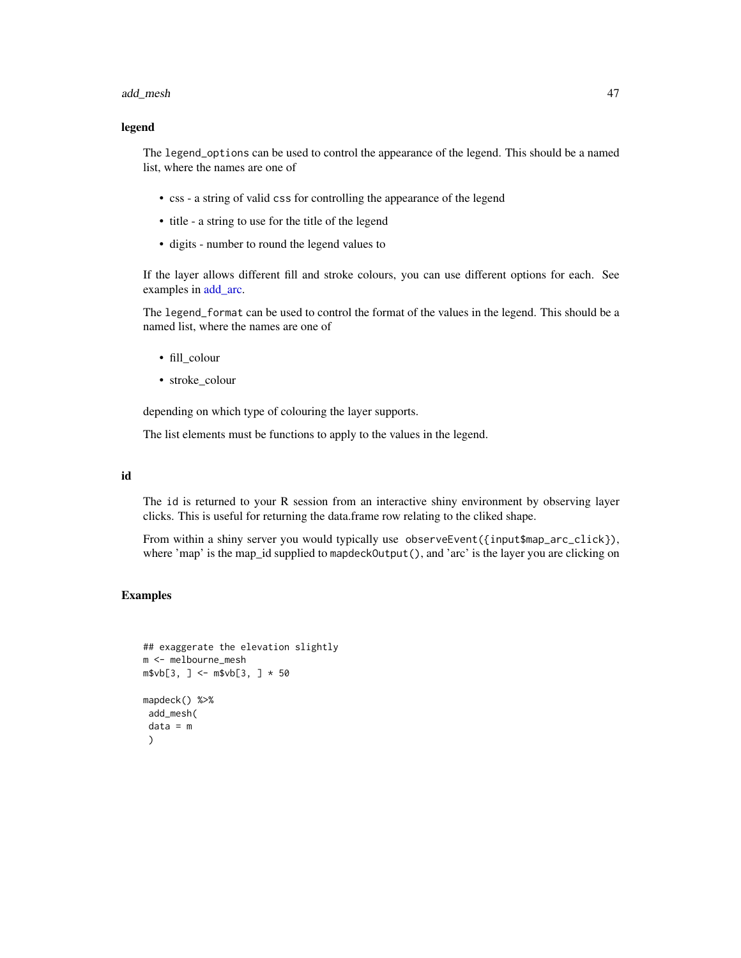#### add\_mesh 47

#### legend

The legend\_options can be used to control the appearance of the legend. This should be a named list, where the names are one of

- css a string of valid css for controlling the appearance of the legend
- title a string to use for the title of the legend
- digits number to round the legend values to

If the layer allows different fill and stroke colours, you can use different options for each. See examples in [add\\_arc.](#page-9-0)

The legend\_format can be used to control the format of the values in the legend. This should be a named list, where the names are one of

- fill\_colour
- stroke\_colour

depending on which type of colouring the layer supports.

The list elements must be functions to apply to the values in the legend.

#### id

The id is returned to your R session from an interactive shiny environment by observing layer clicks. This is useful for returning the data.frame row relating to the cliked shape.

From within a shiny server you would typically use observeEvent({input\$map\_arc\_click}), where 'map' is the map\_id supplied to mapdeckOutput(), and 'arc' is the layer you are clicking on

```
## exaggerate the elevation slightly
m <- melbourne_mesh
m$vb[3, ] < - m$vb[3, ] * 50mapdeck() %>%
 add_mesh(
 data = m
 )
```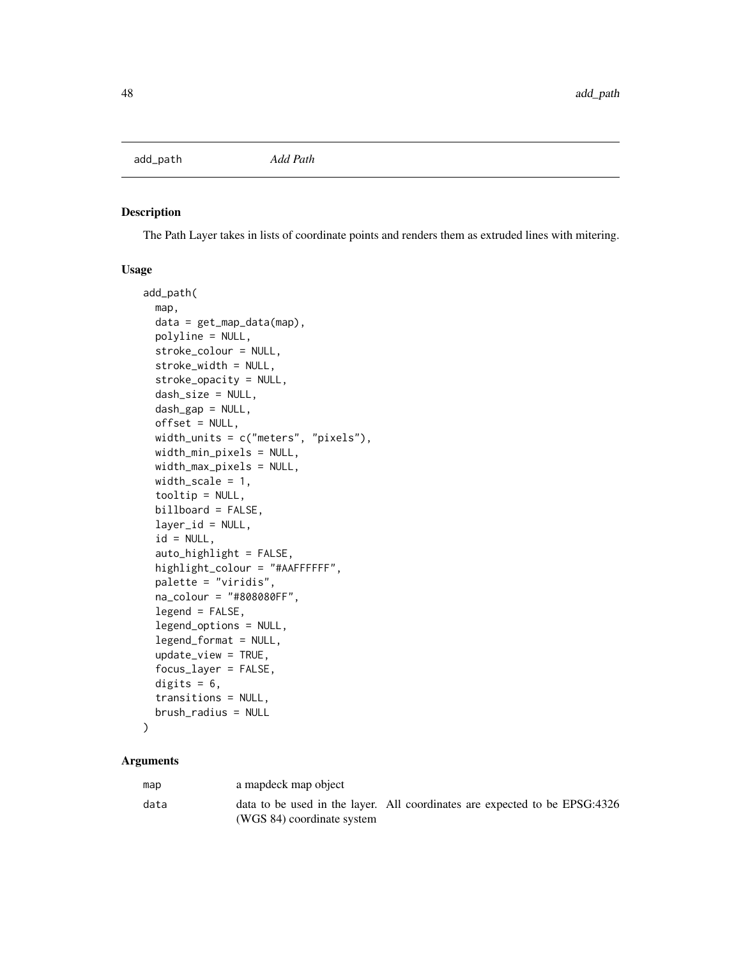<span id="page-47-0"></span>add\_path *Add Path*

# Description

The Path Layer takes in lists of coordinate points and renders them as extruded lines with mitering.

#### Usage

```
add_path(
 map,
  data = get_map_data(map),
 polyline = NULL,
  stroke_colour = NULL,
  stroke_width = NULL,
  stroke_opacity = NULL,
  dash_size = NULL,
  dash_gap = NULL,
  offset = NULL,width_units = c("meters", "pixels"),
 width_min_pixels = NULL,
 width_max_pixels = NULL,
 width_scale = 1,
  tooltip = NULL,
  billboard = FALSE,
  layer_id = NULL,
  id = NULL,auto\_highlight = FALSE,highlight_colour = "#AAFFFFFF",
  palette = "viridis",
  na_colour = "#808080FF",
  legend = FALSE,
  legend_options = NULL,
  legend_format = NULL,
  update_view = TRUE,
  focus_layer = FALSE,
  digits = 6,
  transitions = NULL,
 brush_radius = NULL
```
)

| map  | a mapdeck map object                                                                                     |  |  |
|------|----------------------------------------------------------------------------------------------------------|--|--|
| data | data to be used in the layer. All coordinates are expected to be EPSG:4326<br>(WGS 84) coordinate system |  |  |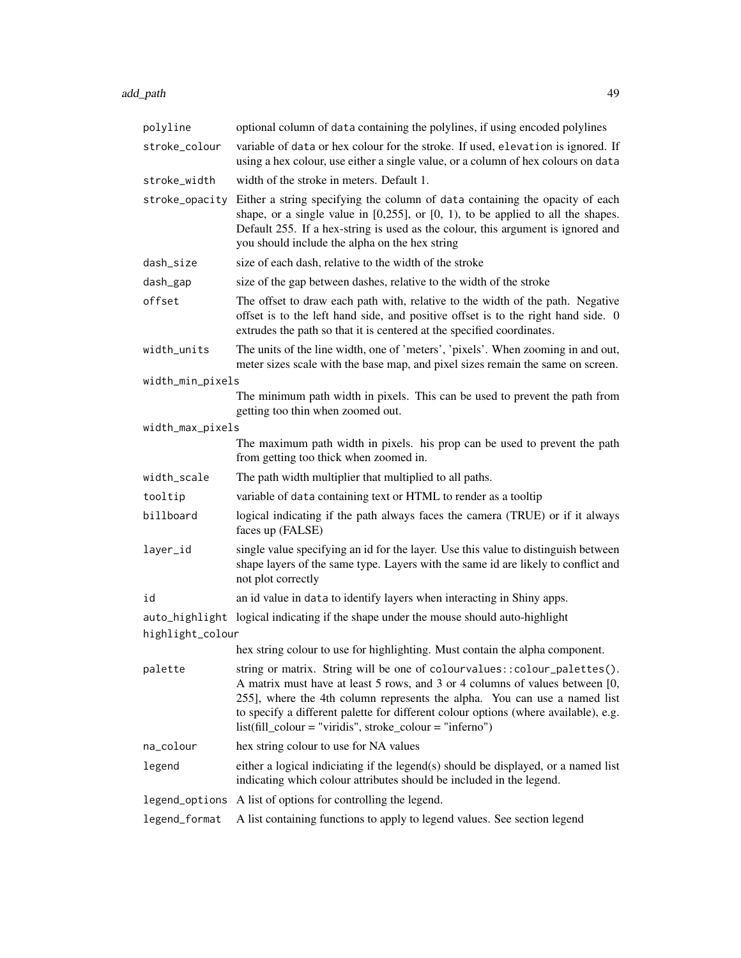| polyline         | optional column of data containing the polylines, if using encoded polylines                                                                                                                                                                                                                                                                                                                 |  |
|------------------|----------------------------------------------------------------------------------------------------------------------------------------------------------------------------------------------------------------------------------------------------------------------------------------------------------------------------------------------------------------------------------------------|--|
| stroke_colour    | variable of data or hex colour for the stroke. If used, elevation is ignored. If<br>using a hex colour, use either a single value, or a column of hex colours on data                                                                                                                                                                                                                        |  |
| stroke_width     | width of the stroke in meters. Default 1.                                                                                                                                                                                                                                                                                                                                                    |  |
|                  | stroke_opacity Either a string specifying the column of data containing the opacity of each<br>shape, or a single value in $[0,255]$ , or $[0, 1)$ , to be applied to all the shapes.<br>Default 255. If a hex-string is used as the colour, this argument is ignored and<br>you should include the alpha on the hex string                                                                  |  |
| dash_size        | size of each dash, relative to the width of the stroke                                                                                                                                                                                                                                                                                                                                       |  |
| dash_gap         | size of the gap between dashes, relative to the width of the stroke                                                                                                                                                                                                                                                                                                                          |  |
| offset           | The offset to draw each path with, relative to the width of the path. Negative<br>offset is to the left hand side, and positive offset is to the right hand side. 0<br>extrudes the path so that it is centered at the specified coordinates.                                                                                                                                                |  |
| width_units      | The units of the line width, one of 'meters', 'pixels'. When zooming in and out,<br>meter sizes scale with the base map, and pixel sizes remain the same on screen.                                                                                                                                                                                                                          |  |
| width_min_pixels |                                                                                                                                                                                                                                                                                                                                                                                              |  |
|                  | The minimum path width in pixels. This can be used to prevent the path from<br>getting too thin when zoomed out.                                                                                                                                                                                                                                                                             |  |
| width_max_pixels |                                                                                                                                                                                                                                                                                                                                                                                              |  |
|                  | The maximum path width in pixels. his prop can be used to prevent the path<br>from getting too thick when zoomed in.                                                                                                                                                                                                                                                                         |  |
| width_scale      | The path width multiplier that multiplied to all paths.                                                                                                                                                                                                                                                                                                                                      |  |
| tooltip          | variable of data containing text or HTML to render as a tooltip                                                                                                                                                                                                                                                                                                                              |  |
| billboard        | logical indicating if the path always faces the camera (TRUE) or if it always<br>faces up (FALSE)                                                                                                                                                                                                                                                                                            |  |
| layer_id         | single value specifying an id for the layer. Use this value to distinguish between<br>shape layers of the same type. Layers with the same id are likely to conflict and<br>not plot correctly                                                                                                                                                                                                |  |
| id               | an id value in data to identify layers when interacting in Shiny apps.                                                                                                                                                                                                                                                                                                                       |  |
|                  | auto_highlight logical indicating if the shape under the mouse should auto-highlight                                                                                                                                                                                                                                                                                                         |  |
| highlight_colour |                                                                                                                                                                                                                                                                                                                                                                                              |  |
|                  | hex string colour to use for highlighting. Must contain the alpha component.                                                                                                                                                                                                                                                                                                                 |  |
| palette          | string or matrix. String will be one of colourvalues:: colour_palettes().<br>A matrix must have at least 5 rows, and 3 or 4 columns of values between [0,<br>255], where the 4th column represents the alpha. You can use a named list<br>to specify a different palette for different colour options (where available), e.g.<br>$list (fill-colour = "viridis", stroke-colour = "inferno")$ |  |
| na_colour        | hex string colour to use for NA values                                                                                                                                                                                                                                                                                                                                                       |  |
| legend           | either a logical indiciating if the legend(s) should be displayed, or a named list<br>indicating which colour attributes should be included in the legend.                                                                                                                                                                                                                                   |  |
| legend_options   | A list of options for controlling the legend.                                                                                                                                                                                                                                                                                                                                                |  |
| legend_format    | A list containing functions to apply to legend values. See section legend                                                                                                                                                                                                                                                                                                                    |  |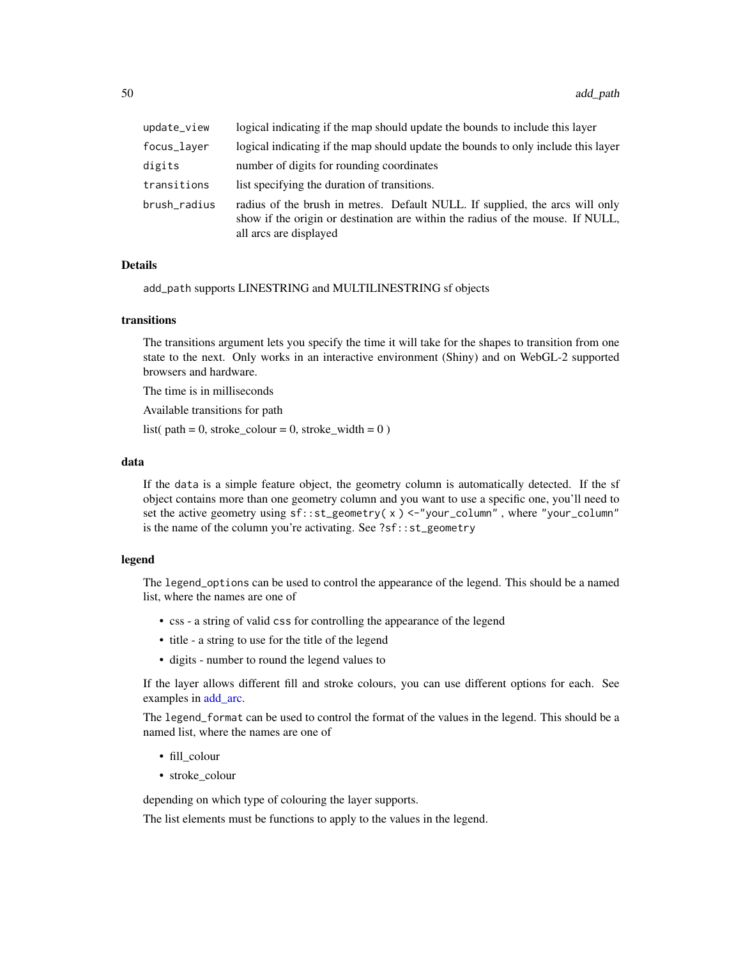| update_view  | logical indicating if the map should update the bounds to include this layer                                                                                                             |  |
|--------------|------------------------------------------------------------------------------------------------------------------------------------------------------------------------------------------|--|
| focus_layer  | logical indicating if the map should update the bounds to only include this layer                                                                                                        |  |
| digits       | number of digits for rounding coordinates                                                                                                                                                |  |
| transitions  | list specifying the duration of transitions.                                                                                                                                             |  |
| brush_radius | radius of the brush in metres. Default NULL. If supplied, the arcs will only<br>show if the origin or destination are within the radius of the mouse. If NULL,<br>all arcs are displayed |  |

add\_path supports LINESTRING and MULTILINESTRING sf objects

#### transitions

The transitions argument lets you specify the time it will take for the shapes to transition from one state to the next. Only works in an interactive environment (Shiny) and on WebGL-2 supported browsers and hardware.

The time is in milliseconds

Available transitions for path

list( path = 0, stroke\_colour = 0, stroke\_width =  $0$ )

#### data

If the data is a simple feature object, the geometry column is automatically detected. If the sf object contains more than one geometry column and you want to use a specific one, you'll need to set the active geometry using sf::st\_geometry( x ) <-"your\_column" , where "your\_column" is the name of the column you're activating. See ?sf::st\_geometry

# legend

The legend\_options can be used to control the appearance of the legend. This should be a named list, where the names are one of

- css a string of valid css for controlling the appearance of the legend
- title a string to use for the title of the legend
- digits number to round the legend values to

If the layer allows different fill and stroke colours, you can use different options for each. See examples in [add\\_arc.](#page-9-0)

The legend\_format can be used to control the format of the values in the legend. This should be a named list, where the names are one of

- fill\_colour
- stroke colour

depending on which type of colouring the layer supports.

The list elements must be functions to apply to the values in the legend.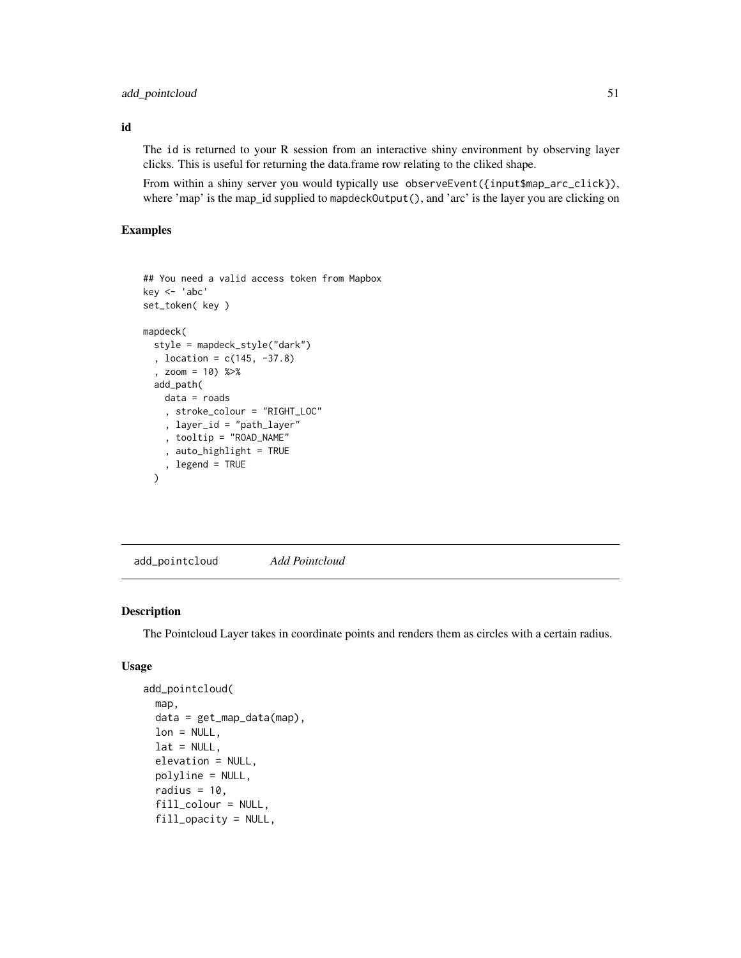# add\_pointcloud 51

id

The id is returned to your R session from an interactive shiny environment by observing layer clicks. This is useful for returning the data.frame row relating to the cliked shape.

From within a shiny server you would typically use observeEvent({input\$map\_arc\_click}), where 'map' is the map\_id supplied to mapdeckOutput(), and 'arc' is the layer you are clicking on

#### Examples

```
## You need a valid access token from Mapbox
key <- 'abc'
set_token( key )
mapdeck(
  style = mapdeck_style("dark")
  , location = c(145, -37.8)
  , zoom = 10) %>%
  add_path(
    data = roads
    , stroke_colour = "RIGHT_LOC"
    , layer_id = "path_layer"
    , tooltip = "ROAD_NAME"
    , auto_highlight = TRUE
    , legend = TRUE
  \lambda
```
add\_pointcloud *Add Pointcloud*

#### Description

The Pointcloud Layer takes in coordinate points and renders them as circles with a certain radius.

#### Usage

```
add_pointcloud(
  map,
  data = get_map_data(map),
  lon = NULL,
  lat = NULL,elevation = NULL,
 polyline = NULL,
  radius = 10,
  fill_colour = NULL,
  fill_opacity = NULL,
```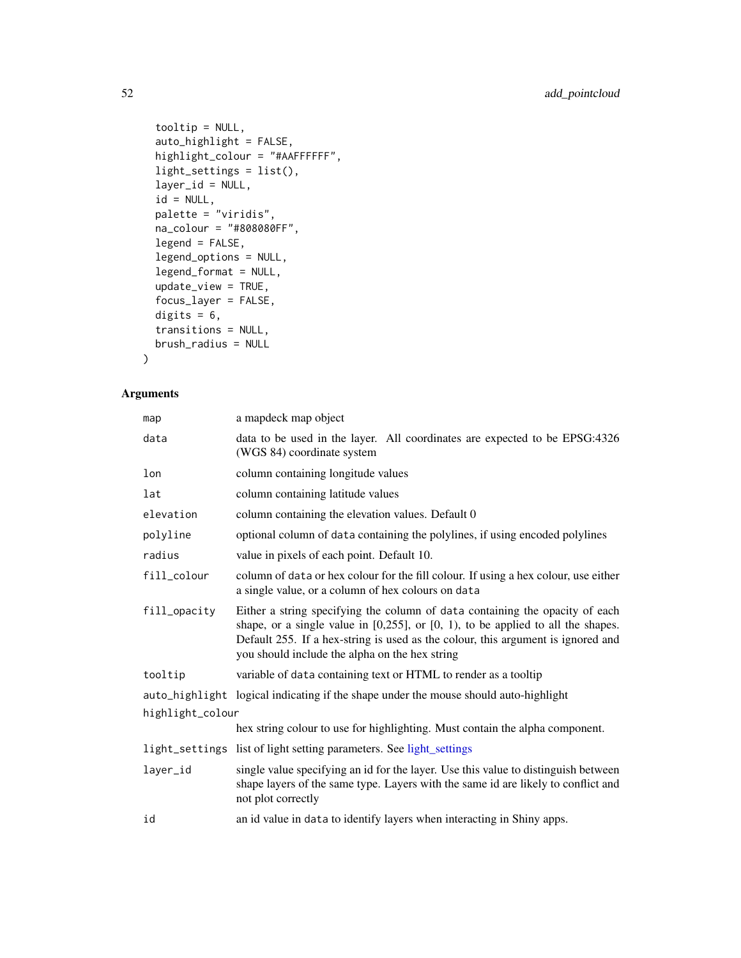```
tooltip = NULL,
  auto_highlight = FALSE,
 highlight_colour = "#AAFFFFFF",
  light_settings = list(),
  layer_id = NULL,
  id = NULL,palette = "viridis",
 na_colour = "#808080FF",
  legend = FALSE,
  legend_options = NULL,
  legend_format = NULL,
  update_view = TRUE,
  focus_layer = FALSE,
 digits = 6,
  transitions = NULL,
 brush_radius = NULL
\mathcal{L}
```

| map              | a mapdeck map object                                                                                                                                                                                                                                                                                         |  |
|------------------|--------------------------------------------------------------------------------------------------------------------------------------------------------------------------------------------------------------------------------------------------------------------------------------------------------------|--|
| data             | data to be used in the layer. All coordinates are expected to be EPSG:4326<br>(WGS 84) coordinate system                                                                                                                                                                                                     |  |
| lon              | column containing longitude values                                                                                                                                                                                                                                                                           |  |
| lat              | column containing latitude values                                                                                                                                                                                                                                                                            |  |
| elevation        | column containing the elevation values. Default 0                                                                                                                                                                                                                                                            |  |
| polyline         | optional column of data containing the polylines, if using encoded polylines                                                                                                                                                                                                                                 |  |
| radius           | value in pixels of each point. Default 10.                                                                                                                                                                                                                                                                   |  |
| fill_colour      | column of data or hex colour for the fill colour. If using a hex colour, use either<br>a single value, or a column of hex colours on data                                                                                                                                                                    |  |
| fill_opacity     | Either a string specifying the column of data containing the opacity of each<br>shape, or a single value in $[0,255]$ , or $[0, 1)$ , to be applied to all the shapes.<br>Default 255. If a hex-string is used as the colour, this argument is ignored and<br>you should include the alpha on the hex string |  |
| tooltip          | variable of data containing text or HTML to render as a tooltip                                                                                                                                                                                                                                              |  |
|                  | auto_highlight logical indicating if the shape under the mouse should auto-highlight                                                                                                                                                                                                                         |  |
| highlight_colour |                                                                                                                                                                                                                                                                                                              |  |
|                  | hex string colour to use for highlighting. Must contain the alpha component.                                                                                                                                                                                                                                 |  |
|                  | light_settings list of light setting parameters. See light_settings                                                                                                                                                                                                                                          |  |
| layer_id         | single value specifying an id for the layer. Use this value to distinguish between<br>shape layers of the same type. Layers with the same id are likely to conflict and<br>not plot correctly                                                                                                                |  |
| id               | an id value in data to identify layers when interacting in Shiny apps.                                                                                                                                                                                                                                       |  |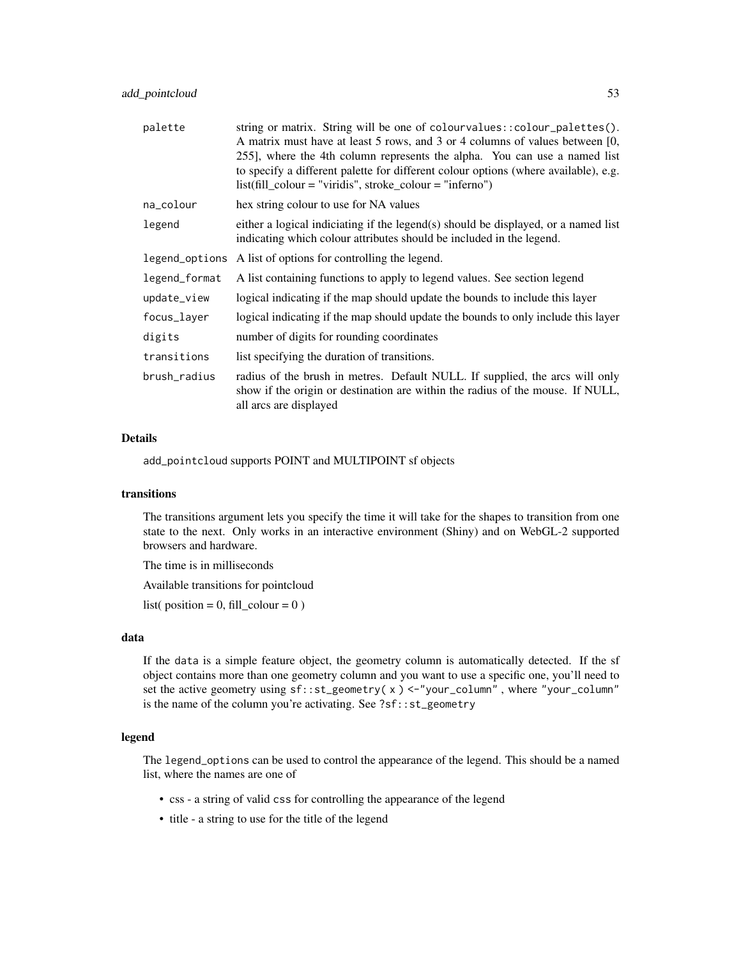| palette        | string or matrix. String will be one of colour values: : colour_palettes().<br>A matrix must have at least 5 rows, and 3 or 4 columns of values between [0,<br>255], where the 4th column represents the alpha. You can use a named list<br>to specify a different palette for different colour options (where available), e.g.<br>$list (fill-colour = "viridis", stroke-colour = "inferno")$ |  |
|----------------|------------------------------------------------------------------------------------------------------------------------------------------------------------------------------------------------------------------------------------------------------------------------------------------------------------------------------------------------------------------------------------------------|--|
| na_colour      | hex string colour to use for NA values                                                                                                                                                                                                                                                                                                                                                         |  |
| legend         | either a logical indiciating if the legend(s) should be displayed, or a named list<br>indicating which colour attributes should be included in the legend.                                                                                                                                                                                                                                     |  |
| legend_options | A list of options for controlling the legend.                                                                                                                                                                                                                                                                                                                                                  |  |
| legend_format  | A list containing functions to apply to legend values. See section legend                                                                                                                                                                                                                                                                                                                      |  |
| update_view    | logical indicating if the map should update the bounds to include this layer                                                                                                                                                                                                                                                                                                                   |  |
| focus_layer    | logical indicating if the map should update the bounds to only include this layer                                                                                                                                                                                                                                                                                                              |  |
| digits         | number of digits for rounding coordinates                                                                                                                                                                                                                                                                                                                                                      |  |
| transitions    | list specifying the duration of transitions.                                                                                                                                                                                                                                                                                                                                                   |  |
| brush_radius   | radius of the brush in metres. Default NULL. If supplied, the arcs will only<br>show if the origin or destination are within the radius of the mouse. If NULL,<br>all arcs are displayed                                                                                                                                                                                                       |  |

add\_pointcloud supports POINT and MULTIPOINT sf objects

#### transitions

The transitions argument lets you specify the time it will take for the shapes to transition from one state to the next. Only works in an interactive environment (Shiny) and on WebGL-2 supported browsers and hardware.

The time is in milliseconds

Available transitions for pointcloud

list( position =  $0$ , fill\_colour =  $0$ )

### data

If the data is a simple feature object, the geometry column is automatically detected. If the sf object contains more than one geometry column and you want to use a specific one, you'll need to set the active geometry using sf::st\_geometry( x ) <-"your\_column" , where "your\_column" is the name of the column you're activating. See ?sf::st\_geometry

## legend

The legend\_options can be used to control the appearance of the legend. This should be a named list, where the names are one of

- css a string of valid css for controlling the appearance of the legend
- title a string to use for the title of the legend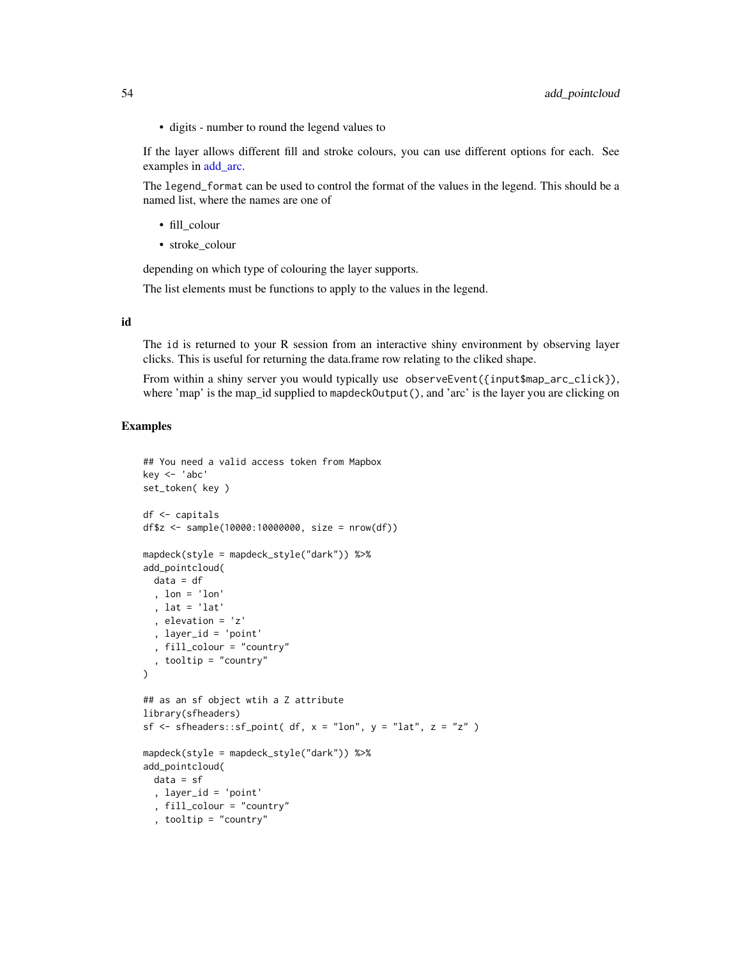• digits - number to round the legend values to

If the layer allows different fill and stroke colours, you can use different options for each. See examples in [add\\_arc.](#page-9-0)

The legend\_format can be used to control the format of the values in the legend. This should be a named list, where the names are one of

- fill colour
- stroke\_colour

depending on which type of colouring the layer supports.

The list elements must be functions to apply to the values in the legend.

#### id

The id is returned to your R session from an interactive shiny environment by observing layer clicks. This is useful for returning the data.frame row relating to the cliked shape.

From within a shiny server you would typically use observeEvent({input\$map\_arc\_click}), where 'map' is the map\_id supplied to mapdeckOutput(), and 'arc' is the layer you are clicking on

```
## You need a valid access token from Mapbox
key <- 'abc'
set_token( key )
df <- capitals
df$z <- sample(10000:10000000, size = nrow(df))
mapdeck(style = mapdeck_style("dark")) %>%
add_pointcloud(
  data = df
  , lon = 'lon'
  , lat = 'lat'
  , elevation = 'z'
  , layer_id = 'point'
  , fill_colour = "country"
  , tooltip = "country"
)
## as an sf object wtih a Z attribute
library(sfheaders)
sf \leq sfheaders::sf_point( df, x = "lon", y = "lat", z = "z" )
mapdeck(style = mapdeck_style("dark")) %>%
add_pointcloud(
  data = sf, layer_id = 'point'
  , fill_colour = "country"
  , tooltip = "country"
```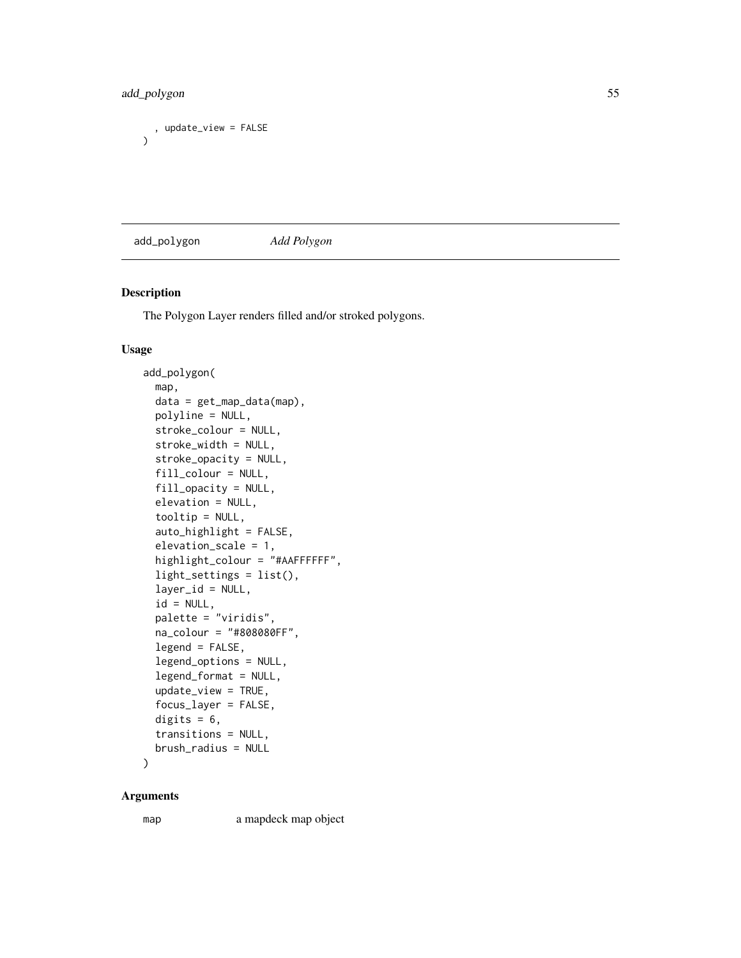# add\_polygon 55

```
, update_view = FALSE
\mathcal{L}
```
<span id="page-54-0"></span>add\_polygon *Add Polygon*

#### Description

The Polygon Layer renders filled and/or stroked polygons.

#### Usage

```
add_polygon(
 map,
 data = get_map_data(map),
 polyline = NULL,
  stroke_colour = NULL,
  stroke_width = NULL,
  stroke_opacity = NULL,
  fill_colour = NULL,
  fill_opacity = NULL,
 elevation = NULL,
  tooltip = NULL,
  auto_highlight = FALSE,
  elevation_scale = 1,
 highlight_colour = "#AAFFFFFF",
  light_settings = list(),
  layer_id = NULL,id = NULL,palette = "viridis",
  na_colour = "#808080FF",
  legend = FALSE,
  legend_options = NULL,
  legend_format = NULL,
  update_view = TRUE,
  focus_layer = FALSE,
 digits = 6,
  transitions = NULL,
 brush_radius = NULL
```
)

#### Arguments

map a mapdeck map object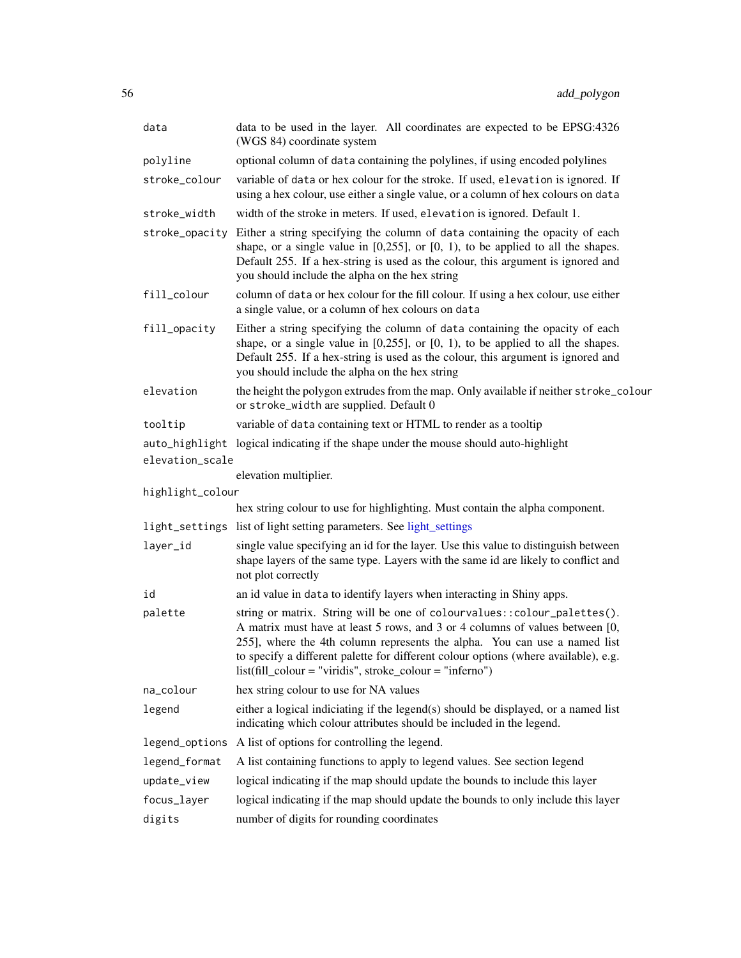| data             | data to be used in the layer. All coordinates are expected to be EPSG:4326<br>(WGS 84) coordinate system                                                                                                                                                                                                                                                                                       |  |  |
|------------------|------------------------------------------------------------------------------------------------------------------------------------------------------------------------------------------------------------------------------------------------------------------------------------------------------------------------------------------------------------------------------------------------|--|--|
| polyline         | optional column of data containing the polylines, if using encoded polylines                                                                                                                                                                                                                                                                                                                   |  |  |
| stroke_colour    | variable of data or hex colour for the stroke. If used, elevation is ignored. If<br>using a hex colour, use either a single value, or a column of hex colours on data                                                                                                                                                                                                                          |  |  |
| stroke_width     | width of the stroke in meters. If used, elevation is ignored. Default 1.                                                                                                                                                                                                                                                                                                                       |  |  |
| stroke_opacity   | Either a string specifying the column of data containing the opacity of each<br>shape, or a single value in $[0,255]$ , or $[0, 1)$ , to be applied to all the shapes.<br>Default 255. If a hex-string is used as the colour, this argument is ignored and<br>you should include the alpha on the hex string                                                                                   |  |  |
| fill_colour      | column of data or hex colour for the fill colour. If using a hex colour, use either<br>a single value, or a column of hex colours on data                                                                                                                                                                                                                                                      |  |  |
| fill_opacity     | Either a string specifying the column of data containing the opacity of each<br>shape, or a single value in $[0,255]$ , or $[0, 1)$ , to be applied to all the shapes.<br>Default 255. If a hex-string is used as the colour, this argument is ignored and<br>you should include the alpha on the hex string                                                                                   |  |  |
| elevation        | the height the polygon extrudes from the map. Only available if neither stroke_colour<br>or stroke_width are supplied. Default 0                                                                                                                                                                                                                                                               |  |  |
| tooltip          | variable of data containing text or HTML to render as a tooltip                                                                                                                                                                                                                                                                                                                                |  |  |
|                  | auto_highlight logical indicating if the shape under the mouse should auto-highlight                                                                                                                                                                                                                                                                                                           |  |  |
| elevation_scale  |                                                                                                                                                                                                                                                                                                                                                                                                |  |  |
|                  | elevation multiplier.                                                                                                                                                                                                                                                                                                                                                                          |  |  |
| highlight_colour | hex string colour to use for highlighting. Must contain the alpha component.                                                                                                                                                                                                                                                                                                                   |  |  |
|                  | light_settings list of light setting parameters. See light_settings                                                                                                                                                                                                                                                                                                                            |  |  |
| layer_id         | single value specifying an id for the layer. Use this value to distinguish between<br>shape layers of the same type. Layers with the same id are likely to conflict and<br>not plot correctly                                                                                                                                                                                                  |  |  |
| id               | an id value in data to identify layers when interacting in Shiny apps.                                                                                                                                                                                                                                                                                                                         |  |  |
| palette          | string or matrix. String will be one of colourvalues:: colour_palettes().<br>A matrix must have at least 5 rows, and 3 or 4 columns of values between [0,<br>255], where the 4th column represents the alpha. You can use a named list<br>to specify a different palette for different colour options (where available), e.g.<br>$list (fill\_colour = "viridis", stroke\_colour = "inferno")$ |  |  |
| na_colour        | hex string colour to use for NA values                                                                                                                                                                                                                                                                                                                                                         |  |  |
| legend           | either a logical indiciating if the legend(s) should be displayed, or a named list<br>indicating which colour attributes should be included in the legend.                                                                                                                                                                                                                                     |  |  |
| legend_options   | A list of options for controlling the legend.                                                                                                                                                                                                                                                                                                                                                  |  |  |
| legend_format    | A list containing functions to apply to legend values. See section legend                                                                                                                                                                                                                                                                                                                      |  |  |
| update_view      | logical indicating if the map should update the bounds to include this layer                                                                                                                                                                                                                                                                                                                   |  |  |
| focus_layer      | logical indicating if the map should update the bounds to only include this layer                                                                                                                                                                                                                                                                                                              |  |  |
| digits           | number of digits for rounding coordinates                                                                                                                                                                                                                                                                                                                                                      |  |  |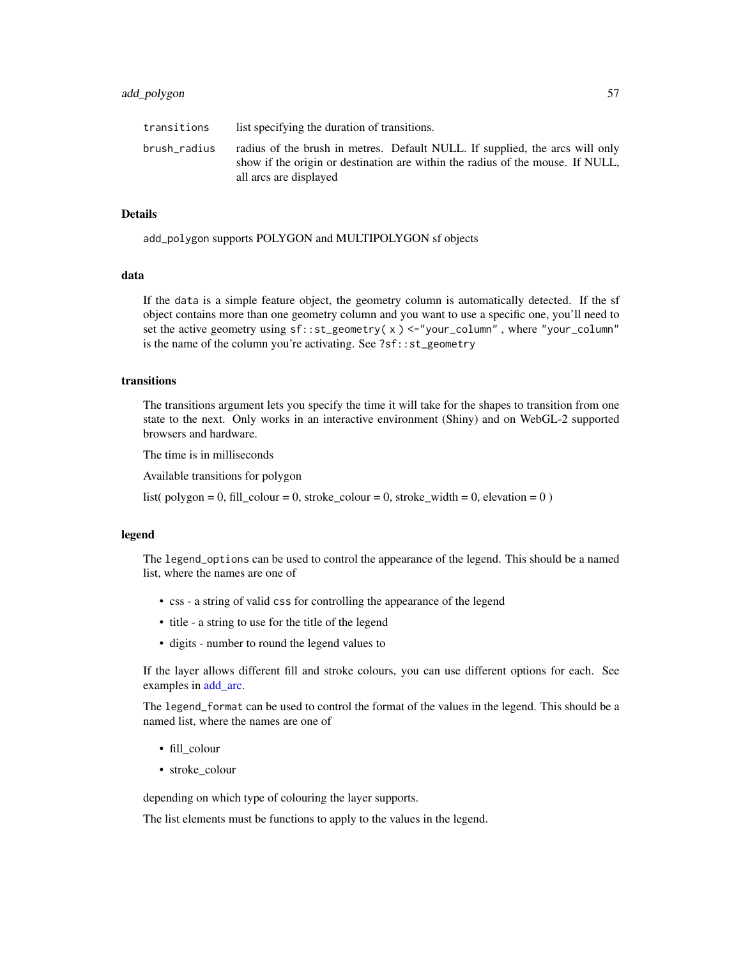| transitions  | list specifying the duration of transitions.                                                                                                                                             |
|--------------|------------------------------------------------------------------------------------------------------------------------------------------------------------------------------------------|
| brush radius | radius of the brush in metres. Default NULL. If supplied, the arcs will only<br>show if the origin or destination are within the radius of the mouse. If NULL,<br>all arcs are displayed |

add\_polygon supports POLYGON and MULTIPOLYGON sf objects

#### data

If the data is a simple feature object, the geometry column is automatically detected. If the sf object contains more than one geometry column and you want to use a specific one, you'll need to set the active geometry using sf::st\_geometry( x ) <-"your\_column" , where "your\_column" is the name of the column you're activating. See ?sf::st\_geometry

#### transitions

The transitions argument lets you specify the time it will take for the shapes to transition from one state to the next. Only works in an interactive environment (Shiny) and on WebGL-2 supported browsers and hardware.

The time is in milliseconds

Available transitions for polygon

list( polygon = 0, fill\_colour = 0, stroke\_colour = 0, stroke\_width = 0, elevation = 0 )

#### legend

The legend\_options can be used to control the appearance of the legend. This should be a named list, where the names are one of

- css a string of valid css for controlling the appearance of the legend
- title a string to use for the title of the legend
- digits number to round the legend values to

If the layer allows different fill and stroke colours, you can use different options for each. See examples in [add\\_arc.](#page-9-0)

The legend\_format can be used to control the format of the values in the legend. This should be a named list, where the names are one of

- fill\_colour
- stroke\_colour

depending on which type of colouring the layer supports.

The list elements must be functions to apply to the values in the legend.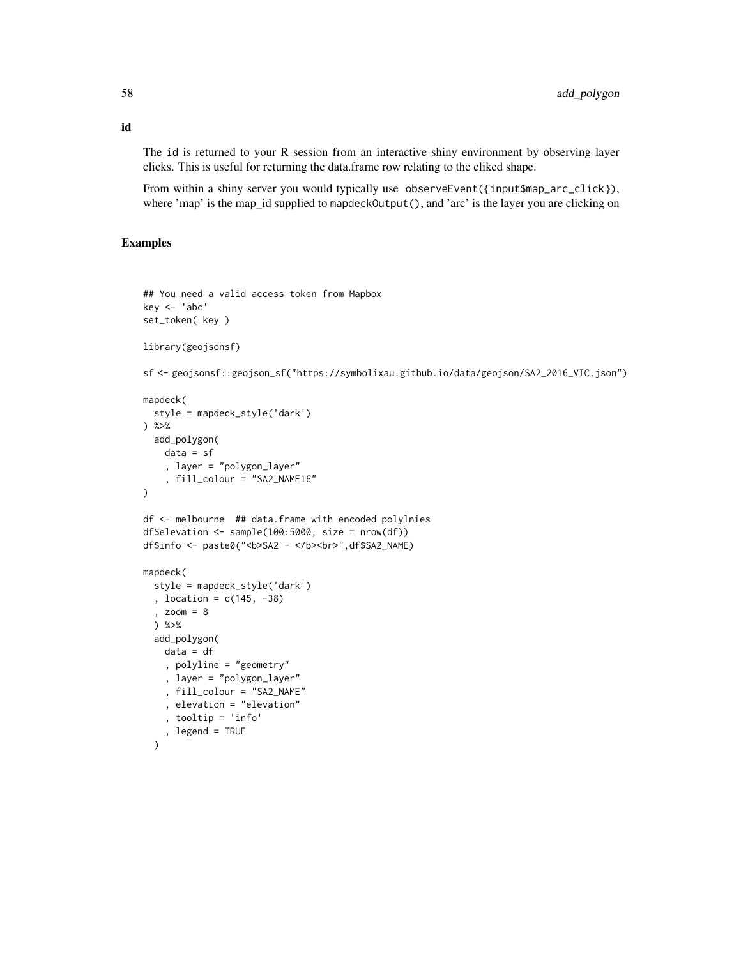The id is returned to your R session from an interactive shiny environment by observing layer clicks. This is useful for returning the data.frame row relating to the cliked shape.

From within a shiny server you would typically use observeEvent({input\$map\_arc\_click}), where 'map' is the map\_id supplied to mapdeckOutput(), and 'arc' is the layer you are clicking on

#### Examples

```
## You need a valid access token from Mapbox
key <- 'abc'
set_token( key )
library(geojsonsf)
sf <- geojsonsf::geojson_sf("https://symbolixau.github.io/data/geojson/SA2_2016_VIC.json")
mapdeck(
  style = mapdeck_style('dark')
) %>%
  add_polygon(
    data = sf
    , layer = "polygon_layer"
    , fill_colour = "SA2_NAME16"
\mathcal{L}df <- melbourne ## data.frame with encoded polylnies
df$elevation <- sample(100:5000, size = nrow(df))
df$info <- paste0("<b>SA2 - </b><br>",df$SA2_NAME)
mapdeck(
  style = mapdeck_style('dark')
  , location = c(145, -38)
  , zoom = 8
  ) %>%
  add_polygon(
    data = df
    , polyline = "geometry"
    , layer = "polygon_layer"
    , fill_colour = "SA2_NAME"
    , elevation = "elevation"
    , tooltip = 'info'
    , legend = TRUE
  \lambda
```
id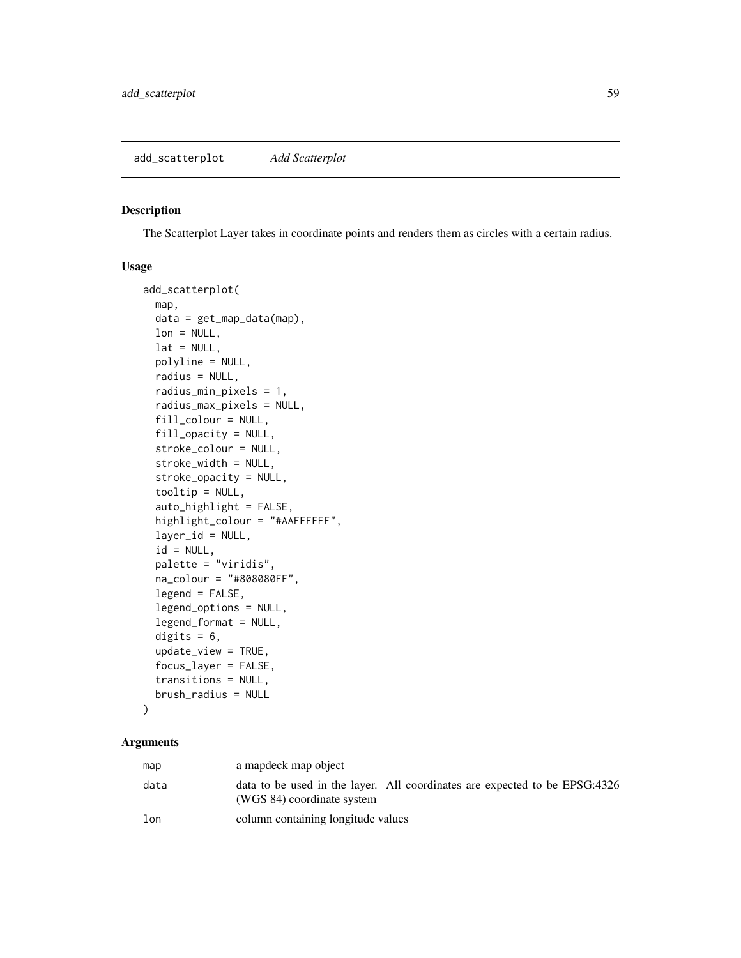#### <span id="page-58-0"></span>Description

The Scatterplot Layer takes in coordinate points and renders them as circles with a certain radius.

### Usage

```
add_scatterplot(
 map,
  data = get_map_data(map),
  lon = NULL,lat = NULL,polyline = NULL,
  radius = NULL,
  radius_min_pixels = 1,
  radius_max_pixels = NULL,
  fill_colour = NULL,
  fill_opacity = NULL,
  stroke_colour = NULL,
  stroke_width = NULL,
  stroke_opacity = NULL,
  tooltip = NULL,
  auto_highlight = FALSE,
  highlight_colour = "#AAFFFFFF",
  layer_id = NULL,id = NULL,palette = "viridis",
  na_colour = "#808080FF",
  legend = FALSE,
  legend_options = NULL,
  legend_format = NULL,
  digits = 6,
  update_view = TRUE,
  focus_layer = FALSE,
  transitions = NULL,
  brush_radius = NULL
)
```

| map  | a mapdeck map object                                                                                     |
|------|----------------------------------------------------------------------------------------------------------|
| data | data to be used in the layer. All coordinates are expected to be EPSG:4326<br>(WGS 84) coordinate system |
| lon  | column containing longitude values                                                                       |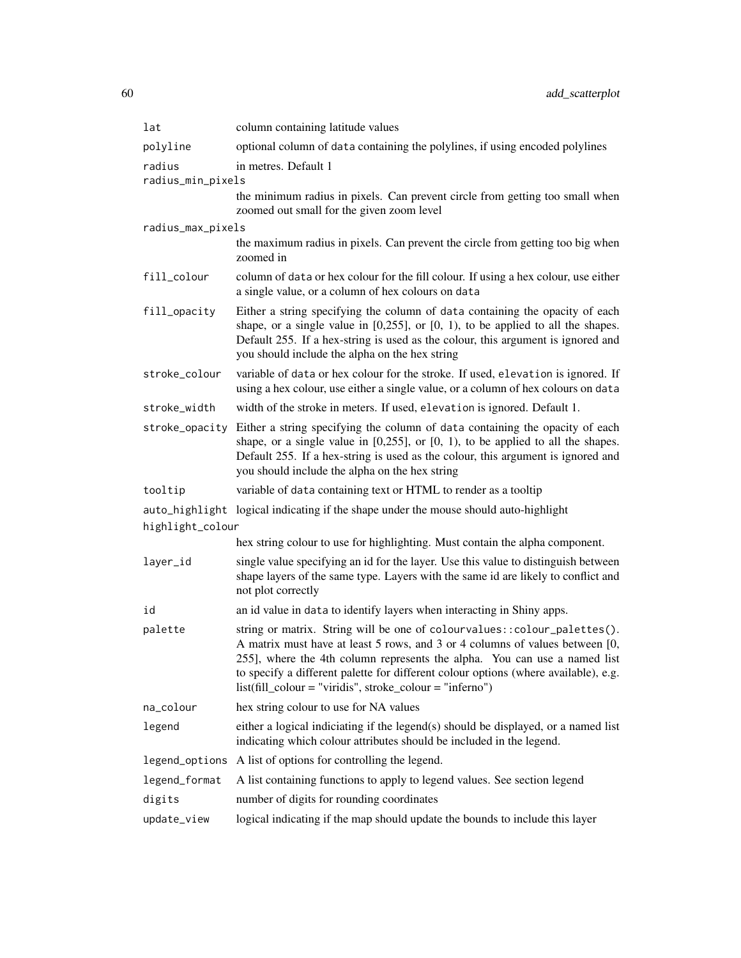| lat               | column containing latitude values                                                                                                                                                                                                                                                                                                                                                              |  |
|-------------------|------------------------------------------------------------------------------------------------------------------------------------------------------------------------------------------------------------------------------------------------------------------------------------------------------------------------------------------------------------------------------------------------|--|
| polyline          | optional column of data containing the polylines, if using encoded polylines                                                                                                                                                                                                                                                                                                                   |  |
| radius            | in metres. Default 1                                                                                                                                                                                                                                                                                                                                                                           |  |
| radius_min_pixels |                                                                                                                                                                                                                                                                                                                                                                                                |  |
|                   | the minimum radius in pixels. Can prevent circle from getting too small when<br>zoomed out small for the given zoom level                                                                                                                                                                                                                                                                      |  |
| radius_max_pixels |                                                                                                                                                                                                                                                                                                                                                                                                |  |
|                   | the maximum radius in pixels. Can prevent the circle from getting too big when<br>zoomed in                                                                                                                                                                                                                                                                                                    |  |
| fill_colour       | column of data or hex colour for the fill colour. If using a hex colour, use either<br>a single value, or a column of hex colours on data                                                                                                                                                                                                                                                      |  |
| fill_opacity      | Either a string specifying the column of data containing the opacity of each<br>shape, or a single value in $[0,255]$ , or $[0, 1)$ , to be applied to all the shapes.<br>Default 255. If a hex-string is used as the colour, this argument is ignored and<br>you should include the alpha on the hex string                                                                                   |  |
| stroke_colour     | variable of data or hex colour for the stroke. If used, elevation is ignored. If<br>using a hex colour, use either a single value, or a column of hex colours on data                                                                                                                                                                                                                          |  |
| stroke width      | width of the stroke in meters. If used, elevation is ignored. Default 1.                                                                                                                                                                                                                                                                                                                       |  |
|                   | stroke_opacity Either a string specifying the column of data containing the opacity of each<br>shape, or a single value in $[0,255]$ , or $[0, 1)$ , to be applied to all the shapes.<br>Default 255. If a hex-string is used as the colour, this argument is ignored and<br>you should include the alpha on the hex string                                                                    |  |
| tooltip           | variable of data containing text or HTML to render as a tooltip                                                                                                                                                                                                                                                                                                                                |  |
|                   | auto_highlight logical indicating if the shape under the mouse should auto-highlight                                                                                                                                                                                                                                                                                                           |  |
| highlight_colour  |                                                                                                                                                                                                                                                                                                                                                                                                |  |
|                   | hex string colour to use for highlighting. Must contain the alpha component.                                                                                                                                                                                                                                                                                                                   |  |
| layer_id          | single value specifying an id for the layer. Use this value to distinguish between<br>shape layers of the same type. Layers with the same id are likely to conflict and<br>not plot correctly                                                                                                                                                                                                  |  |
| id                | an id value in data to identify layers when interacting in Shiny apps.                                                                                                                                                                                                                                                                                                                         |  |
| palette           | string or matrix. String will be one of colourvalues:: colour_palettes().<br>A matrix must have at least 5 rows, and 3 or 4 columns of values between [0,<br>255], where the 4th column represents the alpha. You can use a named list<br>to specify a different palette for different colour options (where available), e.g.<br>$list (fill\_colour = "viridis", stroke\_colour = "inferno")$ |  |
| na_colour         | hex string colour to use for NA values                                                                                                                                                                                                                                                                                                                                                         |  |
| legend            | either a logical indiciating if the legend(s) should be displayed, or a named list<br>indicating which colour attributes should be included in the legend.                                                                                                                                                                                                                                     |  |
| legend_options    | A list of options for controlling the legend.                                                                                                                                                                                                                                                                                                                                                  |  |
| legend_format     | A list containing functions to apply to legend values. See section legend                                                                                                                                                                                                                                                                                                                      |  |
| digits            | number of digits for rounding coordinates                                                                                                                                                                                                                                                                                                                                                      |  |
| update_view       | logical indicating if the map should update the bounds to include this layer                                                                                                                                                                                                                                                                                                                   |  |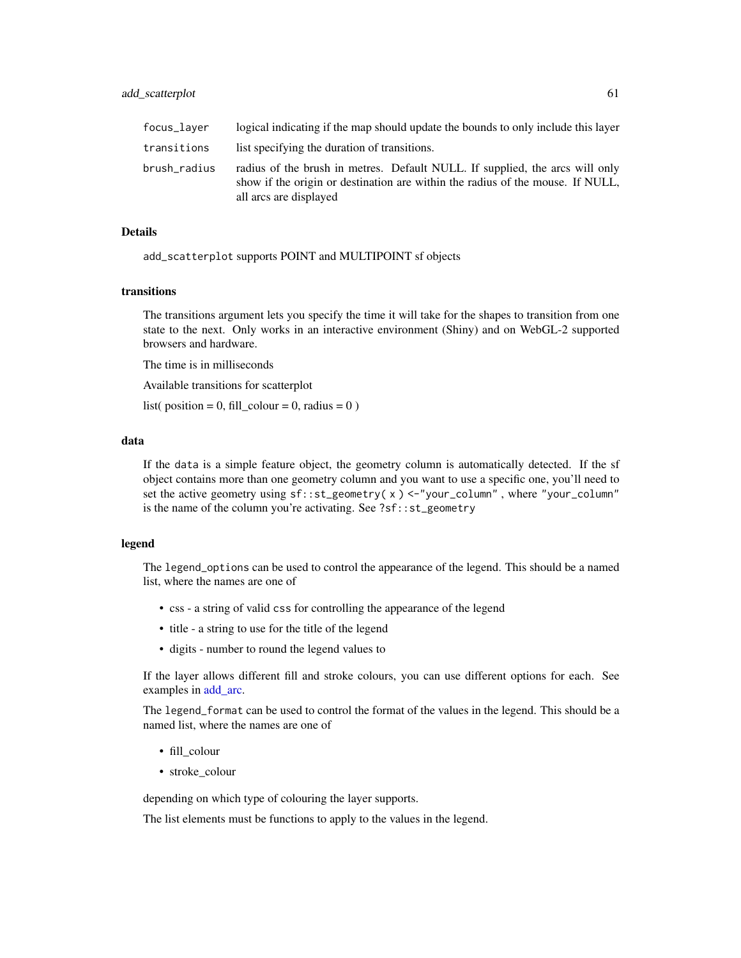| focus_laver  | logical indicating if the map should update the bounds to only include this layer                                                                                                        |
|--------------|------------------------------------------------------------------------------------------------------------------------------------------------------------------------------------------|
| transitions  | list specifying the duration of transitions.                                                                                                                                             |
| brush radius | radius of the brush in metres. Default NULL. If supplied, the arcs will only<br>show if the origin or destination are within the radius of the mouse. If NULL,<br>all arcs are displayed |

add\_scatterplot supports POINT and MULTIPOINT sf objects

#### transitions

The transitions argument lets you specify the time it will take for the shapes to transition from one state to the next. Only works in an interactive environment (Shiny) and on WebGL-2 supported browsers and hardware.

The time is in milliseconds

Available transitions for scatterplot

list( position = 0, fill\_colour = 0, radius = 0)

#### data

If the data is a simple feature object, the geometry column is automatically detected. If the sf object contains more than one geometry column and you want to use a specific one, you'll need to set the active geometry using  $sf:ist\_geometry(x) < -$ "your\_column", where "your\_column" is the name of the column you're activating. See ?sf::st\_geometry

#### legend

The legend\_options can be used to control the appearance of the legend. This should be a named list, where the names are one of

- css a string of valid css for controlling the appearance of the legend
- title a string to use for the title of the legend
- digits number to round the legend values to

If the layer allows different fill and stroke colours, you can use different options for each. See examples in [add\\_arc.](#page-9-0)

The legend\_format can be used to control the format of the values in the legend. This should be a named list, where the names are one of

- fill\_colour
- stroke\_colour

depending on which type of colouring the layer supports.

The list elements must be functions to apply to the values in the legend.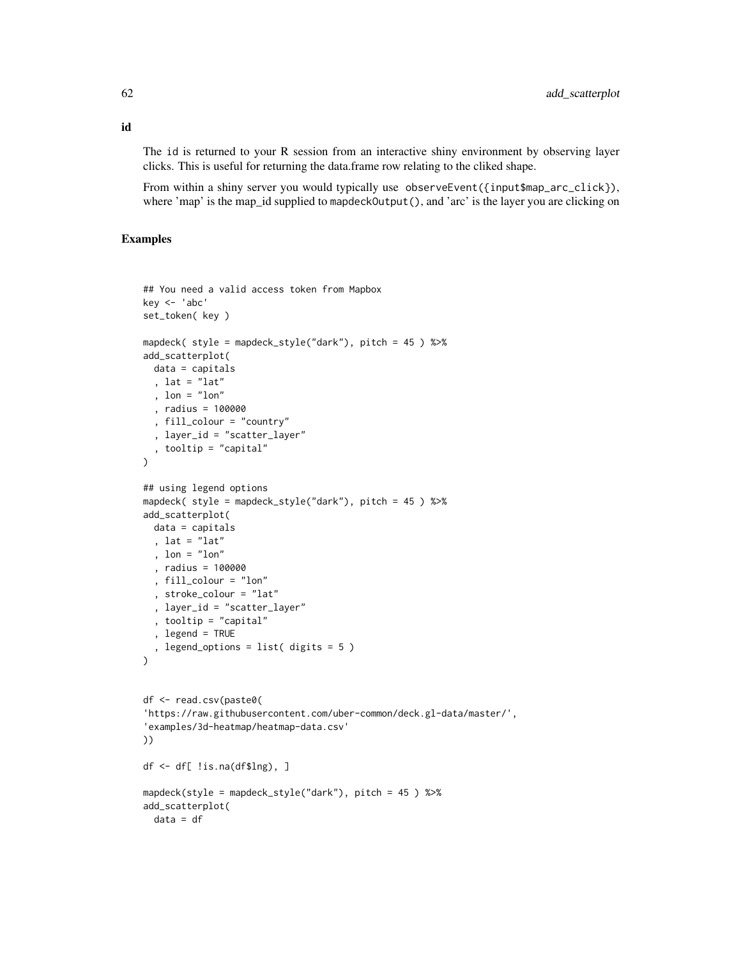The id is returned to your R session from an interactive shiny environment by observing layer clicks. This is useful for returning the data.frame row relating to the cliked shape.

From within a shiny server you would typically use observeEvent({input\$map\_arc\_click}), where 'map' is the map\_id supplied to mapdeckOutput(), and 'arc' is the layer you are clicking on

```
## You need a valid access token from Mapbox
key < - 'abc'set_token( key )
mapdeck( style = mapdeck_style("dark"), pitch = 45 ) %>%
add_scatterplot(
 data = capitals
  , lat = "lat"
  , lon = "lon"
  , radius = 100000
  , fill_colour = "country"
  , layer_id = "scatter_layer"
  , tooltip = "capital"
\mathcal{L}## using legend options
mapdeck( style = mapdeck_style("dark"), pitch = 45 ) %>%
add_scatterplot(
 data = capitals
  , lat = "lat"
  , lon = "lon", radius = 100000
  , fill_colour = "lon"
  , stroke_colour = "lat"
  , layer_id = "scatter_layer"
  , tooltip = "capital"
  , legend = TRUE
  , legend_options = list( digits = 5 )
\lambdadf <- read.csv(paste0(
'https://raw.githubusercontent.com/uber-common/deck.gl-data/master/',
'examples/3d-heatmap/heatmap-data.csv'
))
df \leftarrow df !is.na(df$lng), ]
mapdeck(style = mapdeck_style("dark"), pitch = 45 ) %>%
add_scatterplot(
  data = df
```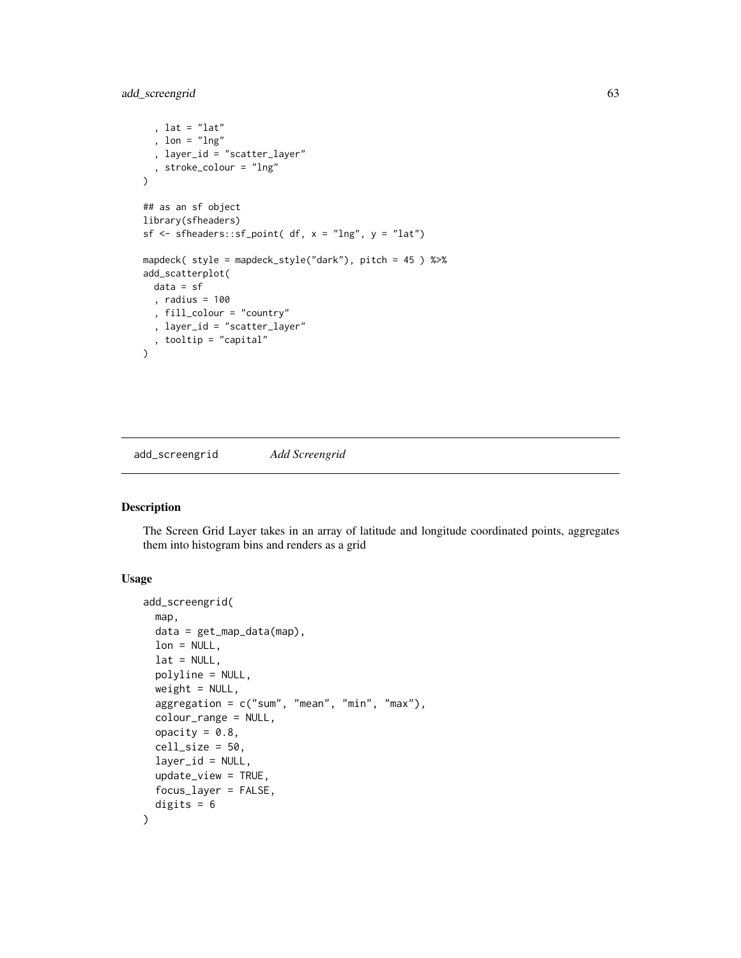add\_screengrid 63

```
, lat = "lat"
  , lon = "lng"
  , layer_id = "scatter_layer"
  , stroke_colour = "lng"
\mathcal{L}## as an sf object
library(sfheaders)
sf \leq sfheaders::sf_point( df, x = "Ing", y = "lat")mapdeck( style = mapdeck_style("dark"), pitch = 45 ) %>%
add_scatterplot(
  data = sf
  , radius = 100
  , fill_colour = "country"
  , layer_id = "scatter_layer"
  , tooltip = "capital"
\lambda
```
add\_screengrid *Add Screengrid*

#### Description

The Screen Grid Layer takes in an array of latitude and longitude coordinated points, aggregates them into histogram bins and renders as a grid

# Usage

```
add_screengrid(
 map,
 data = get_map_data(map),
 lon = NULL,lat = NULL,polyline = NULL,
 weight = NULL,aggregation = c("sum", "mean", "min", "max"),
  colour_range = NULL,
 opacity = 0.8,
  cell_size = 50,
 layer_id = NULL,
 update_view = TRUE,
 focus_layer = FALSE,
  digits = 6)
```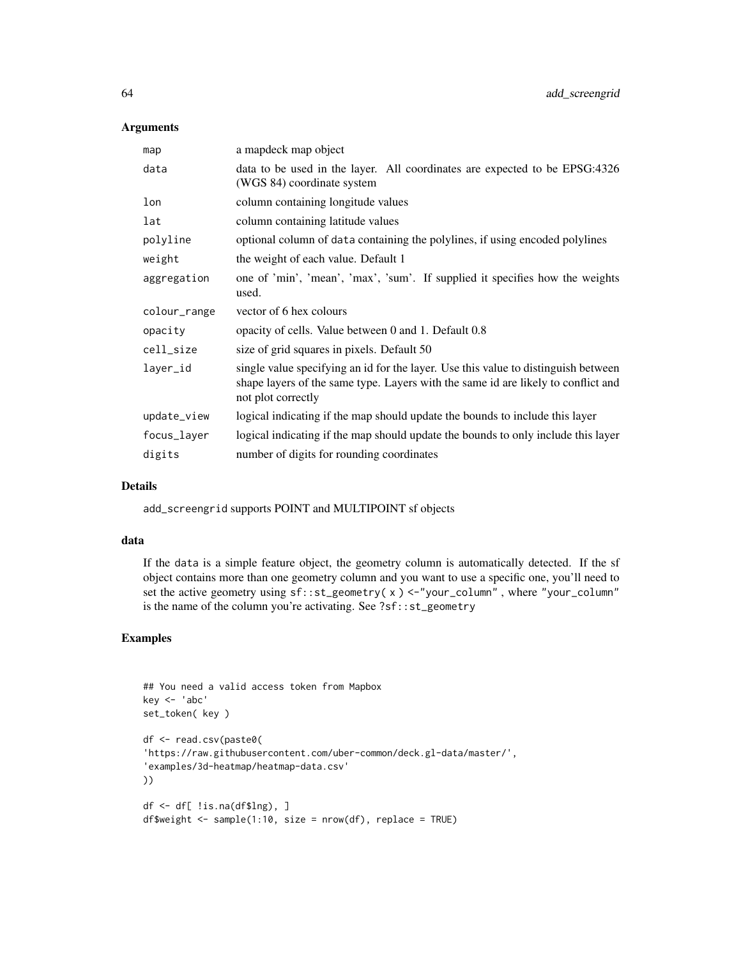#### Arguments

| map          | a mapdeck map object                                                                                                                                                                          |  |
|--------------|-----------------------------------------------------------------------------------------------------------------------------------------------------------------------------------------------|--|
| data         | data to be used in the layer. All coordinates are expected to be EPSG:4326<br>(WGS 84) coordinate system                                                                                      |  |
| lon          | column containing longitude values                                                                                                                                                            |  |
| lat          | column containing latitude values                                                                                                                                                             |  |
| polyline     | optional column of data containing the polylines, if using encoded polylines                                                                                                                  |  |
| weight       | the weight of each value. Default 1                                                                                                                                                           |  |
| aggregation  | one of 'min', 'mean', 'max', 'sum'. If supplied it specifies how the weights<br>used.                                                                                                         |  |
| colour_range | vector of 6 hex colours                                                                                                                                                                       |  |
| opacity      | opacity of cells. Value between 0 and 1. Default 0.8                                                                                                                                          |  |
| cell_size    | size of grid squares in pixels. Default 50                                                                                                                                                    |  |
| layer_id     | single value specifying an id for the layer. Use this value to distinguish between<br>shape layers of the same type. Layers with the same id are likely to conflict and<br>not plot correctly |  |
| update_view  | logical indicating if the map should update the bounds to include this layer                                                                                                                  |  |
| focus_layer  | logical indicating if the map should update the bounds to only include this layer                                                                                                             |  |
| digits       | number of digits for rounding coordinates                                                                                                                                                     |  |

# Details

add\_screengrid supports POINT and MULTIPOINT sf objects

## data

If the data is a simple feature object, the geometry column is automatically detected. If the sf object contains more than one geometry column and you want to use a specific one, you'll need to set the active geometry using sf::st\_geometry( x ) <-"your\_column" , where "your\_column" is the name of the column you're activating. See ?sf::st\_geometry

```
## You need a valid access token from Mapbox
key <- 'abc'
set_token( key )
df <- read.csv(paste0(
'https://raw.githubusercontent.com/uber-common/deck.gl-data/master/',
'examples/3d-heatmap/heatmap-data.csv'
))
df \leftarrow df[ !is.na(df$lng), ]
df$weight <- sample(1:10, size = nrow(df), replace = TRUE)
```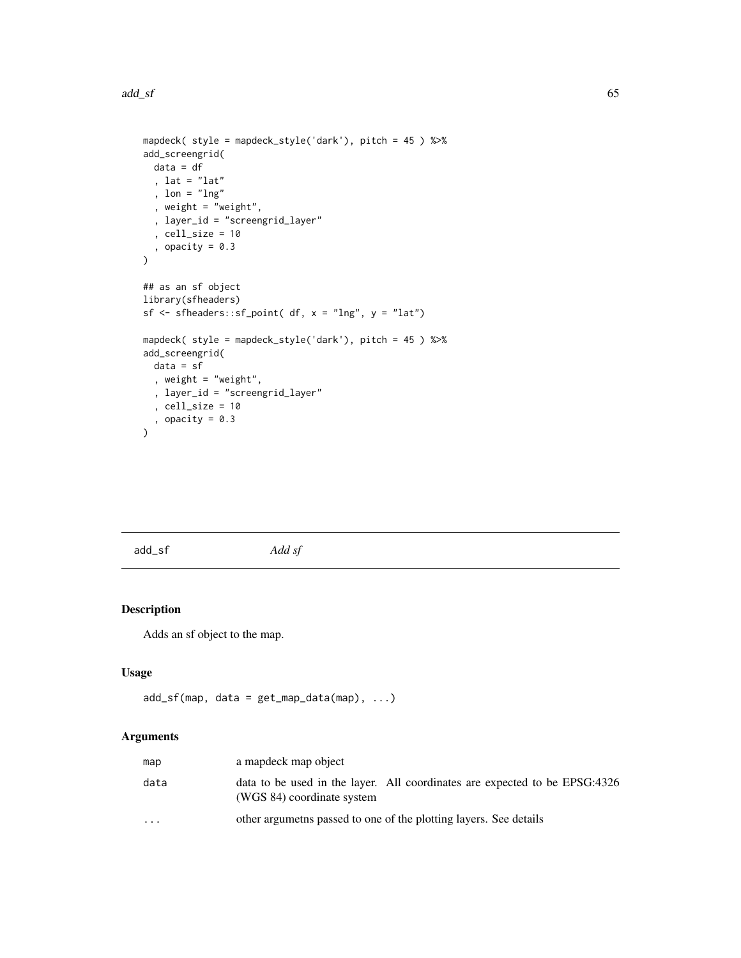add\_sf 65

```
mapdeck( style = mapdeck_style('dark'), pitch = 45 ) %>%
add_screengrid(
 data = df
  , lat = "lat", lon = "lng"
  , weight = "weight",
  , layer_id = "screengrid_layer"
  , cell_size = 10
  , opacity = 0.3\mathcal{L}## as an sf object
library(sfheaders)
sf \leq sfheaders::sf_point( df, x = "lng", y = "lat")mapdeck( style = mapdeck_style('dark'), pitch = 45 ) %>%
add_screengrid(
 data = sf
  , weight = "weight",
  , layer_id = "screengrid_layer"
 , cell_size = 10
  , opacity = 0.3)
```
add\_sf *Add sf*

# Description

Adds an sf object to the map.

# Usage

```
add_s f(map, data = get_map_data(map), ...)
```

| map     | a mapdeck map object                                                                                     |
|---------|----------------------------------------------------------------------------------------------------------|
| data    | data to be used in the layer. All coordinates are expected to be EPSG:4326<br>(WGS 84) coordinate system |
| $\cdot$ | other argumeths passed to one of the plotting layers. See details                                        |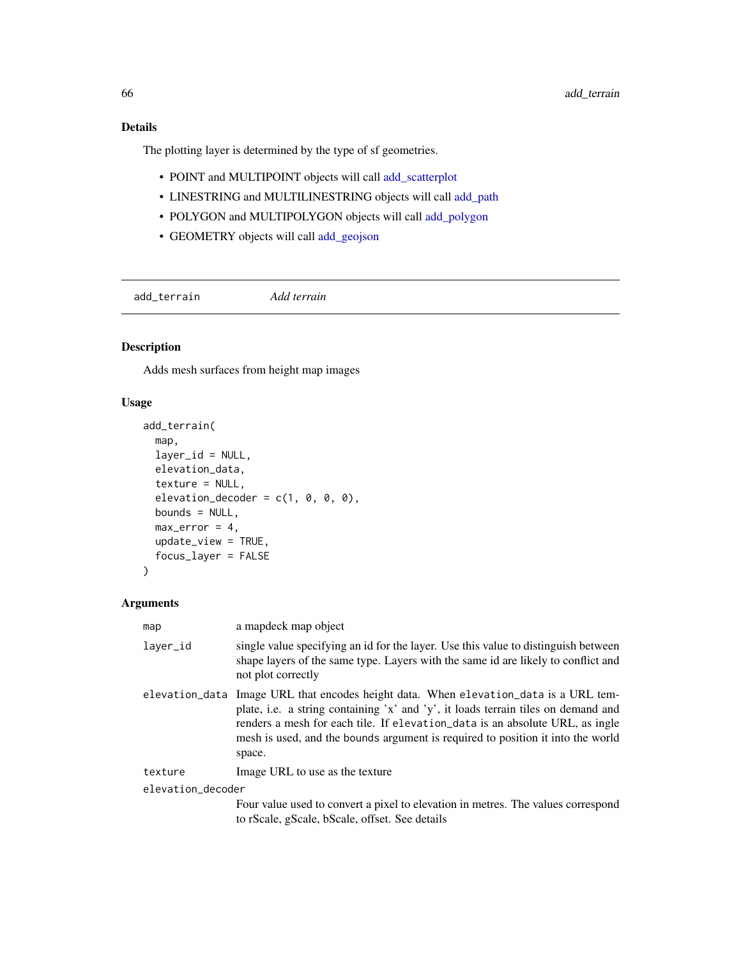The plotting layer is determined by the type of sf geometries.

- POINT and MULTIPOINT objects will call [add\\_scatterplot](#page-58-0)
- LINESTRING and MULTILINESTRING objects will call [add\\_path](#page-47-0)
- POLYGON and MULTIPOLYGON objects will call [add\\_polygon](#page-54-0)
- GEOMETRY objects will call [add\\_geojson](#page-21-0)

add\_terrain *Add terrain*

# Description

Adds mesh surfaces from height map images

#### Usage

```
add_terrain(
 map,
 layer_id = NULL,elevation_data,
 texture = NULL,
 elevation_decoder = c(1, 0, 0, 0),
 bounds = NULL,
 max_error = 4,
 update_view = TRUE,
  focus_layer = FALSE
)
```

| map               | a mapdeck map object                                                                                                                                                                                                                                                                                                                    |
|-------------------|-----------------------------------------------------------------------------------------------------------------------------------------------------------------------------------------------------------------------------------------------------------------------------------------------------------------------------------------|
| layer_id          | single value specifying an id for the layer. Use this value to distinguish between<br>shape layers of the same type. Layers with the same id are likely to conflict and<br>not plot correctly                                                                                                                                           |
| elevation_data    | Image URL that encodes height data. When elevation data is a URL tem-<br>plate, i.e. a string containing 'x' and 'y', it loads terrain tiles on demand and<br>renders a mesh for each tile. If elevation_data is an absolute URL, as ingle<br>mesh is used, and the bounds argument is required to position it into the world<br>space. |
| texture           | Image URL to use as the texture                                                                                                                                                                                                                                                                                                         |
| elevation_decoder |                                                                                                                                                                                                                                                                                                                                         |
|                   | Four value used to convert a pixel to elevation in metres. The values correspond<br>to rScale, gScale, bScale, offset. See details                                                                                                                                                                                                      |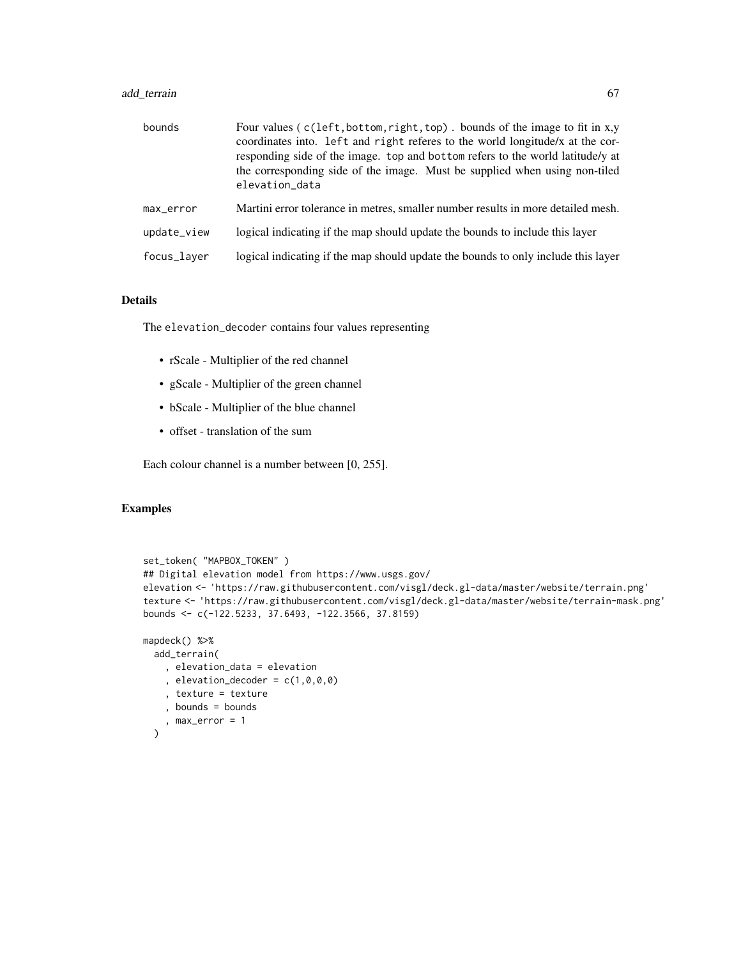# add\_terrain 67

| bounds      | Four values (c(left, bottom, right, top). bounds of the image to fit in x,y<br>coordinates into. Left and right referes to the world longitude/x at the cor-<br>responding side of the image. top and bottom refers to the world latitude/y at<br>the corresponding side of the image. Must be supplied when using non-tiled<br>elevation_data |
|-------------|------------------------------------------------------------------------------------------------------------------------------------------------------------------------------------------------------------------------------------------------------------------------------------------------------------------------------------------------|
| max_error   | Martini error tolerance in metres, smaller number results in more detailed mesh.                                                                                                                                                                                                                                                               |
| update_view | logical indicating if the map should update the bounds to include this layer                                                                                                                                                                                                                                                                   |
| focus_laver | logical indicating if the map should update the bounds to only include this layer                                                                                                                                                                                                                                                              |

#### Details

The elevation\_decoder contains four values representing

- rScale Multiplier of the red channel
- gScale Multiplier of the green channel
- bScale Multiplier of the blue channel
- offset translation of the sum

Each colour channel is a number between [0, 255].

```
set_token( "MAPBOX_TOKEN" )
## Digital elevation model from https://www.usgs.gov/
elevation <- 'https://raw.githubusercontent.com/visgl/deck.gl-data/master/website/terrain.png'
texture <- 'https://raw.githubusercontent.com/visgl/deck.gl-data/master/website/terrain-mask.png'
bounds <- c(-122.5233, 37.6493, -122.3566, 37.8159)
mapdeck() %>%
  add_terrain(
    , elevation_data = elevation
    , elevation_decoder = c(1,0,0,0), texture = texture
    , bounds = bounds
    , max_error = 1
  \lambda
```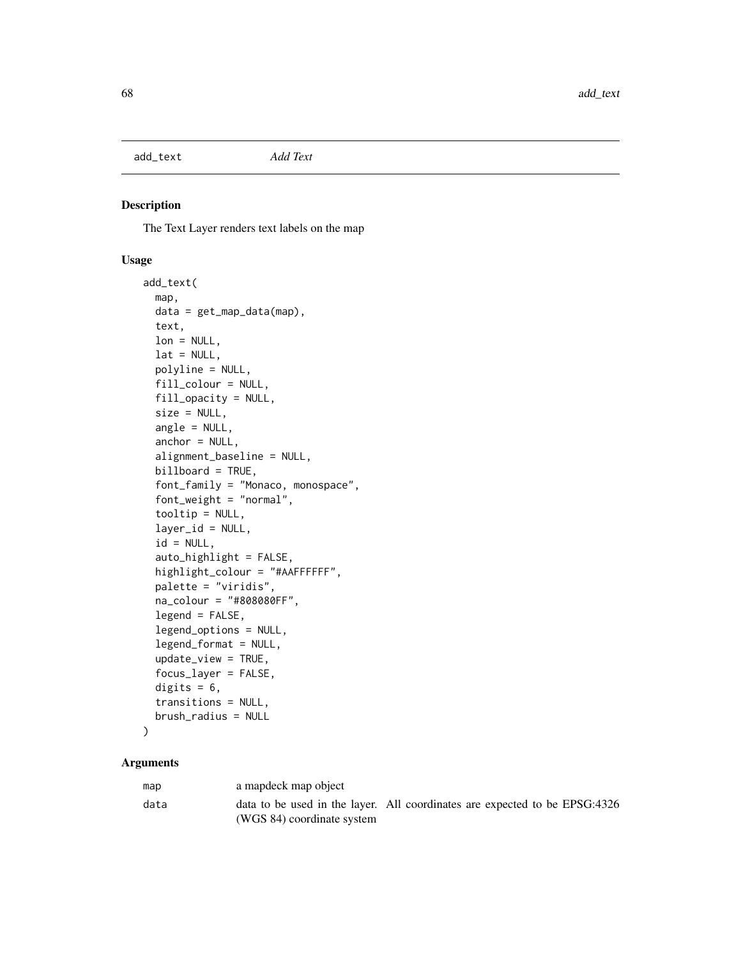add\_text *Add Text*

# Description

The Text Layer renders text labels on the map

## Usage

```
add_text(
  map,
  data = get_map_data(map),
  text,
  lon = NULL,lat = NULL,polyline = NULL,
  fill_colour = NULL,
  fill_opacity = NULL,
  size = NULL,
  angle = NULL,anchor = NULL,
  alignment_baseline = NULL,
  billboard = TRUE,
  font_family = "Monaco, monospace",
  font_weight = "normal",
  tooltip = NULL,
  layer_id = NULL,id = NULL,auto_highlight = FALSE,
  highlight_colour = "#AAFFFFFF",
  palette = "viridis",
  na_colour = "#808080FF",
  legend = FALSE,
  legend_options = NULL,
  legend_format = NULL,
  update_view = TRUE,
  focus_layer = FALSE,
  digits = 6,
  transitions = NULL,
  brush_radius = NULL
```
# $\mathcal{L}$

| map  | a mapdeck map object                                                                                     |  |  |
|------|----------------------------------------------------------------------------------------------------------|--|--|
| data | data to be used in the layer. All coordinates are expected to be EPSG:4326<br>(WGS 84) coordinate system |  |  |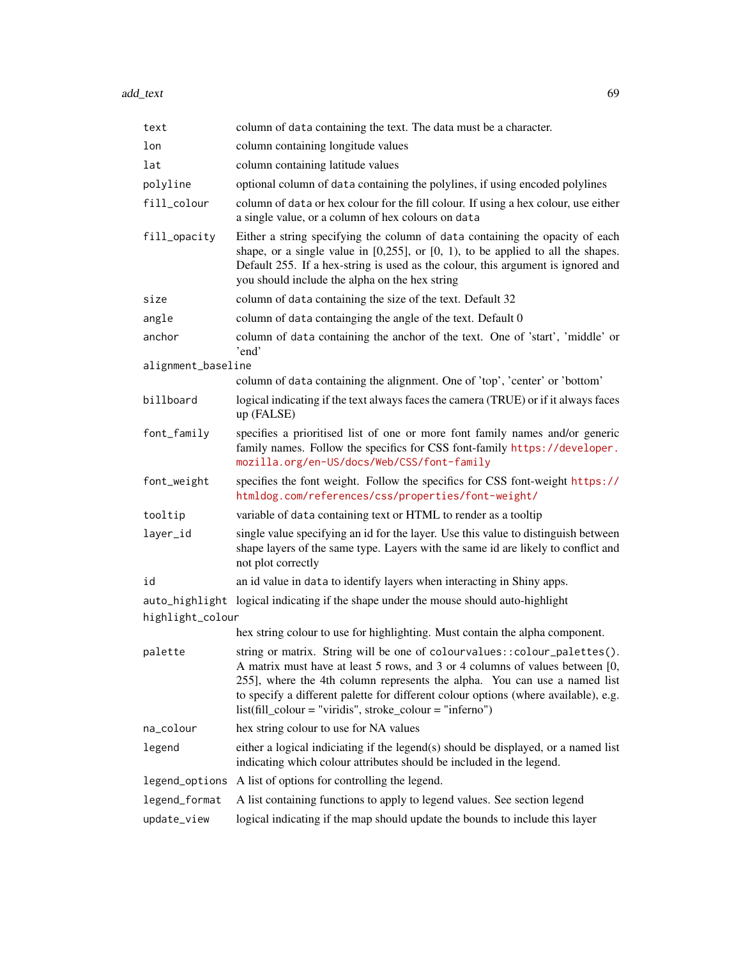add\_text 69

| text               | column of data containing the text. The data must be a character.                                                                                                                                                                                                                                                                                                                            |  |
|--------------------|----------------------------------------------------------------------------------------------------------------------------------------------------------------------------------------------------------------------------------------------------------------------------------------------------------------------------------------------------------------------------------------------|--|
| lon                | column containing longitude values                                                                                                                                                                                                                                                                                                                                                           |  |
| lat                | column containing latitude values                                                                                                                                                                                                                                                                                                                                                            |  |
| polyline           | optional column of data containing the polylines, if using encoded polylines                                                                                                                                                                                                                                                                                                                 |  |
| fill_colour        | column of data or hex colour for the fill colour. If using a hex colour, use either<br>a single value, or a column of hex colours on data                                                                                                                                                                                                                                                    |  |
| fill_opacity       | Either a string specifying the column of data containing the opacity of each<br>shape, or a single value in $[0,255]$ , or $[0, 1)$ , to be applied to all the shapes.<br>Default 255. If a hex-string is used as the colour, this argument is ignored and<br>you should include the alpha on the hex string                                                                                 |  |
| size               | column of data containing the size of the text. Default 32                                                                                                                                                                                                                                                                                                                                   |  |
| angle              | column of data containging the angle of the text. Default 0                                                                                                                                                                                                                                                                                                                                  |  |
| anchor             | column of data containing the anchor of the text. One of 'start', 'middle' or<br>'end'                                                                                                                                                                                                                                                                                                       |  |
| alignment_baseline |                                                                                                                                                                                                                                                                                                                                                                                              |  |
|                    | column of data containing the alignment. One of 'top', 'center' or 'bottom'                                                                                                                                                                                                                                                                                                                  |  |
| billboard          | logical indicating if the text always faces the camera (TRUE) or if it always faces<br>up (FALSE)                                                                                                                                                                                                                                                                                            |  |
| font_family        | specifies a prioritised list of one or more font family names and/or generic<br>family names. Follow the specifics for CSS font-family https://developer.<br>mozilla.org/en-US/docs/Web/CSS/font-family                                                                                                                                                                                      |  |
| font_weight        | specifies the font weight. Follow the specifics for CSS font-weight https://<br>htmldog.com/references/css/properties/font-weight/                                                                                                                                                                                                                                                           |  |
| tooltip            | variable of data containing text or HTML to render as a tooltip                                                                                                                                                                                                                                                                                                                              |  |
| layer_id           | single value specifying an id for the layer. Use this value to distinguish between<br>shape layers of the same type. Layers with the same id are likely to conflict and<br>not plot correctly                                                                                                                                                                                                |  |
| id                 | an id value in data to identify layers when interacting in Shiny apps.                                                                                                                                                                                                                                                                                                                       |  |
| highlight_colour   | auto_highlight logical indicating if the shape under the mouse should auto-highlight                                                                                                                                                                                                                                                                                                         |  |
|                    | hex string colour to use for highlighting. Must contain the alpha component.                                                                                                                                                                                                                                                                                                                 |  |
| palette            | string or matrix. String will be one of colourvalues:: colour_palettes().<br>A matrix must have at least 5 rows, and 3 or 4 columns of values between [0,<br>255], where the 4th column represents the alpha. You can use a named list<br>to specify a different palette for different colour options (where available), e.g.<br>$list (fill-colour = "viridis", stroke-colour = "inferno")$ |  |
| na_colour          | hex string colour to use for NA values                                                                                                                                                                                                                                                                                                                                                       |  |
| legend             | either a logical indiciating if the legend(s) should be displayed, or a named list<br>indicating which colour attributes should be included in the legend.                                                                                                                                                                                                                                   |  |
| legend_options     | A list of options for controlling the legend.                                                                                                                                                                                                                                                                                                                                                |  |
| legend_format      | A list containing functions to apply to legend values. See section legend                                                                                                                                                                                                                                                                                                                    |  |
| update_view        | logical indicating if the map should update the bounds to include this layer                                                                                                                                                                                                                                                                                                                 |  |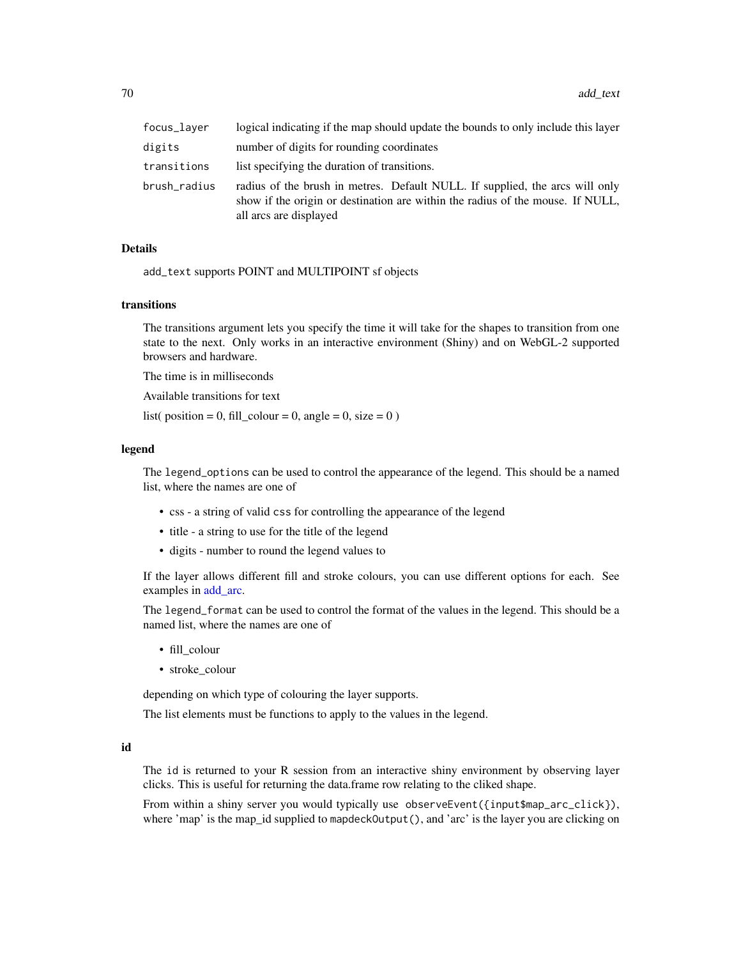| focus_layer  | logical indicating if the map should update the bounds to only include this layer                                                                                                        |
|--------------|------------------------------------------------------------------------------------------------------------------------------------------------------------------------------------------|
| digits       | number of digits for rounding coordinates                                                                                                                                                |
| transitions  | list specifying the duration of transitions.                                                                                                                                             |
| brush_radius | radius of the brush in metres. Default NULL. If supplied, the arcs will only<br>show if the origin or destination are within the radius of the mouse. If NULL,<br>all arcs are displayed |

add\_text supports POINT and MULTIPOINT sf objects

#### transitions

The transitions argument lets you specify the time it will take for the shapes to transition from one state to the next. Only works in an interactive environment (Shiny) and on WebGL-2 supported browsers and hardware.

The time is in milliseconds

Available transitions for text

list( position = 0, fill\_colour = 0, angle = 0, size = 0)

#### legend

The legend\_options can be used to control the appearance of the legend. This should be a named list, where the names are one of

- css a string of valid css for controlling the appearance of the legend
- title a string to use for the title of the legend
- digits number to round the legend values to

If the layer allows different fill and stroke colours, you can use different options for each. See examples in [add\\_arc.](#page-9-0)

The legend\_format can be used to control the format of the values in the legend. This should be a named list, where the names are one of

- fill\_colour
- stroke\_colour

depending on which type of colouring the layer supports.

The list elements must be functions to apply to the values in the legend.

#### id

The id is returned to your R session from an interactive shiny environment by observing layer clicks. This is useful for returning the data.frame row relating to the cliked shape.

From within a shiny server you would typically use observeEvent({input\$map\_arc\_click}), where 'map' is the map\_id supplied to mapdeckOutput(), and 'arc' is the layer you are clicking on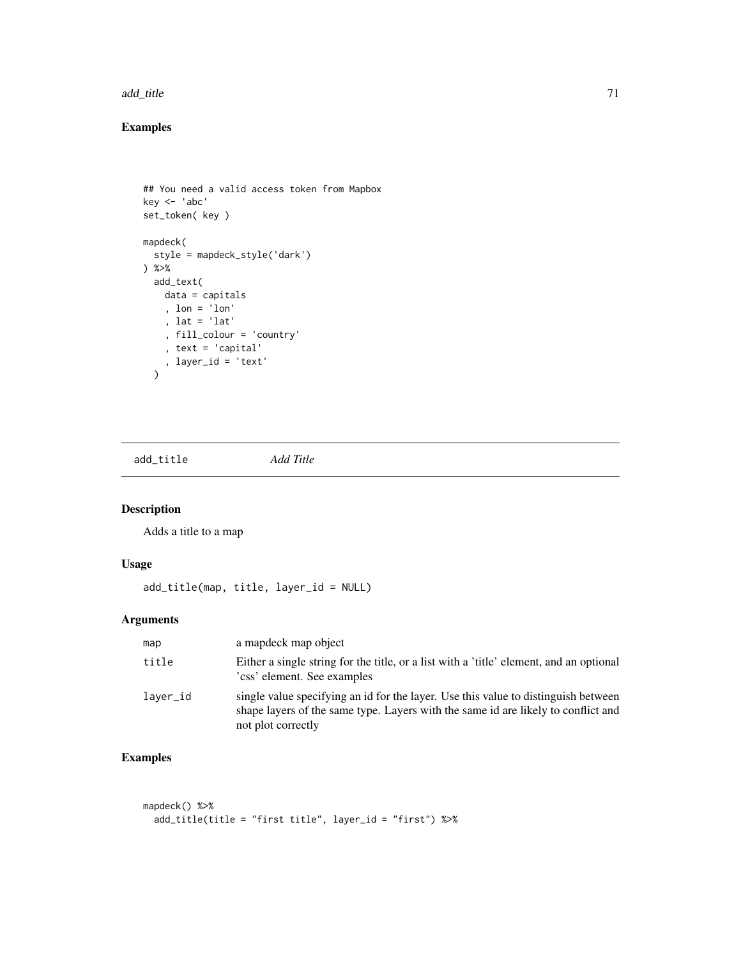#### add\_title 71

# Examples

```
## You need a valid access token from Mapbox
key <- 'abc'
set_token( key )
mapdeck(
  style = mapdeck_style('dark')
) %>%
  add_text(
   data = capitals
   , lon = 'lon'
   , lat = 'lat'
    , fill_colour = 'country'
    , text = 'capital'
    , layer_id = 'text'
  \mathcal{L}
```
add\_title *Add Title*

# Description

Adds a title to a map

# Usage

add\_title(map, title, layer\_id = NULL)

# Arguments

| map      | a map object                                                                                                                                                                                  |
|----------|-----------------------------------------------------------------------------------------------------------------------------------------------------------------------------------------------|
| title    | Either a single string for the title, or a list with a 'title' element, and an optional<br>'css' element. See examples                                                                        |
| laver_id | single value specifying an id for the layer. Use this value to distinguish between<br>shape layers of the same type. Layers with the same id are likely to conflict and<br>not plot correctly |

```
mapdeck() %>%
 add_title(title = "first title", layer_id = "first") %>%
```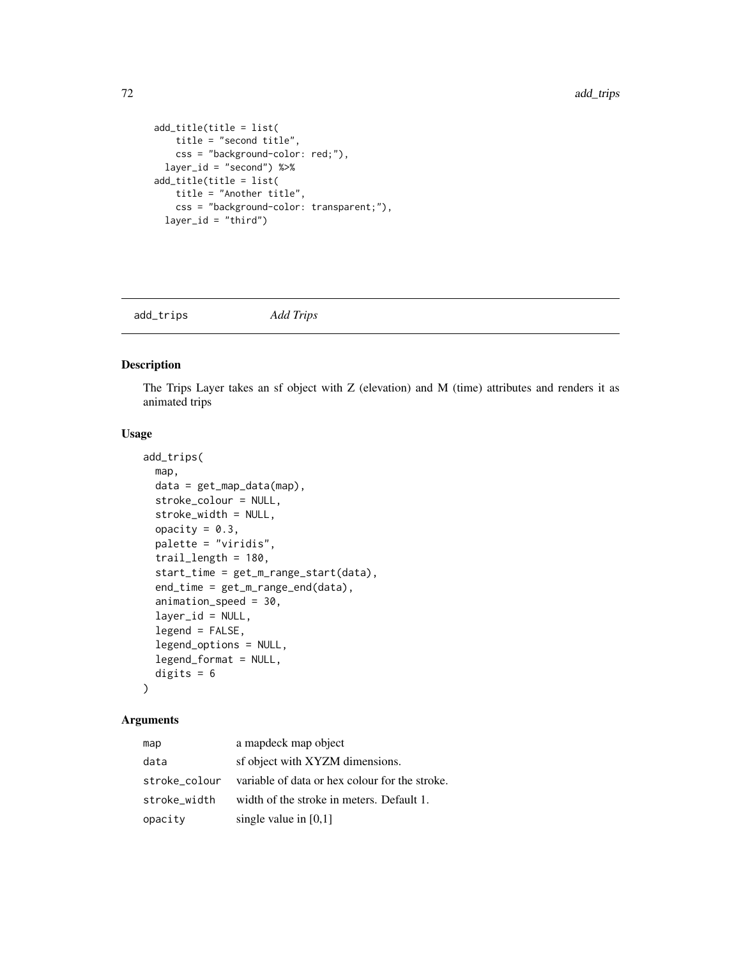```
add_title(title = list(
    title = "second title",
    css = "background-color: red;"),
 layer_id = "second") %>%
add_title(title = list(
   title = "Another title",
    css = "background-color: transparent;"),
 layer_id = "third")
```
add\_trips *Add Trips*

# Description

The Trips Layer takes an sf object with Z (elevation) and M (time) attributes and renders it as animated trips

#### Usage

```
add_trips(
  map,
 data = get_map_data(map),
  stroke_colour = NULL,
  stroke_width = NULL,
  opacity = 0.3,palette = "viridis",
  trail_length = 180,
  start_time = get_m_range_start(data),
  end_time = get_m_range_end(data),
  animation_speed = 30,
  layer_id = NULL,legend = FALSE,
  legend_options = NULL,
  legend_format = NULL,
 digits = 6)
```

| map           | a mapdeck map object                           |
|---------------|------------------------------------------------|
| data          | sf object with XYZM dimensions.                |
| stroke colour | variable of data or hex colour for the stroke. |
| stroke_width  | width of the stroke in meters. Default 1.      |
| opacity       | single value in $[0,1]$                        |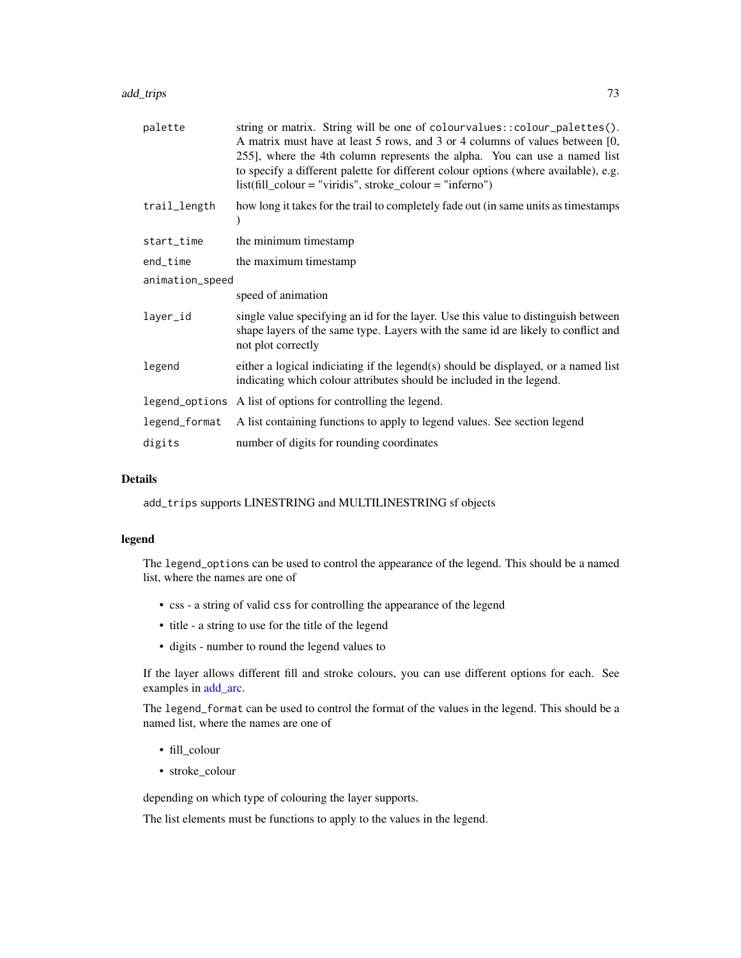#### <span id="page-72-0"></span>add\_trips 73

| palette         | string or matrix. String will be one of colourvalues:: colour_palettes().<br>A matrix must have at least 5 rows, and 3 or 4 columns of values between [0,<br>255], where the 4th column represents the alpha. You can use a named list<br>to specify a different palette for different colour options (where available), e.g.<br>$list (fill-colour = "viridis", stroke-colour = "inferno")$ |  |
|-----------------|----------------------------------------------------------------------------------------------------------------------------------------------------------------------------------------------------------------------------------------------------------------------------------------------------------------------------------------------------------------------------------------------|--|
| trail_length    | how long it takes for the trail to completely fade out (in same units as timestamps                                                                                                                                                                                                                                                                                                          |  |
| start_time      | the minimum timestamp                                                                                                                                                                                                                                                                                                                                                                        |  |
| end_time        | the maximum timestamp                                                                                                                                                                                                                                                                                                                                                                        |  |
| animation_speed |                                                                                                                                                                                                                                                                                                                                                                                              |  |
|                 | speed of animation                                                                                                                                                                                                                                                                                                                                                                           |  |
| layer_id        | single value specifying an id for the layer. Use this value to distinguish between<br>shape layers of the same type. Layers with the same id are likely to conflict and<br>not plot correctly                                                                                                                                                                                                |  |
| legend          | either a logical indiciating if the legend(s) should be displayed, or a named list<br>indicating which colour attributes should be included in the legend.                                                                                                                                                                                                                                   |  |
|                 | legend_options A list of options for controlling the legend.                                                                                                                                                                                                                                                                                                                                 |  |
| legend_format   | A list containing functions to apply to legend values. See section legend                                                                                                                                                                                                                                                                                                                    |  |
| digits          | number of digits for rounding coordinates                                                                                                                                                                                                                                                                                                                                                    |  |

#### Details

add\_trips supports LINESTRING and MULTILINESTRING sf objects

#### legend

The legend\_options can be used to control the appearance of the legend. This should be a named list, where the names are one of

- css a string of valid css for controlling the appearance of the legend
- title a string to use for the title of the legend
- digits number to round the legend values to

If the layer allows different fill and stroke colours, you can use different options for each. See examples in [add\\_arc.](#page-9-0)

The legend\_format can be used to control the format of the values in the legend. This should be a named list, where the names are one of

- fill\_colour
- stroke\_colour

depending on which type of colouring the layer supports.

The list elements must be functions to apply to the values in the legend.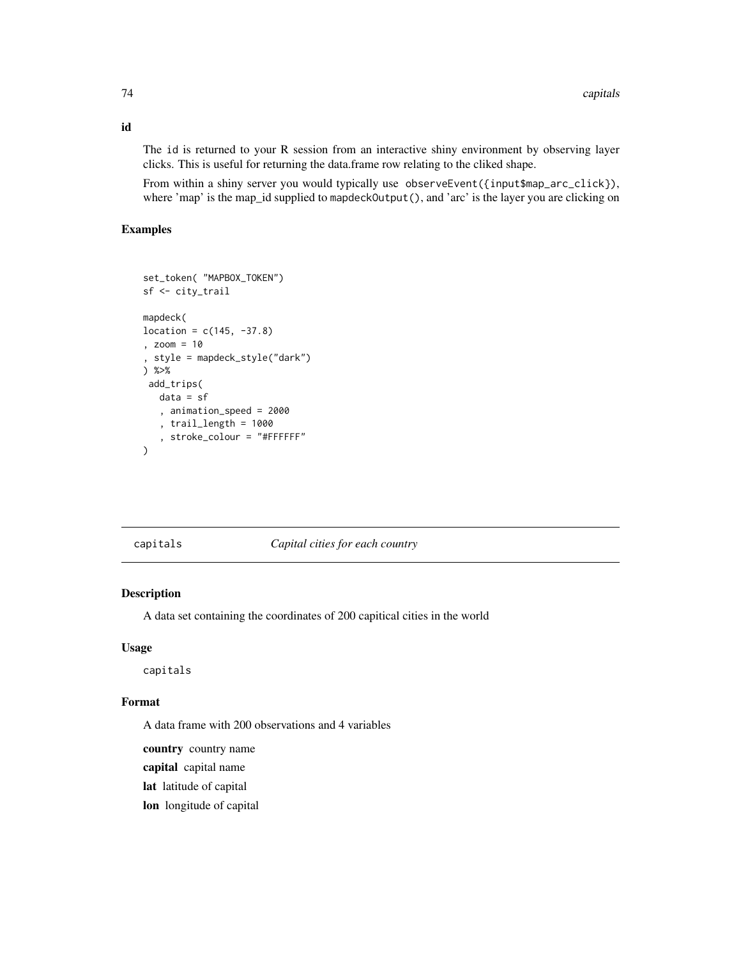The id is returned to your R session from an interactive shiny environment by observing layer clicks. This is useful for returning the data.frame row relating to the cliked shape.

From within a shiny server you would typically use observeEvent({input\$map\_arc\_click}), where 'map' is the map\_id supplied to mapdeckOutput(), and 'arc' is the layer you are clicking on

#### Examples

```
set_token( "MAPBOX_TOKEN")
sf <- city_trail
mapdeck(
location = c(145, -37.8), zoom = 10
, style = mapdeck_style("dark")
) %>%
add_trips(
  data = sf
   , animation_speed = 2000
   , trail_length = 1000
   , stroke_colour = "#FFFFFF"
\lambda
```
capitals *Capital cities for each country*

## Description

A data set containing the coordinates of 200 capitical cities in the world

#### Usage

capitals

#### Format

A data frame with 200 observations and 4 variables

country country name

capital capital name

lat latitude of capital

lon longitude of capital

<span id="page-73-0"></span>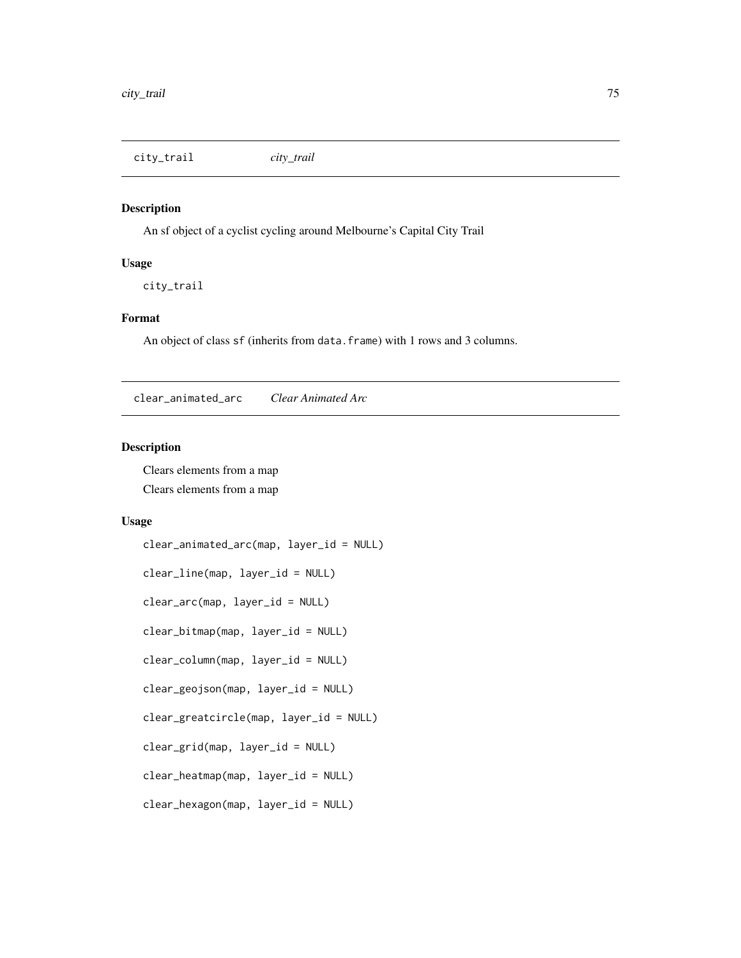<span id="page-74-0"></span>city\_trail *city\_trail*

#### Description

An sf object of a cyclist cycling around Melbourne's Capital City Trail

#### Usage

city\_trail

#### Format

An object of class sf (inherits from data.frame) with 1 rows and 3 columns.

clear\_animated\_arc *Clear Animated Arc*

## Description

Clears elements from a map Clears elements from a map

## Usage

```
clear_animated_arc(map, layer_id = NULL)
clear_line(map, layer_id = NULL)
clear_arc(map, layer_id = NULL)
clear_bitmap(map, layer_id = NULL)
clear_column(map, layer_id = NULL)
clear_geojson(map, layer_id = NULL)
clear_greatcircle(map, layer_id = NULL)
clear_grid(map, layer_id = NULL)
clear_heatmap(map, layer_id = NULL)
clear_hexagon(map, layer_id = NULL)
```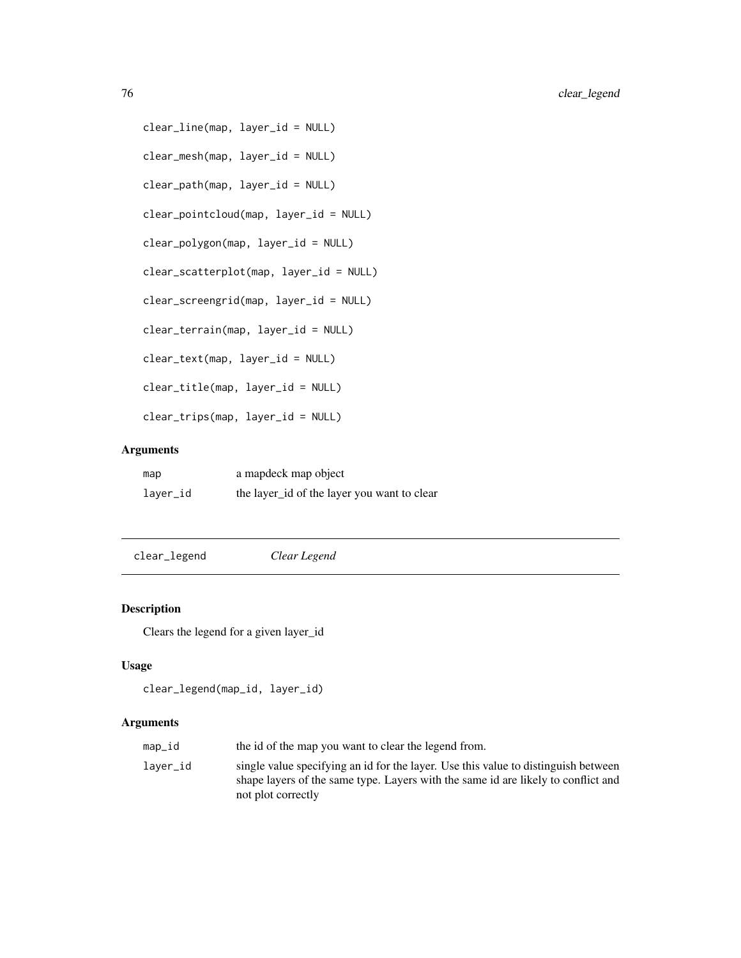```
clear_line(map, layer_id = NULL)
clear_mesh(map, layer_id = NULL)
clear_path(map, layer_id = NULL)
clear_pointcloud(map, layer_id = NULL)
clear_polygon(map, layer_id = NULL)
clear_scatterplot(map, layer_id = NULL)
clear_screengrid(map, layer_id = NULL)
clear_terrain(map, layer_id = NULL)
clear_text(map, layer_id = NULL)
clear_title(map, layer_id = NULL)
clear_trips(map, layer_id = NULL)
```

| map      | a mapdeck map object                        |
|----------|---------------------------------------------|
| layer_id | the layer_id of the layer you want to clear |

clear\_legend *Clear Legend*

## Description

Clears the legend for a given layer\_id

# Usage

```
clear_legend(map_id, layer_id)
```
#### Arguments

| map_id   | the id of the map you want to clear the legend from.                                                                                                                                          |
|----------|-----------------------------------------------------------------------------------------------------------------------------------------------------------------------------------------------|
| laver_id | single value specifying an id for the layer. Use this value to distinguish between<br>shape layers of the same type. Layers with the same id are likely to conflict and<br>not plot correctly |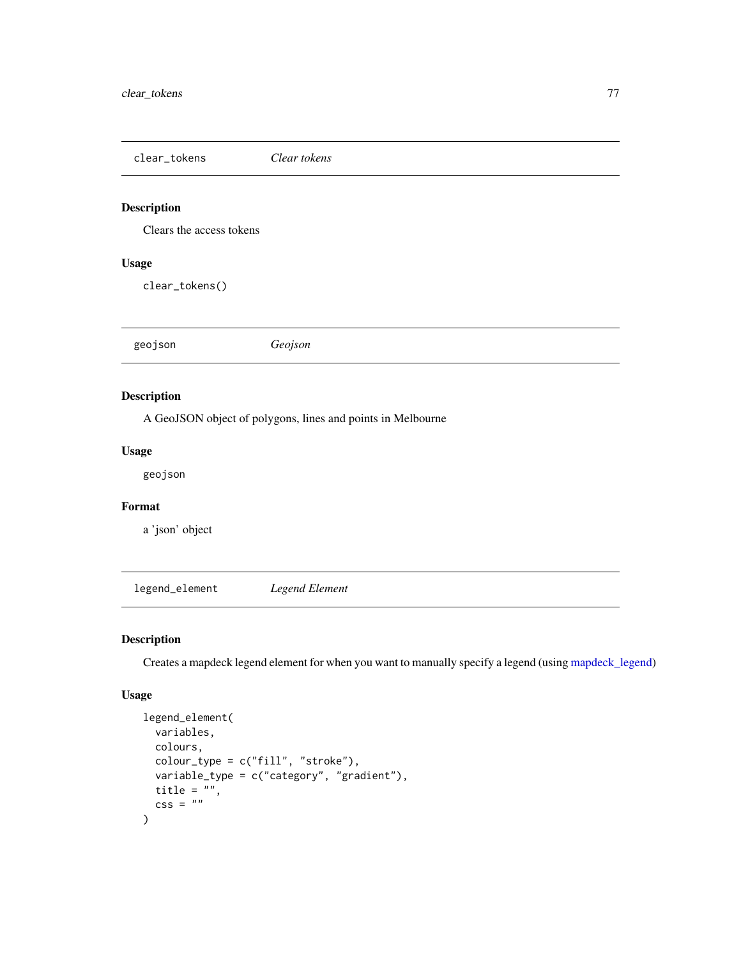<span id="page-76-1"></span>clear\_tokens *Clear tokens*

# Description

Clears the access tokens

# Usage

clear\_tokens()

geojson *Geojson*

## Description

A GeoJSON object of polygons, lines and points in Melbourne

## Usage

geojson

# Format

a 'json' object

<span id="page-76-0"></span>legend\_element *Legend Element*

# Description

Creates a mapdeck legend element for when you want to manually specify a legend (using [mapdeck\\_legend\)](#page-81-0)

# Usage

```
legend_element(
 variables,
 colours,
 color_type = c("fill", "stroke"),variable_type = c("category", "gradient"),
 title = ",
 \csc = ""\\mathcal{E}
```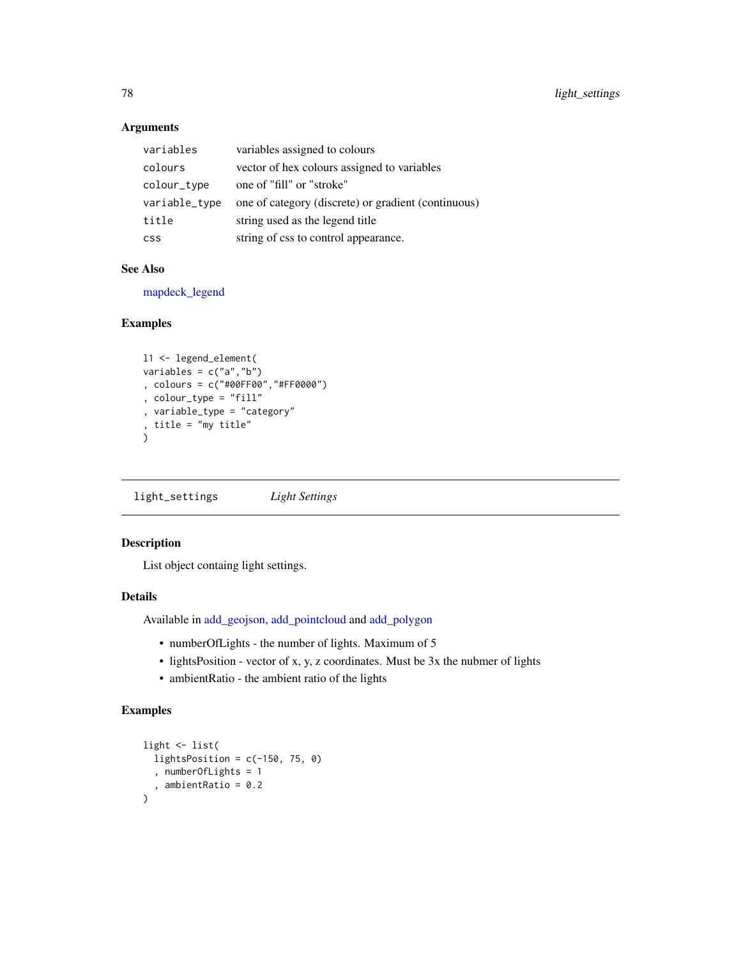| variables     | variables assigned to colours                       |
|---------------|-----------------------------------------------------|
| colours       | vector of hex colours assigned to variables         |
| colour_type   | one of "fill" or "stroke"                           |
| variable_type | one of category (discrete) or gradient (continuous) |
| title         | string used as the legend title                     |
| <b>CSS</b>    | string of css to control appearance.                |

#### See Also

[mapdeck\\_legend](#page-81-0)

## Examples

```
l1 <- legend_element(
variables = c("a","b")
, colours = c("#00FF00","#FF0000")
, colour_type = "fill"
, variable_type = "category"
, title = "my title"
\lambda
```
light\_settings *Light Settings*

# Description

List object containg light settings.

#### Details

Available in [add\\_geojson,](#page-21-0) [add\\_pointcloud](#page-50-0) and [add\\_polygon](#page-54-0)

- numberOfLights the number of lights. Maximum of 5
- lightsPosition vector of x, y, z coordinates. Must be 3x the nubmer of lights
- ambientRatio the ambient ratio of the lights

## Examples

```
light <- list(
  lightsPosition = c(-150, 75, 0), numberOfLights = 1
  , ambientRatio = 0.2
)
```
<span id="page-77-0"></span>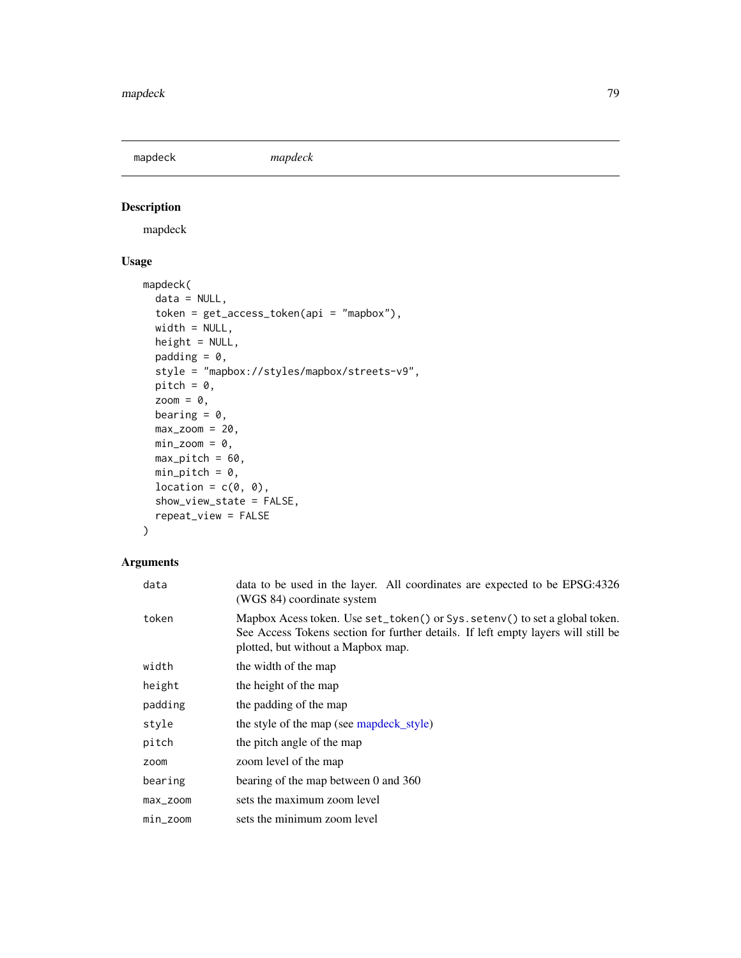<span id="page-78-1"></span><span id="page-78-0"></span>mapdeck *mapdeck*

# Description

mapdeck

# Usage

```
mapdeck(
  data = NULL,
  token = get_access_token(api = "mapbox"),
  width = NULL,height = NULL,
  padding = 0,
  style = "mapbox://styles/mapbox/streets-v9",
  pitch = \theta,
  zoom = \theta,
  bearing = 0,
  max_zzoom = 20,
  min\_zoom = 0,max\_pitch = 60,
  min\_pitch = 0,
  location = c(\emptyset, \emptyset),
  show_view_state = FALSE,
  repeat_view = FALSE
)
```
## Arguments

| data     | data to be used in the layer. All coordinates are expected to be EPSG:4326<br>(WGS 84) coordinate system                                                                                               |
|----------|--------------------------------------------------------------------------------------------------------------------------------------------------------------------------------------------------------|
| token    | Mapbox Acess token. Use set_token() or Sys. setenv() to set a global token.<br>See Access Tokens section for further details. If left empty layers will still be<br>plotted, but without a Mapbox map. |
| width    | the width of the map                                                                                                                                                                                   |
| height   | the height of the map                                                                                                                                                                                  |
| padding  | the padding of the map                                                                                                                                                                                 |
| style    | the style of the map (see mapdeck_style)                                                                                                                                                               |
| pitch    | the pitch angle of the map                                                                                                                                                                             |
| zoom     | zoom level of the map                                                                                                                                                                                  |
| bearing  | bearing of the map between 0 and 360                                                                                                                                                                   |
| max_zoom | sets the maximum zoom level                                                                                                                                                                            |
| min_zoom | sets the minimum zoom level                                                                                                                                                                            |
|          |                                                                                                                                                                                                        |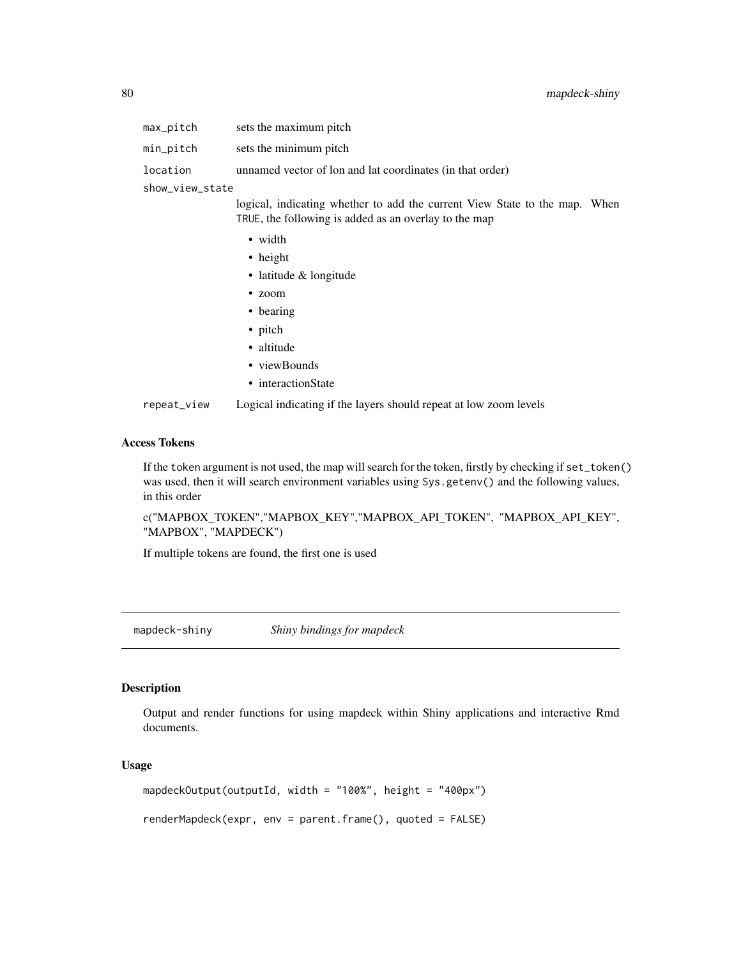<span id="page-79-0"></span>

| max_pitch       | sets the maximum pitch                                                     |  |
|-----------------|----------------------------------------------------------------------------|--|
| min_pitch       | sets the minimum pitch                                                     |  |
| location        | unnamed vector of lon and lat coordinates (in that order)                  |  |
| show_view_state |                                                                            |  |
|                 | logical, indicating whether to add the current View State to the map. When |  |
|                 | TRUE, the following is added as an overlay to the map                      |  |

• width

- height
- latitude & longitude
- zoom
- bearing
- pitch
- altitude
- viewBounds
- interactionState

repeat\_view Logical indicating if the layers should repeat at low zoom levels

#### Access Tokens

If the token argument is not used, the map will search for the token, firstly by checking if set\_token() was used, then it will search environment variables using Sys.getenv() and the following values, in this order

c("MAPBOX\_TOKEN","MAPBOX\_KEY","MAPBOX\_API\_TOKEN", "MAPBOX\_API\_KEY", "MAPBOX", "MAPDECK")

If multiple tokens are found, the first one is used

mapdeck-shiny *Shiny bindings for mapdeck*

#### Description

Output and render functions for using mapdeck within Shiny applications and interactive Rmd documents.

#### Usage

mapdeckOutput(outputId, width = "100%", height = "400px")

renderMapdeck(expr, env = parent.frame(), quoted = FALSE)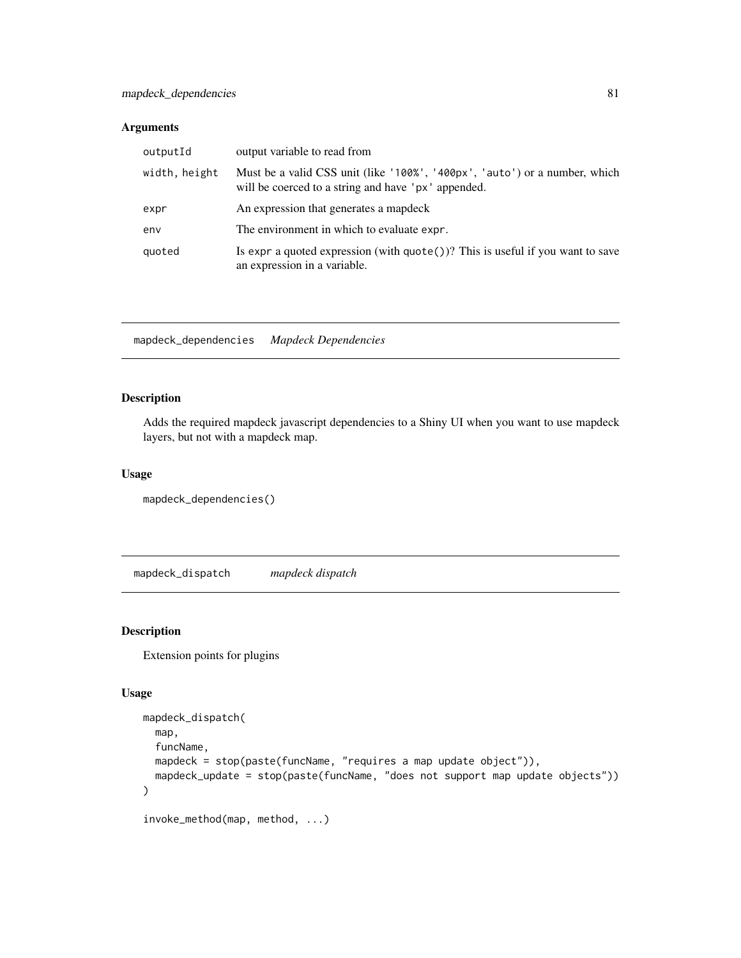<span id="page-80-0"></span>

| outputId      | output variable to read from                                                                                                      |
|---------------|-----------------------------------------------------------------------------------------------------------------------------------|
| width, height | Must be a valid CSS unit (like '100%', '400px', 'auto') or a number, which<br>will be coerced to a string and have 'px' appended. |
| expr          | An expression that generates a mapdeck                                                                                            |
| env           | The environment in which to evaluate expr.                                                                                        |
| quoted        | Is expr a quoted expression (with $\text{quote}()$ )? This is useful if you want to save<br>an expression in a variable.          |

mapdeck\_dependencies *Mapdeck Dependencies*

## Description

Adds the required mapdeck javascript dependencies to a Shiny UI when you want to use mapdeck layers, but not with a mapdeck map.

## Usage

mapdeck\_dependencies()

mapdeck\_dispatch *mapdeck dispatch*

## Description

Extension points for plugins

## Usage

```
mapdeck_dispatch(
 map,
  funcName,
 mapdeck = stop(paste(funcName, "requires a map update object")),
 mapdeck_update = stop(paste(funcName, "does not support map update objects"))
\mathcal{E}
```
invoke\_method(map, method, ...)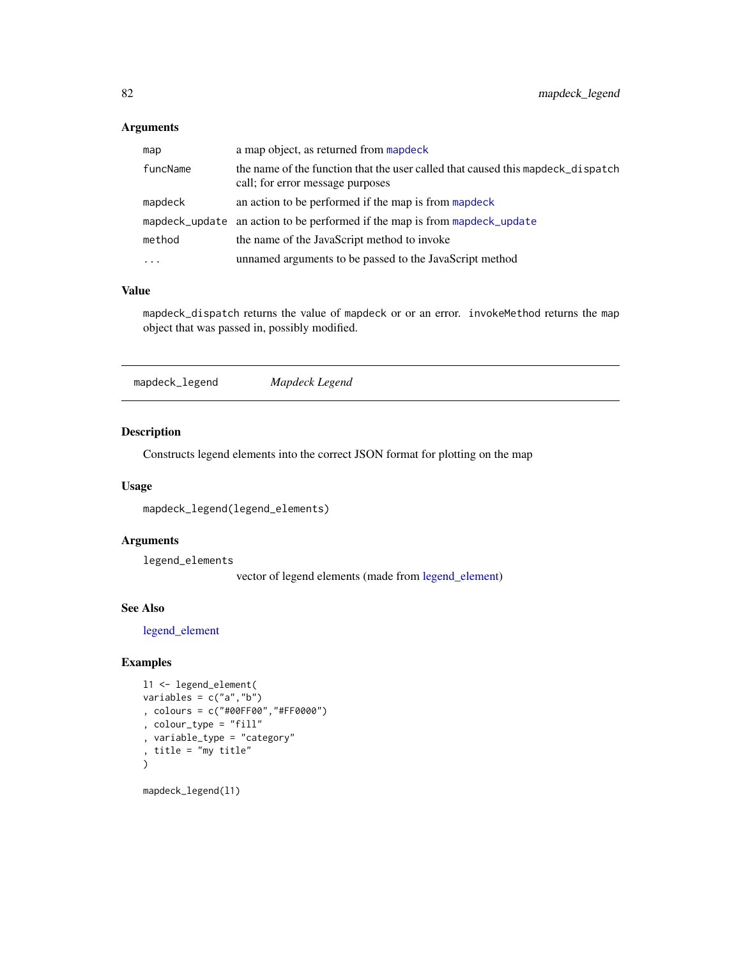<span id="page-81-1"></span>

| map       | a map object, as returned from mapdeck                                                                              |
|-----------|---------------------------------------------------------------------------------------------------------------------|
| funcName  | the name of the function that the user called that caused this mappeck_dispatch<br>call; for error message purposes |
| mapdeck   | an action to be performed if the map is from mappeck                                                                |
|           | mapdeck_update an action to be performed if the map is from mapdeck_update                                          |
| method    | the name of the JavaScript method to invoke                                                                         |
| $\ddotsc$ | unnamed arguments to be passed to the JavaScript method                                                             |

#### Value

mapdeck\_dispatch returns the value of mapdeck or or an error. invokeMethod returns the map object that was passed in, possibly modified.

<span id="page-81-0"></span>mapdeck\_legend *Mapdeck Legend*

## Description

Constructs legend elements into the correct JSON format for plotting on the map

## Usage

mapdeck\_legend(legend\_elements)

## Arguments

legend\_elements

vector of legend elements (made from [legend\\_element\)](#page-76-0)

## See Also

[legend\\_element](#page-76-0)

## Examples

```
l1 <- legend_element(
variables = c("a","b")
, colours = c("#00FF00","#FF0000")
, colour_type = "fill"
, variable_type = "category"
, title = "my title"
\mathcal{L}
```
mapdeck\_legend(l1)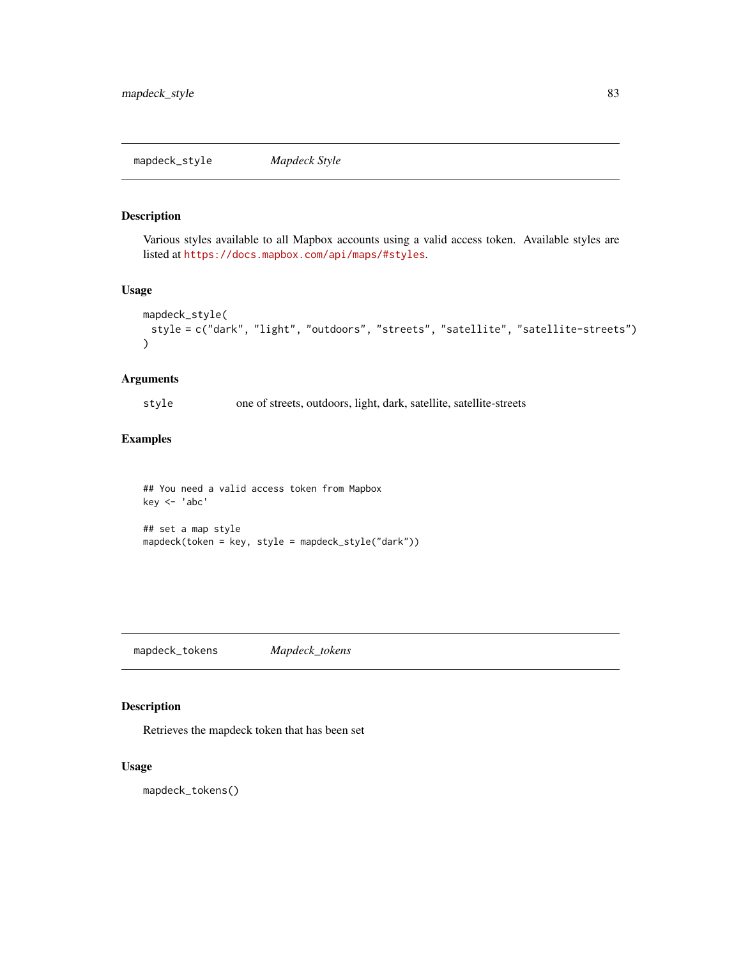#### <span id="page-82-1"></span><span id="page-82-0"></span>Description

Various styles available to all Mapbox accounts using a valid access token. Available styles are listed at <https://docs.mapbox.com/api/maps/#styles>.

#### Usage

```
mapdeck_style(
 style = c("dark", "light", "outdoors", "streets", "satellite", "satellite-streets")
)
```
## Arguments

style one of streets, outdoors, light, dark, satellite, satellite-streets

## Examples

## You need a valid access token from Mapbox key <- 'abc' ## set a map style mapdeck(token = key, style = mapdeck\_style("dark"))

mapdeck\_tokens *Mapdeck\_tokens*

#### Description

Retrieves the mapdeck token that has been set

#### Usage

mapdeck\_tokens()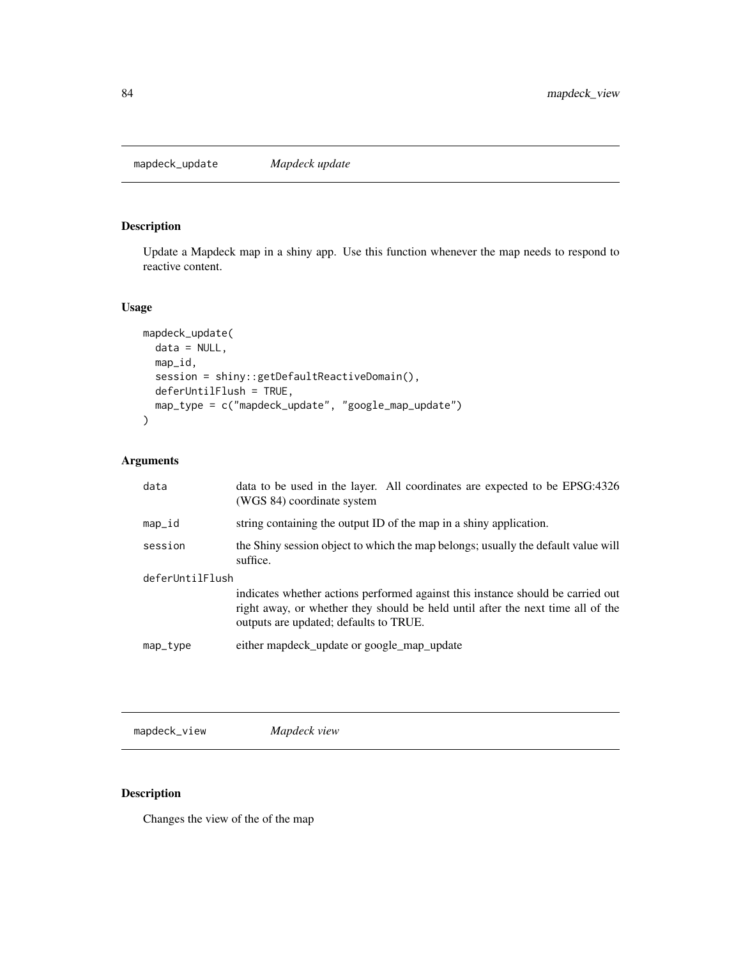<span id="page-83-1"></span><span id="page-83-0"></span>mapdeck\_update *Mapdeck update*

# Description

Update a Mapdeck map in a shiny app. Use this function whenever the map needs to respond to reactive content.

#### Usage

```
mapdeck_update(
  data = NULL,
  map_id,
  session = shiny::getDefaultReactiveDomain(),
  deferUntilFlush = TRUE,
  map_type = c("mapdeck_update", "google_map_update")
\overline{\phantom{a}}
```
## Arguments

| data            | data to be used in the layer. All coordinates are expected to be EPSG:4326<br>(WGS 84) coordinate system                                                                                                     |  |
|-----------------|--------------------------------------------------------------------------------------------------------------------------------------------------------------------------------------------------------------|--|
| map_id          | string containing the output ID of the map in a shiny application.                                                                                                                                           |  |
| session         | the Shiny session object to which the map belongs; usually the default value will<br>suffice.                                                                                                                |  |
| deferUntilFlush |                                                                                                                                                                                                              |  |
|                 | indicates whether actions performed against this instance should be carried out<br>right away, or whether they should be held until after the next time all of the<br>outputs are updated; defaults to TRUE. |  |
| map_type        | either mapdeck_update or google_map_update                                                                                                                                                                   |  |

mapdeck\_view *Mapdeck view*

# Description

Changes the view of the of the map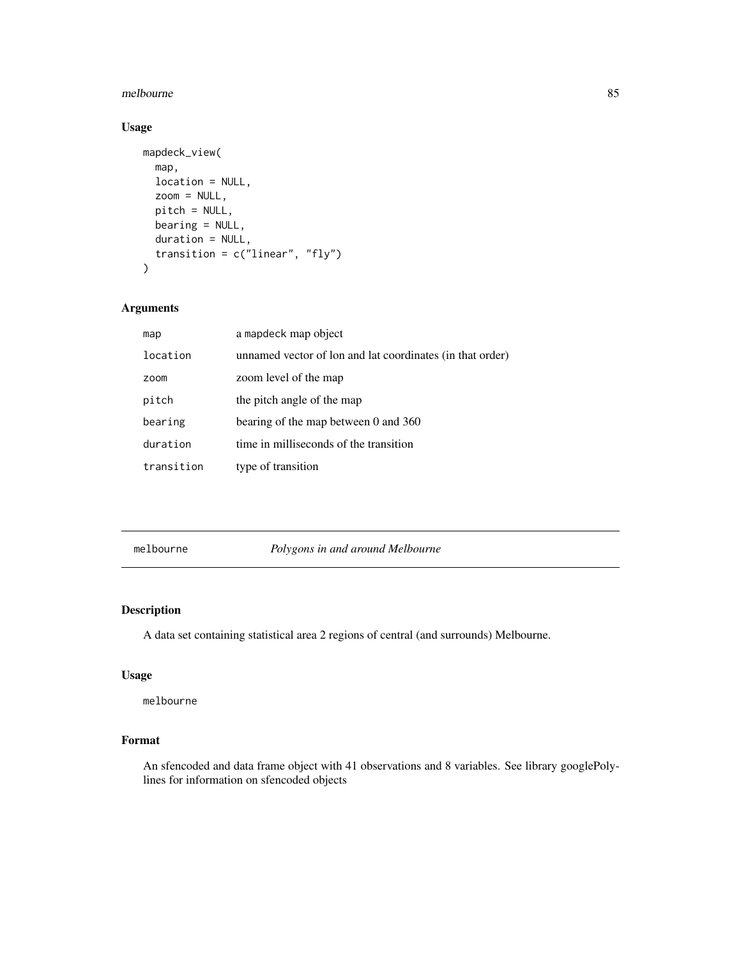#### <span id="page-84-0"></span>melbourne 85

# Usage

```
mapdeck_view(
 map,
  location = NULL,
 zoom = NULL,
 pitch = NULL,
 bearing = NULL,
  duration = NULL,
  transition = c("linear", "fly")
)
```
## Arguments

| map        | a mapdeck map object                                      |
|------------|-----------------------------------------------------------|
| location   | unnamed vector of lon and lat coordinates (in that order) |
| zoom       | zoom level of the map                                     |
| pitch      | the pitch angle of the map                                |
| bearing    | bearing of the map between 0 and 360                      |
| duration   | time in milliseconds of the transition                    |
| transition | type of transition                                        |

melbourne *Polygons in and around Melbourne*

## Description

A data set containing statistical area 2 regions of central (and surrounds) Melbourne.

#### Usage

melbourne

## Format

An sfencoded and data frame object with 41 observations and 8 variables. See library googlePolylines for information on sfencoded objects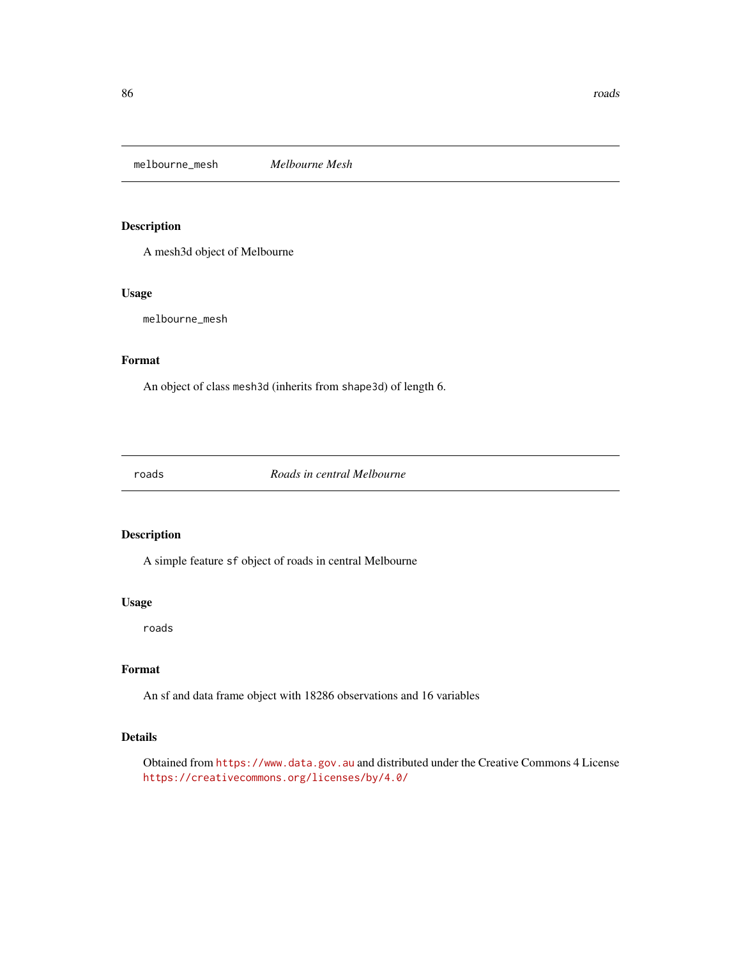<span id="page-85-0"></span>melbourne\_mesh *Melbourne Mesh*

#### Description

A mesh3d object of Melbourne

## Usage

melbourne\_mesh

#### Format

An object of class mesh3d (inherits from shape3d) of length 6.

roads *Roads in central Melbourne*

## Description

A simple feature sf object of roads in central Melbourne

#### Usage

roads

## Format

An sf and data frame object with 18286 observations and 16 variables

#### Details

Obtained from <https://www.data.gov.au> and distributed under the Creative Commons 4 License <https://creativecommons.org/licenses/by/4.0/>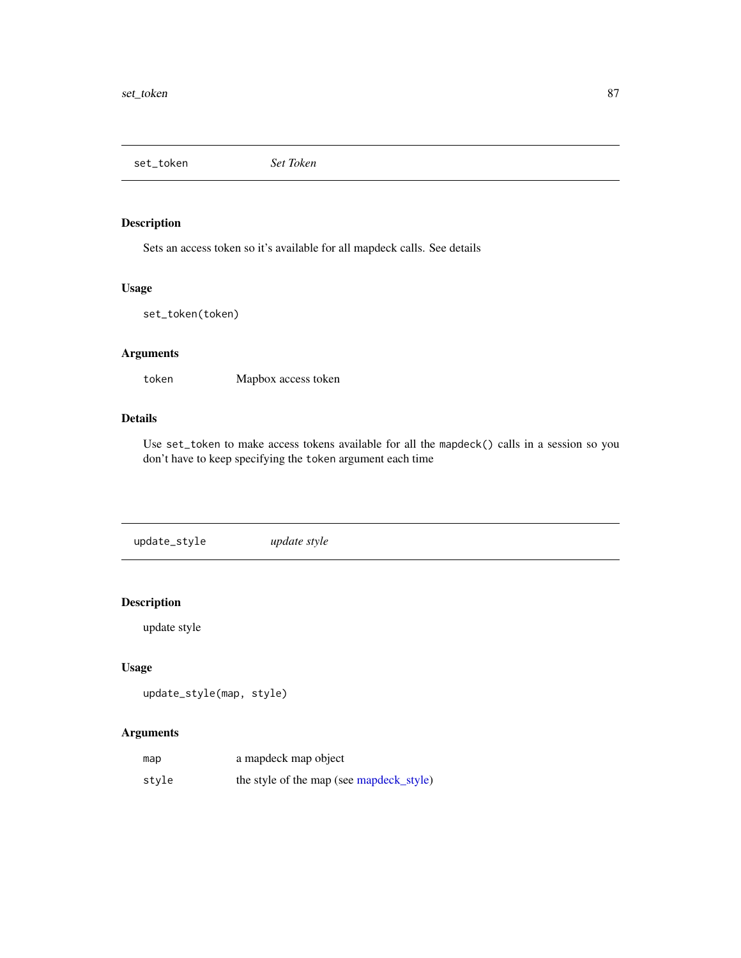<span id="page-86-0"></span>set\_token *Set Token*

# Description

Sets an access token so it's available for all mapdeck calls. See details

## Usage

set\_token(token)

# Arguments

token Mapbox access token

## Details

Use set\_token to make access tokens available for all the mapdeck() calls in a session so you don't have to keep specifying the token argument each time

update\_style *update style*

# Description

update style

## Usage

```
update_style(map, style)
```
# Arguments

| map   | a mapdeck map object                     |
|-------|------------------------------------------|
| stvle | the style of the map (see mapdeck_style) |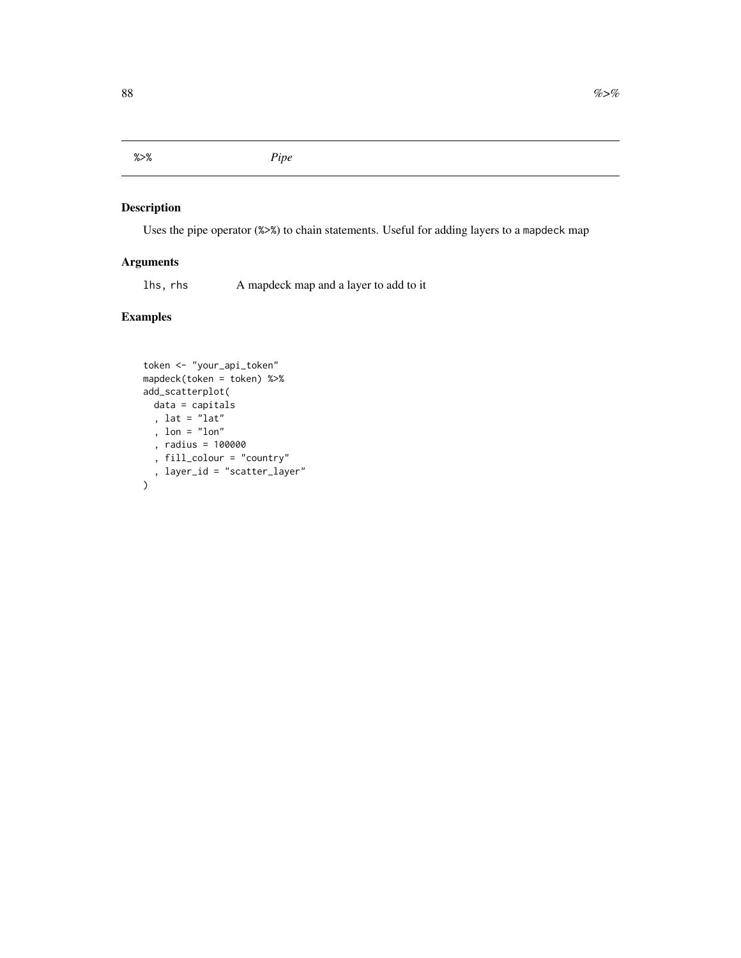<span id="page-87-0"></span>%>% *Pipe*

## Description

Uses the pipe operator (%>%) to chain statements. Useful for adding layers to a mapdeck map

## Arguments

lhs, rhs A mapdeck map and a layer to add to it

## Examples

```
token <- "your_api_token"
mapdeck(token = token) %>%
add_scatterplot(
 data = capitals
  , lat = "lat"
  , lon = "lon"
  , radius = 100000
  , fill_colour = "country"
  , layer_id = "scatter_layer"
)
```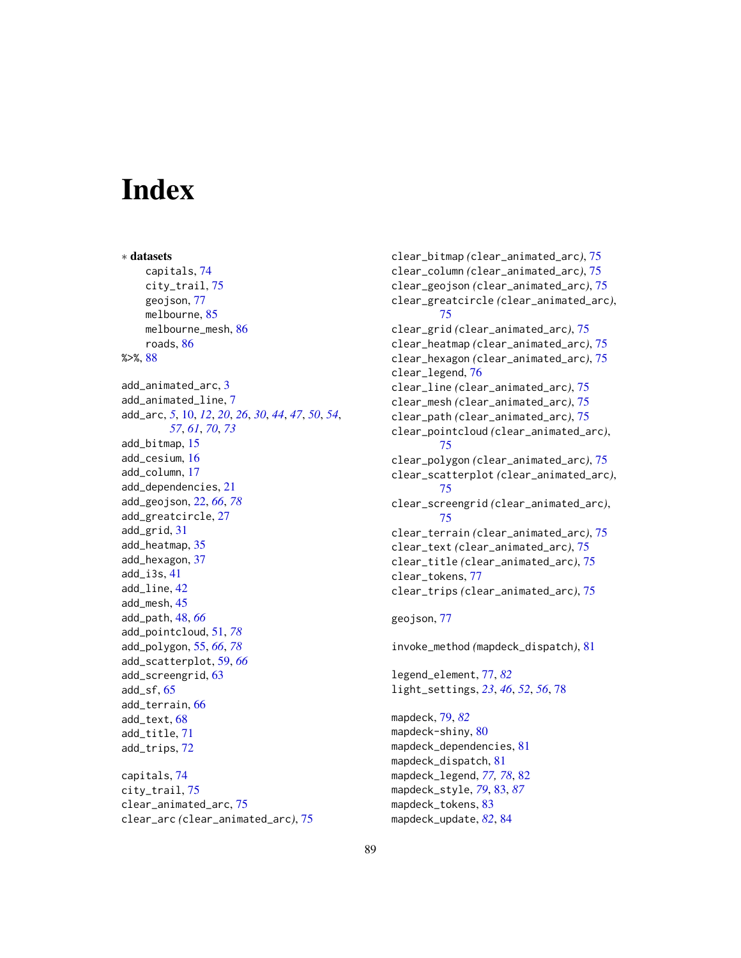# Index

∗ datasets capitals, [74](#page-73-0) city\_trail, [75](#page-74-0) geojson, [77](#page-76-1) melbourne, [85](#page-84-0) melbourne\_mesh, [86](#page-85-0) roads, [86](#page-85-0) %>%, [88](#page-87-0) add\_animated\_arc, [3](#page-2-0) add\_animated\_line, [7](#page-6-0) add\_arc, *[5](#page-4-0)*, [10,](#page-9-1) *[12](#page-11-0)*, *[20](#page-19-0)*, *[26](#page-25-0)*, *[30](#page-29-0)*, *[44](#page-43-0)*, *[47](#page-46-0)*, *[50](#page-49-0)*, *[54](#page-53-0)*, *[57](#page-56-0)*, *[61](#page-60-0)*, *[70](#page-69-0)*, *[73](#page-72-0)* add\_bitmap, [15](#page-14-0) add\_cesium, [16](#page-15-0) add\_column, [17](#page-16-0) add\_dependencies, [21](#page-20-0) add\_geojson, [22,](#page-21-1) *[66](#page-65-0)*, *[78](#page-77-0)* add\_greatcircle, [27](#page-26-0) add\_grid, [31](#page-30-0) add\_heatmap, [35](#page-34-0) add\_hexagon, [37](#page-36-0) add\_i3s, [41](#page-40-0) add\_line, [42](#page-41-0) add\_mesh, [45](#page-44-0) add\_path, [48,](#page-47-0) *[66](#page-65-0)* add\_pointcloud, [51,](#page-50-1) *[78](#page-77-0)* add\_polygon, [55,](#page-54-1) *[66](#page-65-0)*, *[78](#page-77-0)* add\_scatterplot, [59,](#page-58-0) *[66](#page-65-0)* add\_screengrid, [63](#page-62-0) add\_sf, [65](#page-64-0) add\_terrain, [66](#page-65-0) add\_text, [68](#page-67-0) add\_title, [71](#page-70-0) add\_trips, [72](#page-71-0) capitals, [74](#page-73-0) city\_trail, [75](#page-74-0) clear\_animated\_arc, [75](#page-74-0)

clear\_arc *(*clear\_animated\_arc*)*, [75](#page-74-0)

clear\_bitmap *(*clear\_animated\_arc*)*, [75](#page-74-0) clear\_column *(*clear\_animated\_arc*)*, [75](#page-74-0) clear\_geojson *(*clear\_animated\_arc*)*, [75](#page-74-0) clear\_greatcircle *(*clear\_animated\_arc*)*, [75](#page-74-0) clear\_grid *(*clear\_animated\_arc*)*, [75](#page-74-0) clear\_heatmap *(*clear\_animated\_arc*)*, [75](#page-74-0) clear\_hexagon *(*clear\_animated\_arc*)*, [75](#page-74-0) clear\_legend, [76](#page-75-0) clear\_line *(*clear\_animated\_arc*)*, [75](#page-74-0) clear\_mesh *(*clear\_animated\_arc*)*, [75](#page-74-0) clear\_path *(*clear\_animated\_arc*)*, [75](#page-74-0) clear\_pointcloud *(*clear\_animated\_arc*)*, [75](#page-74-0) clear\_polygon *(*clear\_animated\_arc*)*, [75](#page-74-0) clear\_scatterplot *(*clear\_animated\_arc*)*, [75](#page-74-0) clear\_screengrid *(*clear\_animated\_arc*)*, [75](#page-74-0) clear\_terrain *(*clear\_animated\_arc*)*, [75](#page-74-0) clear\_text *(*clear\_animated\_arc*)*, [75](#page-74-0) clear\_title *(*clear\_animated\_arc*)*, [75](#page-74-0) clear\_tokens, [77](#page-76-1) clear\_trips *(*clear\_animated\_arc*)*, [75](#page-74-0) geojson, [77](#page-76-1) invoke\_method *(*mapdeck\_dispatch*)*, [81](#page-80-0) legend\_element, [77,](#page-76-1) *[82](#page-81-1)* light\_settings, *[23](#page-22-0)*, *[46](#page-45-0)*, *[52](#page-51-0)*, *[56](#page-55-0)*, [78](#page-77-0) mapdeck, [79,](#page-78-1) *[82](#page-81-1)* mapdeck-shiny, [80](#page-79-0)

mapdeck\_dependencies, [81](#page-80-0) mapdeck\_dispatch, [81](#page-80-0) mapdeck\_legend, *[77,](#page-76-1) [78](#page-77-0)*, [82](#page-81-1) mapdeck\_style, *[79](#page-78-1)*, [83,](#page-82-1) *[87](#page-86-0)* mapdeck\_tokens, [83](#page-82-1) mapdeck\_update, *[82](#page-81-1)*, [84](#page-83-1)